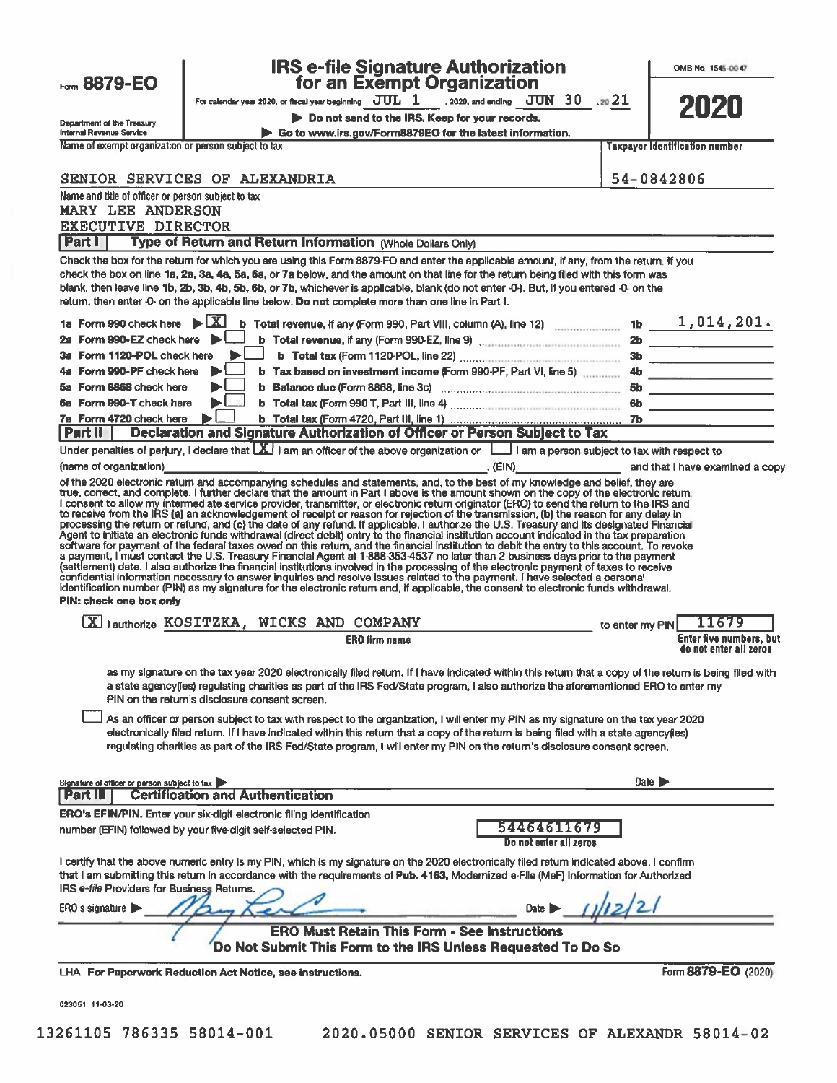| Form 8879-EO                                                          |                                                | <b>IRS e-file Signature Authorization</b><br>for an Exempt Organization                                                                                                                                                                                                                                                                                                                                                                                                                                                                                                                                                                                                                                                                                                                                                                                                                                                                                                                                                                                                                                                                                                                                                                                                                                                                                                                                                           |                                       |                 | OMB No. 1545-0047                                 |
|-----------------------------------------------------------------------|------------------------------------------------|-----------------------------------------------------------------------------------------------------------------------------------------------------------------------------------------------------------------------------------------------------------------------------------------------------------------------------------------------------------------------------------------------------------------------------------------------------------------------------------------------------------------------------------------------------------------------------------------------------------------------------------------------------------------------------------------------------------------------------------------------------------------------------------------------------------------------------------------------------------------------------------------------------------------------------------------------------------------------------------------------------------------------------------------------------------------------------------------------------------------------------------------------------------------------------------------------------------------------------------------------------------------------------------------------------------------------------------------------------------------------------------------------------------------------------------|---------------------------------------|-----------------|---------------------------------------------------|
|                                                                       |                                                | For calendar year 2020, or fiscal year beginning $JUL$ $1$ 2020, and ending $JUN$ 30 21                                                                                                                                                                                                                                                                                                                                                                                                                                                                                                                                                                                                                                                                                                                                                                                                                                                                                                                                                                                                                                                                                                                                                                                                                                                                                                                                           |                                       |                 |                                                   |
|                                                                       |                                                | Do not send to the IRS. Keep for your records.                                                                                                                                                                                                                                                                                                                                                                                                                                                                                                                                                                                                                                                                                                                                                                                                                                                                                                                                                                                                                                                                                                                                                                                                                                                                                                                                                                                    |                                       |                 | 2020                                              |
| Department of the Treasury<br>Internal Revenue Service                |                                                | Go to www.irs.gov/Form8879EO for the latest information.                                                                                                                                                                                                                                                                                                                                                                                                                                                                                                                                                                                                                                                                                                                                                                                                                                                                                                                                                                                                                                                                                                                                                                                                                                                                                                                                                                          |                                       |                 |                                                   |
| Name of exempt organization or person subject to tax                  |                                                |                                                                                                                                                                                                                                                                                                                                                                                                                                                                                                                                                                                                                                                                                                                                                                                                                                                                                                                                                                                                                                                                                                                                                                                                                                                                                                                                                                                                                                   |                                       |                 | <b>Taxpayer identification number</b>             |
|                                                                       |                                                |                                                                                                                                                                                                                                                                                                                                                                                                                                                                                                                                                                                                                                                                                                                                                                                                                                                                                                                                                                                                                                                                                                                                                                                                                                                                                                                                                                                                                                   |                                       |                 |                                                   |
| SENIOR SERVICES OF ALEXANDRIA                                         |                                                |                                                                                                                                                                                                                                                                                                                                                                                                                                                                                                                                                                                                                                                                                                                                                                                                                                                                                                                                                                                                                                                                                                                                                                                                                                                                                                                                                                                                                                   |                                       |                 | 54-0842806                                        |
| Name and title of officer or person subject to tax                    |                                                |                                                                                                                                                                                                                                                                                                                                                                                                                                                                                                                                                                                                                                                                                                                                                                                                                                                                                                                                                                                                                                                                                                                                                                                                                                                                                                                                                                                                                                   |                                       |                 |                                                   |
| <b>MARY LEE ANDERSON</b><br><b>EXECUTIVE DIRECTOR</b>                 |                                                |                                                                                                                                                                                                                                                                                                                                                                                                                                                                                                                                                                                                                                                                                                                                                                                                                                                                                                                                                                                                                                                                                                                                                                                                                                                                                                                                                                                                                                   |                                       |                 |                                                   |
| <b>Part I</b>                                                         |                                                | Type of Return and Return Information (Whole Dollars Only)                                                                                                                                                                                                                                                                                                                                                                                                                                                                                                                                                                                                                                                                                                                                                                                                                                                                                                                                                                                                                                                                                                                                                                                                                                                                                                                                                                        |                                       |                 |                                                   |
|                                                                       |                                                | Check the box for the return for which you are using this Form 8879-EO and enter the applicable amount, if any, from the return, if you                                                                                                                                                                                                                                                                                                                                                                                                                                                                                                                                                                                                                                                                                                                                                                                                                                                                                                                                                                                                                                                                                                                                                                                                                                                                                           |                                       |                 |                                                   |
|                                                                       |                                                | check the box on line 1a, 2a, 3a, 4a, 5a, 6a, or 7a below, and the amount on that line for the return being filed with this form was<br>blank, then leave line 1b, 2b, 3b, 4b, 5b, 6b, or 7b, whichever is applicable, blank (do not enter -0-). But, if you entered -0- on the<br>return, then enter -0- on the applicable line below. Do not complete more than one line in Part I.                                                                                                                                                                                                                                                                                                                                                                                                                                                                                                                                                                                                                                                                                                                                                                                                                                                                                                                                                                                                                                             |                                       |                 |                                                   |
| 1a Form 990 check here $\mathbf{E}[X]$                                |                                                | <b>b</b> Total revenue, if any (Form 990, Part VIII, column (A), line 12) $\ldots$ 1b 1, 014, 201.                                                                                                                                                                                                                                                                                                                                                                                                                                                                                                                                                                                                                                                                                                                                                                                                                                                                                                                                                                                                                                                                                                                                                                                                                                                                                                                                |                                       |                 |                                                   |
| 2a Form 990-EZ check here                                             |                                                | b Total revenue, if any (Form 990-EZ, Ilne 9) contains the contract of the contract of the contract of the contract of the contract of the contract of the contract of the contract of the contract of the contract of the con                                                                                                                                                                                                                                                                                                                                                                                                                                                                                                                                                                                                                                                                                                                                                                                                                                                                                                                                                                                                                                                                                                                                                                                                    |                                       |                 |                                                   |
| 3a Form 1120-POL check here                                           |                                                |                                                                                                                                                                                                                                                                                                                                                                                                                                                                                                                                                                                                                                                                                                                                                                                                                                                                                                                                                                                                                                                                                                                                                                                                                                                                                                                                                                                                                                   |                                       |                 |                                                   |
| Form 990-PF check here                                                |                                                | b Tax based on investment income (Form 990-PF, Part VI, line 5) 4b                                                                                                                                                                                                                                                                                                                                                                                                                                                                                                                                                                                                                                                                                                                                                                                                                                                                                                                                                                                                                                                                                                                                                                                                                                                                                                                                                                |                                       |                 | <u> 1980 - Januar Januar Januar (</u>             |
| 5a Form 8868 check here                                               |                                                |                                                                                                                                                                                                                                                                                                                                                                                                                                                                                                                                                                                                                                                                                                                                                                                                                                                                                                                                                                                                                                                                                                                                                                                                                                                                                                                                                                                                                                   |                                       | 5b              | <u> 2002 - Jan Alexandria (h. 18</u>              |
| 6a Form 990-T check here<br>7a Form 4720 check here                   |                                                |                                                                                                                                                                                                                                                                                                                                                                                                                                                                                                                                                                                                                                                                                                                                                                                                                                                                                                                                                                                                                                                                                                                                                                                                                                                                                                                                                                                                                                   |                                       |                 |                                                   |
| Part II                                                               |                                                | Declaration and Signature Authorization of Officer or Person Subject to Tax                                                                                                                                                                                                                                                                                                                                                                                                                                                                                                                                                                                                                                                                                                                                                                                                                                                                                                                                                                                                                                                                                                                                                                                                                                                                                                                                                       |                                       |                 |                                                   |
|                                                                       |                                                | Under penalties of perjury, I declare that $\lfloor \frac{X}{2} \rfloor$ I am an officer of the above organization or $\lfloor \frac{1}{2} \rfloor$ I am a person subject to tax with respect to                                                                                                                                                                                                                                                                                                                                                                                                                                                                                                                                                                                                                                                                                                                                                                                                                                                                                                                                                                                                                                                                                                                                                                                                                                  |                                       |                 |                                                   |
| (name of organization)                                                |                                                |                                                                                                                                                                                                                                                                                                                                                                                                                                                                                                                                                                                                                                                                                                                                                                                                                                                                                                                                                                                                                                                                                                                                                                                                                                                                                                                                                                                                                                   |                                       |                 | . (EIN) and that I have examined a copy           |
| PIN: check one box only                                               |                                                | true, correct, and complete. I further declare that the amount in Part I above is the amount shown on the copy of the electronic retum.<br>I consent to allow my intermediate service provider, transmitter, or electronic return originator (ERO) to send the return to the IRS and<br>to receive from the IRS (a) an acknowledgement of receipt or reason for rejection of the transmission, (b) the reason for any delay in<br>processing the return or refund, and (c) the date of any refund. If applicable, I authorize the U.S. Treasury and its designated Financial<br>Agent to initiate an electronic funds withdrawal (direct debit) entry to the financial institution account indicated in the tax preparation<br>software for payment of the federal taxes owed on this return, and the financial institution to debit the entry to this account. To revoke<br>a payment, I must contact the U.S. Treasury Financial Agent at 1-888-353-4537 no later than 2 business days prior to the payment<br>(settlement) date. I also authorize the financial institutions involved in the processing of the electronic payment of taxes to receive<br>confidential information necessary to answer inquiries and resolve issues related to the payment. I have selected a personal<br>identification number (PIN) as my signature for the electronic return and, if applicable, the consent to electronic funds withdrawal. |                                       |                 |                                                   |
| X lauthorize KOSITZKA, WICKS AND COMPANY                              |                                                |                                                                                                                                                                                                                                                                                                                                                                                                                                                                                                                                                                                                                                                                                                                                                                                                                                                                                                                                                                                                                                                                                                                                                                                                                                                                                                                                                                                                                                   |                                       | to enter my PIN | 11679                                             |
|                                                                       |                                                | <b>ERO firm name</b>                                                                                                                                                                                                                                                                                                                                                                                                                                                                                                                                                                                                                                                                                                                                                                                                                                                                                                                                                                                                                                                                                                                                                                                                                                                                                                                                                                                                              |                                       |                 | Enter five numbers, but<br>do not enter all zeros |
|                                                                       | PIN on the return's disclosure consent screen. | as my signature on the tax year 2020 electronically filed return. If I have indicated within this retum that a copy of the return is being filed with<br>a state agency(les) regulating charities as part of the IRS Fed/State program, I also authorize the aforementioned ERO to enter my<br>As an officer or person subject to tax with respect to the organization, I will enter my PIN as my signature on the tax year 2020<br>electronically filed return. If I have indicated within this return that a copy of the return is being filed with a state agency(ies)<br>regulating charities as part of the IRS Fed/State program, I will enter my PIN on the return's disclosure consent screen.                                                                                                                                                                                                                                                                                                                                                                                                                                                                                                                                                                                                                                                                                                                            |                                       |                 |                                                   |
| Signature of officer or person subject to tax<br><b>Part III</b>      | <b>Certification and Authentication</b>        |                                                                                                                                                                                                                                                                                                                                                                                                                                                                                                                                                                                                                                                                                                                                                                                                                                                                                                                                                                                                                                                                                                                                                                                                                                                                                                                                                                                                                                   |                                       |                 | Date $\blacktriangleright$                        |
| ERO's EFIN/PIN. Enter your six-digit electronic filing identification |                                                |                                                                                                                                                                                                                                                                                                                                                                                                                                                                                                                                                                                                                                                                                                                                                                                                                                                                                                                                                                                                                                                                                                                                                                                                                                                                                                                                                                                                                                   |                                       |                 |                                                   |
| number (EFIN) followed by your five-digit self-selected PIN.          |                                                |                                                                                                                                                                                                                                                                                                                                                                                                                                                                                                                                                                                                                                                                                                                                                                                                                                                                                                                                                                                                                                                                                                                                                                                                                                                                                                                                                                                                                                   | 54464611679<br>Do not enter all zeros |                 |                                                   |
| IRS e-file Providers for Business Returns.                            |                                                | I certify that the above numeric entry is my PIN, which is my signature on the 2020 electronically filed retum indicated above. I confirm<br>that I am submitting this return in accordance with the requirements of Pub. 4163, Modernized e-File (MeF) Information for Authorized                                                                                                                                                                                                                                                                                                                                                                                                                                                                                                                                                                                                                                                                                                                                                                                                                                                                                                                                                                                                                                                                                                                                                |                                       |                 |                                                   |
| ERO's signature $\blacktriangleright$                                 |                                                |                                                                                                                                                                                                                                                                                                                                                                                                                                                                                                                                                                                                                                                                                                                                                                                                                                                                                                                                                                                                                                                                                                                                                                                                                                                                                                                                                                                                                                   | Date I                                |                 |                                                   |
|                                                                       |                                                | <b>ERO Must Retain This Form - See Instructions</b><br>Do Not Submit This Form to the IRS Unless Requested To Do So                                                                                                                                                                                                                                                                                                                                                                                                                                                                                                                                                                                                                                                                                                                                                                                                                                                                                                                                                                                                                                                                                                                                                                                                                                                                                                               |                                       |                 |                                                   |
| LHA For Paperwork Reduction Act Notice, see instructions.             |                                                |                                                                                                                                                                                                                                                                                                                                                                                                                                                                                                                                                                                                                                                                                                                                                                                                                                                                                                                                                                                                                                                                                                                                                                                                                                                                                                                                                                                                                                   |                                       |                 | Form 8879-EO (2020)                               |

023051 11-03-20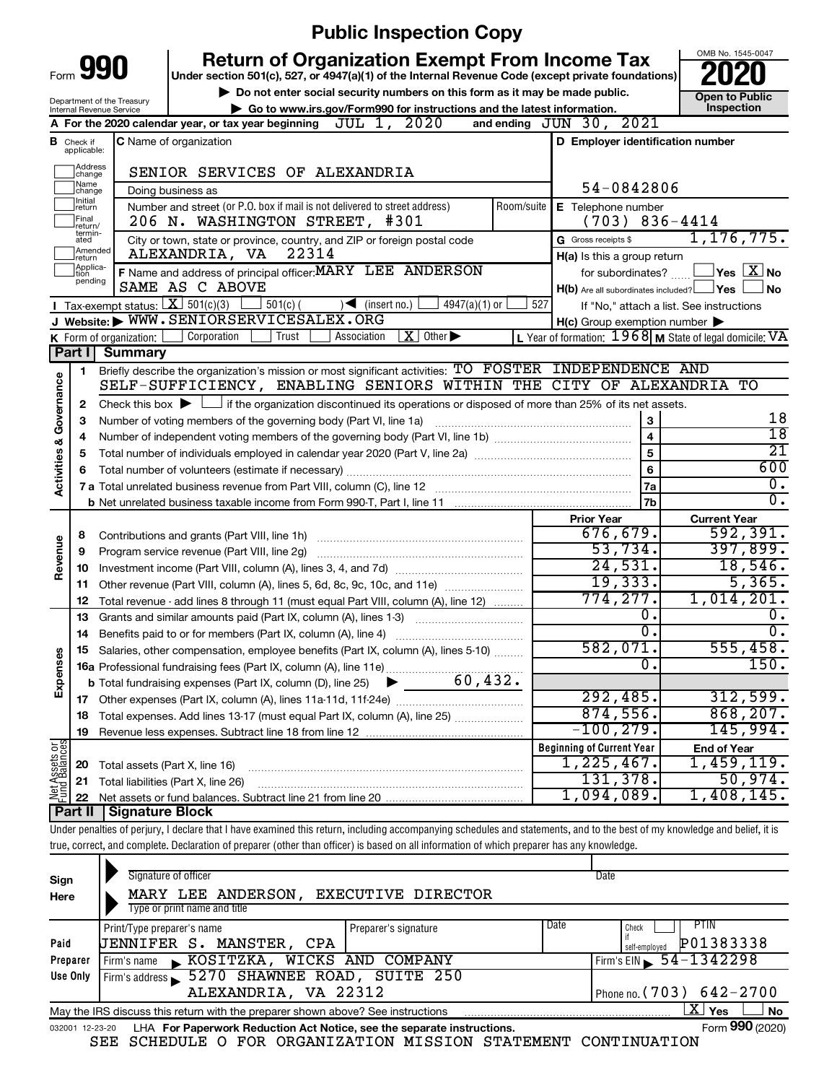|                                    |                                 | <b>Public Inspection Copy</b>                                                                                                                                              |            |                                                     |                                                                                    |
|------------------------------------|---------------------------------|----------------------------------------------------------------------------------------------------------------------------------------------------------------------------|------------|-----------------------------------------------------|------------------------------------------------------------------------------------|
| Form 990                           |                                 | <b>Return of Organization Exempt From Income Tax</b>                                                                                                                       |            |                                                     | OMB No. 1545-0047                                                                  |
|                                    |                                 | Under section 501(c), 527, or 4947(a)(1) of the Internal Revenue Code (except private foundations)                                                                         |            |                                                     |                                                                                    |
| Department of the Treasury         |                                 | Do not enter social security numbers on this form as it may be made public.                                                                                                |            |                                                     | <b>Open to Public</b><br>Inspection                                                |
| Internal Revenue Service           |                                 | Go to www.irs.gov/Form990 for instructions and the latest information.<br>A For the 2020 calendar year, or tax year beginning $JUL$ 1, $2020$                              |            | and ending $JUN 30, 2021$                           |                                                                                    |
| в                                  |                                 | <b>C</b> Name of organization                                                                                                                                              |            | D Employer identification number                    |                                                                                    |
| Check if<br>applicable:            |                                 |                                                                                                                                                                            |            |                                                     |                                                                                    |
| Address<br>change                  |                                 | SENIOR SERVICES OF ALEXANDRIA                                                                                                                                              |            |                                                     |                                                                                    |
| Name<br>change                     |                                 | Doing business as                                                                                                                                                          |            | 54-0842806                                          |                                                                                    |
| Initial<br>return                  |                                 | Number and street (or P.O. box if mail is not delivered to street address)                                                                                                 | Room/suite | E Telephone number                                  |                                                                                    |
| Final<br>return/<br>termin-        |                                 | 206 N. WASHINGTON STREET, #301                                                                                                                                             |            | $(703)$ 836-4414                                    |                                                                                    |
| ated<br>Amended                    |                                 | City or town, state or province, country, and ZIP or foreign postal code                                                                                                   |            | G Gross receipts \$                                 | 1, 176, 775.                                                                       |
| Ireturn<br>Applica-<br>Ition       |                                 | ALEXANDRIA, VA<br>22314                                                                                                                                                    |            | H(a) Is this a group return                         | $\mathsf{l}_\mathsf{Yes} \mathsf{\hspace{1pt}[\mathbf{X}\hspace{1pt}]}\mathsf{No}$ |
| pending                            |                                 | F Name and address of principal officer: MARY LEE ANDERSON<br>SAME AS C ABOVE                                                                                              |            | for subordinates?                                   | ∫No                                                                                |
|                                    |                                 | <b>I</b> Tax-exempt status: $X \ 501(c)(3)$<br>$\rfloor$ 501(c) (<br>$\sqrt{\frac{1}{1}}$ (insert no.)<br>$4947(a)(1)$ or                                                  | 527        | $H(b)$ Are all subordinates included? $\Box$ Yes    | If "No," attach a list. See instructions                                           |
|                                    |                                 | J Website: WWW.SENIORSERVICESALEX.ORG                                                                                                                                      |            | $H(c)$ Group exemption number $\blacktriangleright$ |                                                                                    |
|                                    | K Form of organization: $\vert$ | $\overline{\mathbf{X}}$ Other<br>Corporation<br>Trust<br>Association                                                                                                       |            |                                                     | L Year of formation: $1968$ M State of legal domicile: VA                          |
| Part I                             | <b>Summary</b>                  |                                                                                                                                                                            |            |                                                     |                                                                                    |
| 1.                                 |                                 | Briefly describe the organization's mission or most significant activities: TO FOSTER INDEPENDENCE AND                                                                     |            |                                                     |                                                                                    |
| <b>Activities &amp; Governance</b> |                                 | SELF-SUFFICIENCY, ENABLING SENIORS WITHIN THE CITY OF ALEXANDRIA TO                                                                                                        |            |                                                     |                                                                                    |
| 2                                  |                                 | Check this box $\blacktriangleright$ $\Box$ if the organization discontinued its operations or disposed of more than 25% of its net assets.                                |            |                                                     |                                                                                    |
| 3                                  |                                 | Number of voting members of the governing body (Part VI, line 1a)                                                                                                          |            | $\mathbf{3}$                                        | 18                                                                                 |
| 4                                  |                                 |                                                                                                                                                                            |            | $\overline{\mathbf{4}}$                             | $\overline{18}$                                                                    |
| 5                                  |                                 |                                                                                                                                                                            |            | 5                                                   | $\overline{21}$                                                                    |
| 6                                  |                                 |                                                                                                                                                                            |            | 6                                                   | 600                                                                                |
|                                    |                                 |                                                                                                                                                                            |            | 7a                                                  | о.<br>$\overline{0}$ .                                                             |
|                                    |                                 |                                                                                                                                                                            |            | 7 <sub>b</sub>                                      |                                                                                    |
|                                    |                                 |                                                                                                                                                                            |            | <b>Prior Year</b><br>676, 679.                      | <b>Current Year</b><br>592, 391.                                                   |
| 8                                  |                                 | Contributions and grants (Part VIII, line 1h)                                                                                                                              |            | 53,734.                                             | 397,899.                                                                           |
| Revenue<br>9<br>10                 |                                 | Program service revenue (Part VIII, line 2g)                                                                                                                               |            | 24,531.                                             | 18,546.                                                                            |
| 11                                 |                                 | Other revenue (Part VIII, column (A), lines 5, 6d, 8c, 9c, 10c, and 11e)                                                                                                   |            | 19,333.                                             | 5,365.                                                                             |
| 12                                 |                                 | Total revenue - add lines 8 through 11 (must equal Part VIII, column (A), line 12)                                                                                         |            | 774, 277.                                           | 1,014,201.                                                                         |
| 13                                 |                                 | Grants and similar amounts paid (Part IX, column (A), lines 1-3)                                                                                                           |            | 0.                                                  | 0.                                                                                 |
| 14                                 |                                 | Benefits paid to or for members (Part IX, column (A), line 4)                                                                                                              |            | $\overline{0}$ .                                    | σ.                                                                                 |
|                                    |                                 | 15 Salaries, other compensation, employee benefits (Part IX, column (A), lines 5-10)                                                                                       |            | 582,071.                                            | 555,458.                                                                           |
| Expenses                           |                                 | 16a Professional fundraising fees (Part IX, column (A), line 11e).<br>.                                                                                                    |            | 0.                                                  | 150.                                                                               |
|                                    |                                 | 60,432.<br><b>b</b> Total fundraising expenses (Part IX, column (D), line 25)                                                                                              |            |                                                     |                                                                                    |
|                                    |                                 |                                                                                                                                                                            |            | 292,485.                                            | 312,599.                                                                           |
| 18                                 |                                 | Total expenses. Add lines 13-17 (must equal Part IX, column (A), line 25)                                                                                                  |            | 874,556.                                            | 868, 207.                                                                          |
| 19                                 |                                 |                                                                                                                                                                            |            | $-100, 279.$                                        | 145,994.                                                                           |
| Net Assets or<br>Fund Balances     |                                 |                                                                                                                                                                            |            | <b>Beginning of Current Year</b>                    | <b>End of Year</b>                                                                 |
| 20                                 |                                 | Total assets (Part X, line 16)                                                                                                                                             |            | 1,225,467.                                          | 1,459,119.                                                                         |
| 21                                 |                                 | Total liabilities (Part X, line 26)                                                                                                                                        |            | 131,378.<br>$1,094,089$ .                           | 50,974.<br>1,408,145.                                                              |
| 22<br>Part II                      | <b>Signature Block</b>          |                                                                                                                                                                            |            |                                                     |                                                                                    |
|                                    |                                 | Under penalties of perjury, I declare that I have examined this return, including accompanying schedules and statements, and to the best of my knowledge and belief, it is |            |                                                     |                                                                                    |
|                                    |                                 | true, correct, and complete. Declaration of preparer (other than officer) is based on all information of which preparer has any knowledge.                                 |            |                                                     |                                                                                    |

| Sign<br>Here    | Signature of officer<br>MARY LEE ANDERSON, EXECUTIVE DIRECTOR<br>Type or print name and title |                      |      | Date                                |
|-----------------|-----------------------------------------------------------------------------------------------|----------------------|------|-------------------------------------|
|                 | Print/Type preparer's name                                                                    | Preparer's signature | Date | <b>PTIN</b><br>Check                |
| Paid            | <b>JENNIFER S. MANSTER, CPA</b>                                                               |                      |      | P01383338<br>self-employed          |
| Preparer        | Firm's name KOSITZKA, WICKS AND COMPANY                                                       |                      |      | Firm's EIN $\frac{54 - 1342298}{ }$ |
| Use Only        | Firm's address 5270 SHAWNEE ROAD, SUITE 250                                                   |                      |      |                                     |
|                 | ALEXANDRIA, VA 22312                                                                          |                      |      | Phone no. $(703) 642 - 2700$        |
|                 | May the IRS discuss this return with the preparer shown above? See instructions               |                      |      | X  <br>Yes<br><b>No</b>             |
| 032001 12-23-20 | LHA For Paperwork Reduction Act Notice, see the separate instructions.                        |                      |      | Form 990 (2020)                     |

SEE SCHEDULE O FOR ORGANIZATION MISSION STATEMENT CONTINUATION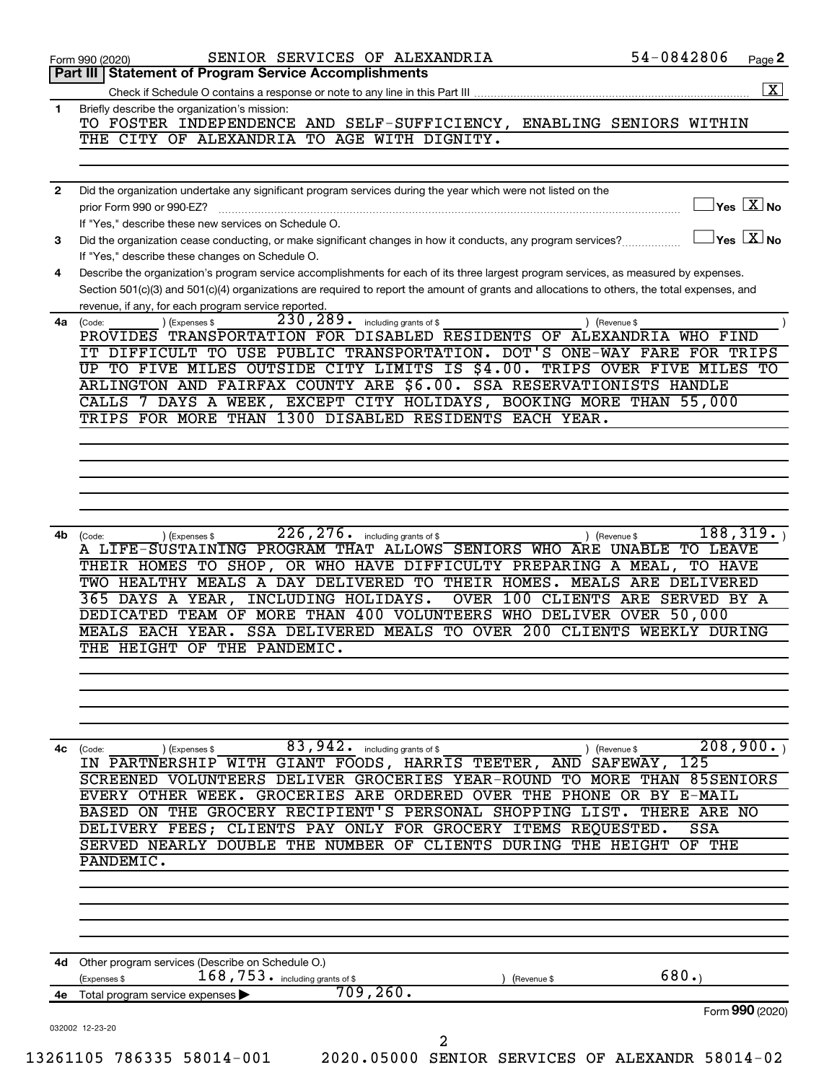|              | 54-0842806<br>SENIOR SERVICES OF ALEXANDRIA<br>Page 2<br>Form 990 (2020)                                                                                                       |
|--------------|--------------------------------------------------------------------------------------------------------------------------------------------------------------------------------|
|              | <b>Statement of Program Service Accomplishments</b><br>Part III I                                                                                                              |
|              |                                                                                                                                                                                |
| 1            | Briefly describe the organization's mission:<br>TO FOSTER INDEPENDENCE AND SELF-SUFFICIENCY, ENABLING SENIORS WITHIN                                                           |
|              | THE CITY OF ALEXANDRIA TO AGE WITH DIGNITY.                                                                                                                                    |
|              |                                                                                                                                                                                |
|              |                                                                                                                                                                                |
| $\mathbf{2}$ | Did the organization undertake any significant program services during the year which were not listed on the<br>$\gamma$ es $\boxed{\text{X}}$ No<br>prior Form 990 or 990-EZ? |
|              | If "Yes," describe these new services on Schedule O.                                                                                                                           |
| 3            | $\overline{\mathsf{Yes} \mathbf{X}}$ No<br>Did the organization cease conducting, or make significant changes in how it conducts, any program services?                        |
|              | If "Yes," describe these changes on Schedule O.                                                                                                                                |
| 4            | Describe the organization's program service accomplishments for each of its three largest program services, as measured by expenses.                                           |
|              | Section 501(c)(3) and 501(c)(4) organizations are required to report the amount of grants and allocations to others, the total expenses, and                                   |
| 4a           | revenue, if any, for each program service reported.<br>230, 289. including grants of \$<br>) (Expenses \$<br>) (Revenue \$<br>(Code:                                           |
|              | PROVIDES TRANSPORTATION FOR DISABLED RESIDENTS OF ALEXANDRIA WHO FIND                                                                                                          |
|              | IT DIFFICULT TO USE PUBLIC TRANSPORTATION. DOT'S ONE-WAY FARE FOR TRIPS                                                                                                        |
|              | UP TO FIVE MILES OUTSIDE CITY LIMITS IS \$4.00. TRIPS OVER FIVE MILES TO                                                                                                       |
|              | ARLINGTON AND FAIRFAX COUNTY ARE \$6.00. SSA RESERVATIONISTS HANDLE                                                                                                            |
|              | CALLS 7 DAYS A WEEK, EXCEPT CITY HOLIDAYS, BOOKING MORE THAN 55,000                                                                                                            |
|              | TRIPS FOR MORE THAN 1300 DISABLED RESIDENTS EACH YEAR.                                                                                                                         |
|              |                                                                                                                                                                                |
|              |                                                                                                                                                                                |
|              |                                                                                                                                                                                |
|              |                                                                                                                                                                                |
|              |                                                                                                                                                                                |
| 4b           | 226, 276.<br>188, 319.<br>including grants of \$<br>) (Revenue \$<br>(Code:<br>) (Expenses \$                                                                                  |
|              | A LIFE-SUSTAINING PROGRAM THAT ALLOWS SENIORS WHO ARE UNABLE TO LEAVE                                                                                                          |
|              | THEIR HOMES TO SHOP, OR WHO HAVE DIFFICULTY PREPARING A MEAL, TO HAVE<br>TWO HEALTHY MEALS A DAY DELIVERED TO THEIR HOMES. MEALS ARE DELIVERED                                 |
|              | INCLUDING HOLIDAYS.<br>OVER 100 CLIENTS ARE SERVED BY A<br>365 DAYS A YEAR,                                                                                                    |
|              | DEDICATED TEAM OF MORE THAN 400 VOLUNTEERS WHO DELIVER OVER 50,000                                                                                                             |
|              | SSA DELIVERED MEALS TO OVER 200 CLIENTS WEEKLY DURING<br>MEALS EACH YEAR.                                                                                                      |
|              | THE HEIGHT OF THE PANDEMIC.                                                                                                                                                    |
|              |                                                                                                                                                                                |
|              |                                                                                                                                                                                |
|              |                                                                                                                                                                                |
|              |                                                                                                                                                                                |
|              |                                                                                                                                                                                |
|              | 83,942.<br>including grants of \$<br>) (Revenue \$<br>(Code:<br>(Expenses \$                                                                                                   |
|              | 208,900.<br>IN PARTNERSHIP WITH GIANT FOODS, HARRIS TEETER, AND SAFEWAY, 125                                                                                                   |
|              | SCREENED VOLUNTEERS                                                                                                                                                            |
|              | OVER THE PHONE OR BY E-MAIL<br>GROCERIES ARE ORDERED<br><b>EVERY</b><br>OTHER<br>WEEK.                                                                                         |
|              | THE GROCERY RECIPIENT'S PERSONAL SHOPPING LIST.<br><b>BASED</b><br>THERE ARE NO<br>ON                                                                                          |
|              | DELIVERY FEES; CLIENTS PAY ONLY FOR GROCERY ITEMS REQUESTED.<br>SSA<br>SERVED NEARLY DOUBLE THE NUMBER OF CLIENTS DURING THE HEIGHT<br>OF THE                                  |
|              | PANDEMIC.                                                                                                                                                                      |
|              | DELIVER GROCERIES YEAR-ROUND TO MORE THAN 85SENIORS                                                                                                                            |
|              |                                                                                                                                                                                |
|              |                                                                                                                                                                                |
|              |                                                                                                                                                                                |
|              | 4d Other program services (Describe on Schedule O.)                                                                                                                            |
|              | 680.<br>$168,753$ . including grants of \$<br>(Expenses \$<br>(Revenue \$                                                                                                      |
| 4с<br>4е     | 709,260.<br>Total program service expenses                                                                                                                                     |
|              | Form 990 (2020)<br>032002 12-23-20                                                                                                                                             |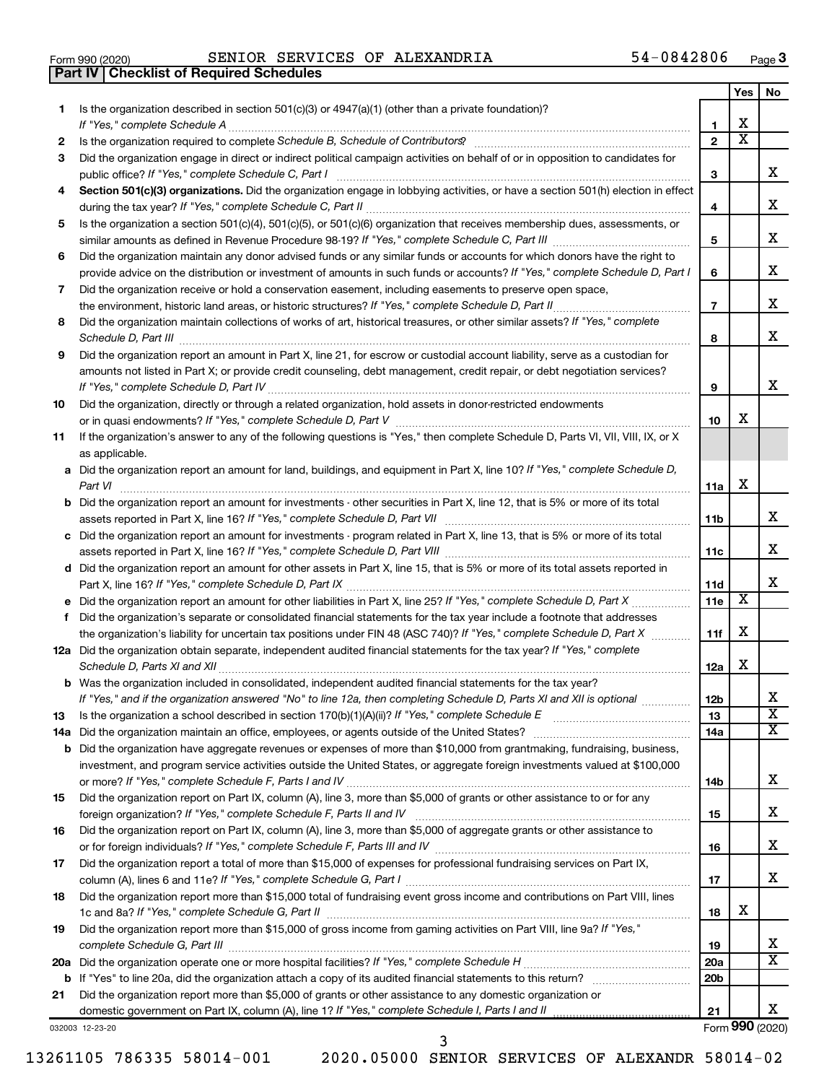|  | Form 990 (2020) |
|--|-----------------|

**Part IV Checklist of Required Schedules**

Form 990 (2020) Page SENIOR SERVICES OF ALEXANDRIA 54-0842806

|     |                                                                                                                                       |                               | Yes | No                    |
|-----|---------------------------------------------------------------------------------------------------------------------------------------|-------------------------------|-----|-----------------------|
| 1.  | Is the organization described in section 501(c)(3) or 4947(a)(1) (other than a private foundation)?<br>If "Yes," complete Schedule A  | 1                             | x   |                       |
| 2   |                                                                                                                                       | $\mathbf{2}$                  | х   |                       |
| 3   | Did the organization engage in direct or indirect political campaign activities on behalf of or in opposition to candidates for       |                               |     |                       |
|     | public office? If "Yes," complete Schedule C, Part I                                                                                  | З                             |     | X.                    |
| 4   | Section 501(c)(3) organizations. Did the organization engage in lobbying activities, or have a section 501(h) election in effect      |                               |     |                       |
|     |                                                                                                                                       | 4                             |     | x                     |
| 5   | Is the organization a section 501(c)(4), 501(c)(5), or 501(c)(6) organization that receives membership dues, assessments, or          |                               |     |                       |
|     |                                                                                                                                       | 5                             |     | x                     |
| 6   | Did the organization maintain any donor advised funds or any similar funds or accounts for which donors have the right to             |                               |     |                       |
|     | provide advice on the distribution or investment of amounts in such funds or accounts? If "Yes," complete Schedule D, Part I          | 6                             |     | X.                    |
| 7   | Did the organization receive or hold a conservation easement, including easements to preserve open space,                             |                               |     |                       |
|     | the environment, historic land areas, or historic structures? If "Yes," complete Schedule D, Part II                                  | $\overline{7}$                |     | X.                    |
| 8   | Did the organization maintain collections of works of art, historical treasures, or other similar assets? If "Yes," complete          |                               |     |                       |
|     | Schedule D, Part III                                                                                                                  | 8                             |     | x                     |
| 9   | Did the organization report an amount in Part X, line 21, for escrow or custodial account liability, serve as a custodian for         |                               |     |                       |
|     | amounts not listed in Part X; or provide credit counseling, debt management, credit repair, or debt negotiation services?             |                               |     |                       |
|     |                                                                                                                                       | 9                             |     | x                     |
| 10  | Did the organization, directly or through a related organization, hold assets in donor-restricted endowments                          |                               |     |                       |
|     |                                                                                                                                       | 10                            | X   |                       |
| 11  | If the organization's answer to any of the following questions is "Yes," then complete Schedule D, Parts VI, VII, VIII, IX, or X      |                               |     |                       |
|     | as applicable.                                                                                                                        |                               |     |                       |
|     | a Did the organization report an amount for land, buildings, and equipment in Part X, line 10? If "Yes," complete Schedule D,         |                               |     |                       |
|     | Part VI                                                                                                                               | 11a                           | x   |                       |
|     | <b>b</b> Did the organization report an amount for investments - other securities in Part X, line 12, that is 5% or more of its total |                               |     |                       |
|     | assets reported in Part X, line 16? If "Yes," complete Schedule D, Part VII                                                           | 11b                           |     | x                     |
|     | c Did the organization report an amount for investments - program related in Part X, line 13, that is 5% or more of its total         |                               |     | x                     |
|     |                                                                                                                                       | 11c                           |     |                       |
|     | d Did the organization report an amount for other assets in Part X, line 15, that is 5% or more of its total assets reported in       |                               |     | X.                    |
|     |                                                                                                                                       | 11d<br>11e                    | X   |                       |
| f.  | Did the organization's separate or consolidated financial statements for the tax year include a footnote that addresses               |                               |     |                       |
|     | the organization's liability for uncertain tax positions under FIN 48 (ASC 740)? If "Yes," complete Schedule D, Part X                | 11f                           | x   |                       |
|     | 12a Did the organization obtain separate, independent audited financial statements for the tax year? If "Yes," complete               |                               |     |                       |
|     | Schedule D, Parts XI and XII                                                                                                          | 12a                           | x   |                       |
|     | <b>b</b> Was the organization included in consolidated, independent audited financial statements for the tax year?                    |                               |     |                       |
|     | If "Yes," and if the organization answered "No" to line 12a, then completing Schedule D, Parts XI and XII is optional <i>www.</i>     | 12 <sub>b</sub>               |     | х                     |
| 13  | Is the organization a school described in section $170(b)(1)(A)(ii)?$ If "Yes," complete Schedule E                                   | 13                            |     | $\overline{\text{x}}$ |
| 14a | Did the organization maintain an office, employees, or agents outside of the United States?                                           | 14a                           |     | x                     |
|     | <b>b</b> Did the organization have aggregate revenues or expenses of more than \$10,000 from grantmaking, fundraising, business,      |                               |     |                       |
|     | investment, and program service activities outside the United States, or aggregate foreign investments valued at \$100,000            |                               |     |                       |
|     |                                                                                                                                       | 14b                           |     | X.                    |
| 15  | Did the organization report on Part IX, column (A), line 3, more than \$5,000 of grants or other assistance to or for any             |                               |     |                       |
|     |                                                                                                                                       | 15                            |     | x                     |
| 16  | Did the organization report on Part IX, column (A), line 3, more than \$5,000 of aggregate grants or other assistance to              |                               |     |                       |
|     |                                                                                                                                       | 16                            |     | x                     |
| 17  | Did the organization report a total of more than \$15,000 of expenses for professional fundraising services on Part IX,               |                               |     |                       |
|     |                                                                                                                                       | 17                            |     | X.                    |
| 18  | Did the organization report more than \$15,000 total of fundraising event gross income and contributions on Part VIII, lines          |                               |     |                       |
|     |                                                                                                                                       | 18                            | x   |                       |
| 19  | Did the organization report more than \$15,000 of gross income from gaming activities on Part VIII, line 9a? If "Yes,"                |                               |     | X                     |
|     |                                                                                                                                       | 19                            |     | x                     |
|     |                                                                                                                                       | <b>20a</b><br>20 <sub>b</sub> |     |                       |
| 21  | Did the organization report more than \$5,000 of grants or other assistance to any domestic organization or                           |                               |     |                       |
|     |                                                                                                                                       | 21                            |     | X.                    |
|     |                                                                                                                                       |                               |     |                       |

032003 12-23-20

Form (2020) **990**

3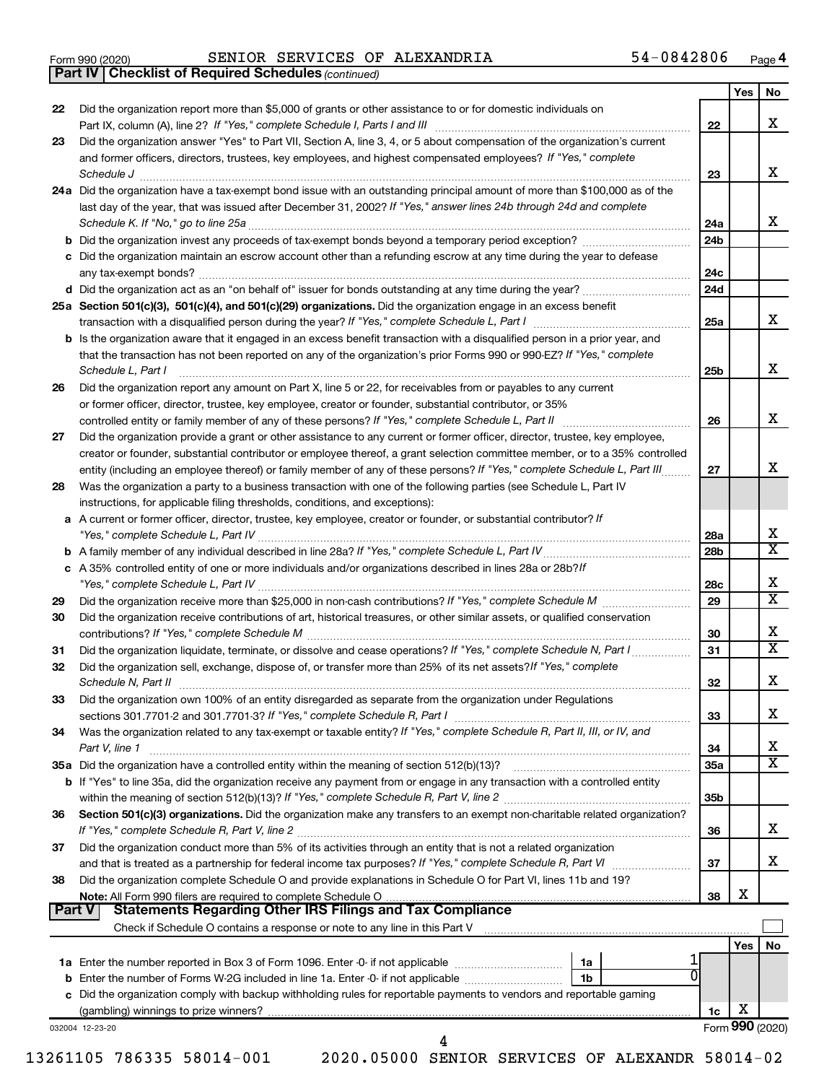|  | Form 990 (2020) |
|--|-----------------|
|  |                 |

Form 990 (2020) Page SENIOR SERVICES OF ALEXANDRIA 54-0842806

*(continued)* **Part IV Checklist of Required Schedules**

|               |                                                                                                                                                                                                                                                         |                 | Yes | No                      |
|---------------|---------------------------------------------------------------------------------------------------------------------------------------------------------------------------------------------------------------------------------------------------------|-----------------|-----|-------------------------|
| 22            | Did the organization report more than \$5,000 of grants or other assistance to or for domestic individuals on                                                                                                                                           |                 |     | x                       |
|               |                                                                                                                                                                                                                                                         | 22              |     |                         |
| 23            | Did the organization answer "Yes" to Part VII, Section A, line 3, 4, or 5 about compensation of the organization's current<br>and former officers, directors, trustees, key employees, and highest compensated employees? If "Yes," complete            |                 |     |                         |
|               | Schedule J                                                                                                                                                                                                                                              | 23              |     | x                       |
|               | 24a Did the organization have a tax-exempt bond issue with an outstanding principal amount of more than \$100,000 as of the                                                                                                                             |                 |     |                         |
|               | last day of the year, that was issued after December 31, 2002? If "Yes," answer lines 24b through 24d and complete                                                                                                                                      |                 |     |                         |
|               |                                                                                                                                                                                                                                                         | 24a             |     | x                       |
|               | <b>b</b> Did the organization invest any proceeds of tax-exempt bonds beyond a temporary period exception?                                                                                                                                              | 24 <sub>b</sub> |     |                         |
|               | c Did the organization maintain an escrow account other than a refunding escrow at any time during the year to defease                                                                                                                                  |                 |     |                         |
|               |                                                                                                                                                                                                                                                         | 24c             |     |                         |
|               |                                                                                                                                                                                                                                                         | 24d             |     |                         |
|               | 25a Section 501(c)(3), 501(c)(4), and 501(c)(29) organizations. Did the organization engage in an excess benefit                                                                                                                                        |                 |     |                         |
|               |                                                                                                                                                                                                                                                         | 25a             |     | x                       |
|               | b Is the organization aware that it engaged in an excess benefit transaction with a disqualified person in a prior year, and                                                                                                                            |                 |     |                         |
|               | that the transaction has not been reported on any of the organization's prior Forms 990 or 990-EZ? If "Yes," complete                                                                                                                                   |                 |     |                         |
|               | Schedule L, Part I                                                                                                                                                                                                                                      | 25b             |     | х                       |
| 26            | Did the organization report any amount on Part X, line 5 or 22, for receivables from or payables to any current                                                                                                                                         |                 |     |                         |
|               | or former officer, director, trustee, key employee, creator or founder, substantial contributor, or 35%                                                                                                                                                 |                 |     |                         |
|               | controlled entity or family member of any of these persons? If "Yes," complete Schedule L, Part II                                                                                                                                                      | 26              |     | х                       |
| 27            | Did the organization provide a grant or other assistance to any current or former officer, director, trustee, key employee,                                                                                                                             |                 |     |                         |
|               | creator or founder, substantial contributor or employee thereof, a grant selection committee member, or to a 35% controlled<br>entity (including an employee thereof) or family member of any of these persons? If "Yes," complete Schedule L, Part III | 27              |     | х                       |
| 28            | Was the organization a party to a business transaction with one of the following parties (see Schedule L, Part IV                                                                                                                                       |                 |     |                         |
|               | instructions, for applicable filing thresholds, conditions, and exceptions):                                                                                                                                                                            |                 |     |                         |
| a             | A current or former officer, director, trustee, key employee, creator or founder, or substantial contributor? If                                                                                                                                        |                 |     |                         |
|               | "Yes," complete Schedule L, Part IV                                                                                                                                                                                                                     | 28a             |     | x                       |
| b             |                                                                                                                                                                                                                                                         | 28 <sub>b</sub> |     | $\overline{\textbf{X}}$ |
|               | c A 35% controlled entity of one or more individuals and/or organizations described in lines 28a or 28b?/f                                                                                                                                              |                 |     |                         |
|               |                                                                                                                                                                                                                                                         | 28c             |     | x                       |
| 29            |                                                                                                                                                                                                                                                         | 29              |     | $\overline{\text{x}}$   |
| 30            | Did the organization receive contributions of art, historical treasures, or other similar assets, or qualified conservation                                                                                                                             |                 |     |                         |
|               |                                                                                                                                                                                                                                                         | 30              |     | х                       |
| 31            | Did the organization liquidate, terminate, or dissolve and cease operations? If "Yes," complete Schedule N, Part I                                                                                                                                      | 31              |     | $\overline{\textbf{X}}$ |
| 32            | Did the organization sell, exchange, dispose of, or transfer more than 25% of its net assets? If "Yes," complete                                                                                                                                        |                 |     | х                       |
|               | Schedule N, Part II                                                                                                                                                                                                                                     | 32              |     |                         |
| 33            | Did the organization own 100% of an entity disregarded as separate from the organization under Regulations<br>sections 301.7701-2 and 301.7701-3? If "Yes," complete Schedule R, Part I                                                                 | 33              |     | х                       |
| 34            | Was the organization related to any tax-exempt or taxable entity? If "Yes," complete Schedule R, Part II, III, or IV, and                                                                                                                               |                 |     |                         |
|               | Part V, line 1                                                                                                                                                                                                                                          | 34              |     | х                       |
|               | 35a Did the organization have a controlled entity within the meaning of section 512(b)(13)?                                                                                                                                                             | 35a             |     | $\overline{\textbf{X}}$ |
|               | <b>b</b> If "Yes" to line 35a, did the organization receive any payment from or engage in any transaction with a controlled entity                                                                                                                      |                 |     |                         |
|               |                                                                                                                                                                                                                                                         | 35 <sub>b</sub> |     |                         |
| 36            | Section 501(c)(3) organizations. Did the organization make any transfers to an exempt non-charitable related organization?                                                                                                                              |                 |     |                         |
|               | If "Yes," complete Schedule R, Part V, line 2                                                                                                                                                                                                           | 36              |     | х                       |
| 37            | Did the organization conduct more than 5% of its activities through an entity that is not a related organization                                                                                                                                        |                 |     |                         |
|               | and that is treated as a partnership for federal income tax purposes? If "Yes," complete Schedule R, Part VI                                                                                                                                            | 37              |     | x                       |
| 38            | Did the organization complete Schedule O and provide explanations in Schedule O for Part VI, lines 11b and 19?                                                                                                                                          |                 |     |                         |
| <b>Part V</b> | Note: All Form 990 filers are required to complete Schedule O                                                                                                                                                                                           | 38              | х   |                         |
|               | <b>Statements Regarding Other IRS Filings and Tax Compliance</b><br>Check if Schedule O contains a response or note to any line in this Part V [11] [12] Check if Schedule O contains a response or note to any line in this Part V                     |                 |     |                         |
|               |                                                                                                                                                                                                                                                         |                 | Yes | No                      |
|               | <b>1a</b> Enter the number reported in Box 3 of Form 1096. Enter -0- if not applicable <i>manumumumum</i><br>1a                                                                                                                                         |                 |     |                         |
| b             | Enter the number of Forms W-2G included in line 1a. Enter -0- if not applicable<br>1 <sub>b</sub>                                                                                                                                                       |                 |     |                         |
|               | c Did the organization comply with backup withholding rules for reportable payments to vendors and reportable gaming                                                                                                                                    |                 |     |                         |
|               |                                                                                                                                                                                                                                                         | 1c              | х   |                         |
|               | 032004 12-23-20                                                                                                                                                                                                                                         |                 |     | Form 990 (2020)         |
|               | 4                                                                                                                                                                                                                                                       |                 |     |                         |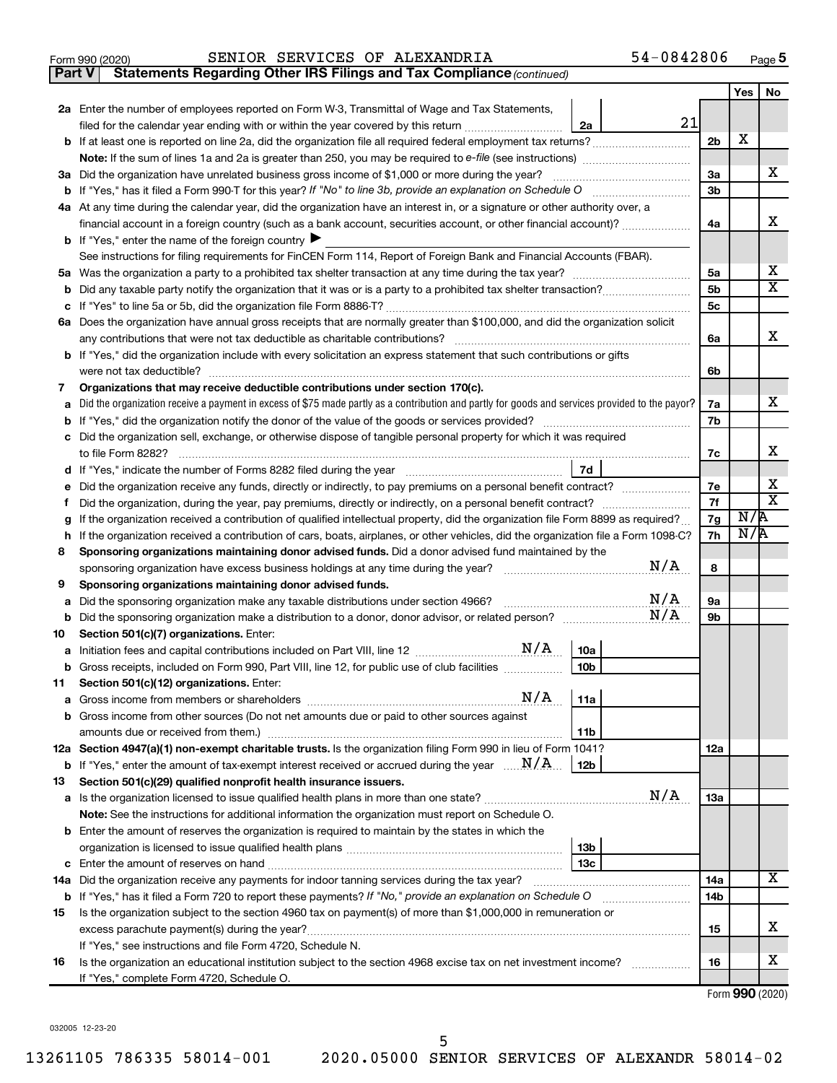|  | Form 990 (2020) |
|--|-----------------|
|  |                 |

**Part V** Statements Regarding Other IRS Filings and Tax Compliance (continued)

|        |                                                                                                                                                                                                                                                  |                | Yes | No          |
|--------|--------------------------------------------------------------------------------------------------------------------------------------------------------------------------------------------------------------------------------------------------|----------------|-----|-------------|
|        | 2a Enter the number of employees reported on Form W-3, Transmittal of Wage and Tax Statements,                                                                                                                                                   |                |     |             |
|        | 21<br>filed for the calendar year ending with or within the year covered by this return<br>2a                                                                                                                                                    |                |     |             |
|        | <b>b</b> If at least one is reported on line 2a, did the organization file all required federal employment tax returns?                                                                                                                          | 2 <sub>b</sub> | х   |             |
|        |                                                                                                                                                                                                                                                  |                |     |             |
|        | 3a Did the organization have unrelated business gross income of \$1,000 or more during the year?                                                                                                                                                 | 3a             |     | х           |
|        | <b>b</b> If "Yes," has it filed a Form 990-T for this year? If "No" to line 3b, provide an explanation on Schedule O                                                                                                                             | 3b             |     |             |
|        | 4a At any time during the calendar year, did the organization have an interest in, or a signature or other authority over, a                                                                                                                     |                |     |             |
|        | financial account in a foreign country (such as a bank account, securities account, or other financial account)?                                                                                                                                 | 4a             |     | х           |
|        | <b>b</b> If "Yes," enter the name of the foreign country $\blacktriangleright$                                                                                                                                                                   |                |     |             |
|        | See instructions for filing requirements for FinCEN Form 114, Report of Foreign Bank and Financial Accounts (FBAR).                                                                                                                              |                |     |             |
|        |                                                                                                                                                                                                                                                  | 5a             |     | х           |
| b      |                                                                                                                                                                                                                                                  | 5b             |     | $\mathbf x$ |
| с      |                                                                                                                                                                                                                                                  | 5c             |     |             |
|        | 6a Does the organization have annual gross receipts that are normally greater than \$100,000, and did the organization solicit                                                                                                                   |                |     |             |
|        |                                                                                                                                                                                                                                                  | 6a             |     | х           |
|        | <b>b</b> If "Yes," did the organization include with every solicitation an express statement that such contributions or gifts                                                                                                                    |                |     |             |
|        | were not tax deductible?                                                                                                                                                                                                                         | 6b             |     |             |
| 7      | Organizations that may receive deductible contributions under section 170(c).                                                                                                                                                                    |                |     |             |
| a      | Did the organization receive a payment in excess of \$75 made partly as a contribution and partly for goods and services provided to the payor?                                                                                                  | 7a             |     | х           |
| b      | If "Yes," did the organization notify the donor of the value of the goods or services provided?                                                                                                                                                  | 7b             |     |             |
|        | c Did the organization sell, exchange, or otherwise dispose of tangible personal property for which it was required                                                                                                                              |                |     | х           |
|        |                                                                                                                                                                                                                                                  | 7c             |     |             |
|        | 7d                                                                                                                                                                                                                                               | 7e             |     | х           |
| е      | Did the organization receive any funds, directly or indirectly, to pay premiums on a personal benefit contract?                                                                                                                                  | 7f             |     | X           |
| f<br>g | Did the organization, during the year, pay premiums, directly or indirectly, on a personal benefit contract?<br>If the organization received a contribution of qualified intellectual property, did the organization file Form 8899 as required? | 7g             | N/R |             |
| h      | If the organization received a contribution of cars, boats, airplanes, or other vehicles, did the organization file a Form 1098-C?                                                                                                               | 7h             | N/R |             |
| 8      | Sponsoring organizations maintaining donor advised funds. Did a donor advised fund maintained by the                                                                                                                                             |                |     |             |
|        | N/A                                                                                                                                                                                                                                              | 8              |     |             |
| 9      | Sponsoring organizations maintaining donor advised funds.                                                                                                                                                                                        |                |     |             |
| а      | N/A<br>Did the sponsoring organization make any taxable distributions under section 4966?                                                                                                                                                        | 9а             |     |             |
|        | N/A                                                                                                                                                                                                                                              | 9b             |     |             |
| 10     | Section 501(c)(7) organizations. Enter:                                                                                                                                                                                                          |                |     |             |
|        | 10a                                                                                                                                                                                                                                              |                |     |             |
|        | 10 <sub>b</sub><br>b Gross receipts, included on Form 990, Part VIII, line 12, for public use of club facilities                                                                                                                                 |                |     |             |
|        | 11 Section 501(c)(12) organizations. Enter:                                                                                                                                                                                                      |                |     |             |
|        |                                                                                                                                                                                                                                                  |                |     |             |
|        | b Gross income from other sources (Do not net amounts due or paid to other sources against                                                                                                                                                       |                |     |             |
|        | 11b                                                                                                                                                                                                                                              |                |     |             |
|        | 12a Section 4947(a)(1) non-exempt charitable trusts. Is the organization filing Form 990 in lieu of Form 1041?                                                                                                                                   | <b>12a</b>     |     |             |
|        | <b>b</b> If "Yes," enter the amount of tax-exempt interest received or accrued during the year $\ldots$ $\mathbf{N}/\mathbf{A}$<br>12 <sub>b</sub>                                                                                               |                |     |             |
| 13     | Section 501(c)(29) qualified nonprofit health insurance issuers.                                                                                                                                                                                 |                |     |             |
|        | N/A<br>a Is the organization licensed to issue qualified health plans in more than one state?                                                                                                                                                    | 13a            |     |             |
|        | Note: See the instructions for additional information the organization must report on Schedule O.                                                                                                                                                |                |     |             |
|        | <b>b</b> Enter the amount of reserves the organization is required to maintain by the states in which the                                                                                                                                        |                |     |             |
|        | 13 <sub>b</sub><br>13 <sub>c</sub>                                                                                                                                                                                                               |                |     |             |
|        | 14a Did the organization receive any payments for indoor tanning services during the tax year?                                                                                                                                                   | 14a            |     | x           |
|        |                                                                                                                                                                                                                                                  | 14b            |     |             |
| 15     | <b>b</b> If "Yes," has it filed a Form 720 to report these payments? If "No," provide an explanation on Schedule O<br>Is the organization subject to the section 4960 tax on payment(s) of more than \$1,000,000 in remuneration or              |                |     |             |
|        | excess parachute payment(s) during the year?                                                                                                                                                                                                     | 15             |     | х           |
|        | If "Yes," see instructions and file Form 4720, Schedule N.                                                                                                                                                                                       |                |     |             |
| 16     | Is the organization an educational institution subject to the section 4968 excise tax on net investment income?                                                                                                                                  | 16             |     | x           |
|        | If "Yes," complete Form 4720, Schedule O.                                                                                                                                                                                                        |                |     |             |
|        |                                                                                                                                                                                                                                                  |                |     |             |

Form (2020) **990**

032005 12-23-20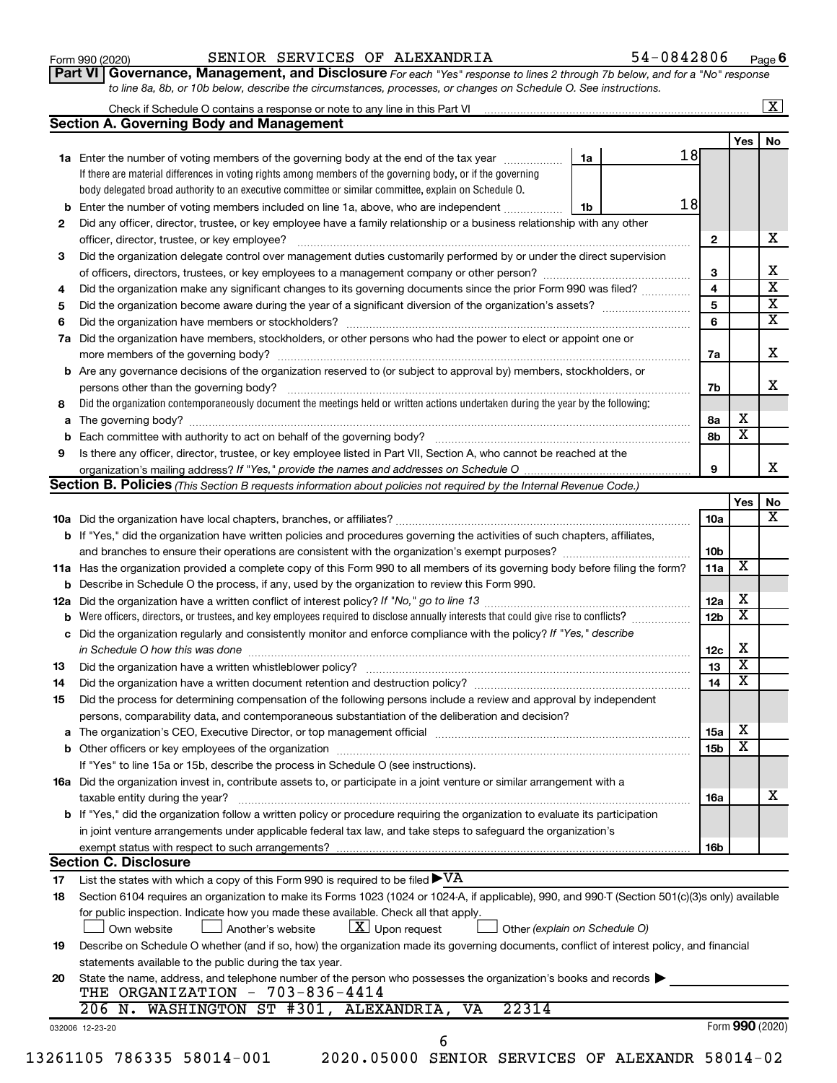| Form 990 (2020) |  |
|-----------------|--|
|-----------------|--|

#### Form 990 (2020) Page SENIOR SERVICES OF ALEXANDRIA 54-0842806

**Part VI** Governance, Management, and Disclosure For each "Yes" response to lines 2 through 7b below, and for a "No" response *to line 8a, 8b, or 10b below, describe the circumstances, processes, or changes on Schedule O. See instructions.*

|     | Check if Schedule O contains a response or note to any line in this Part VI [1] [1] [1] [1] [1] [1] [1] [1] [1                                                                                                   |    |                        |                         | $\mathbf{X}$ |
|-----|------------------------------------------------------------------------------------------------------------------------------------------------------------------------------------------------------------------|----|------------------------|-------------------------|--------------|
|     | <b>Section A. Governing Body and Management</b>                                                                                                                                                                  |    |                        |                         |              |
|     |                                                                                                                                                                                                                  |    |                        | Yes                     | No           |
|     | 1a Enter the number of voting members of the governing body at the end of the tax year                                                                                                                           | 1a | 18                     |                         |              |
|     | If there are material differences in voting rights among members of the governing body, or if the governing                                                                                                      |    |                        |                         |              |
|     | body delegated broad authority to an executive committee or similar committee, explain on Schedule O.                                                                                                            |    |                        |                         |              |
| b   | Enter the number of voting members included on line 1a, above, who are independent <i></i>                                                                                                                       | 1b | 18                     |                         |              |
| 2   | Did any officer, director, trustee, or key employee have a family relationship or a business relationship with any other                                                                                         |    |                        |                         |              |
|     | officer, director, trustee, or key employee?                                                                                                                                                                     |    | $\mathbf{2}$           |                         |              |
| 3   | Did the organization delegate control over management duties customarily performed by or under the direct supervision                                                                                            |    |                        |                         |              |
|     |                                                                                                                                                                                                                  |    | 3                      |                         |              |
| 4   | Did the organization make any significant changes to its governing documents since the prior Form 990 was filed?                                                                                                 |    | 4                      |                         |              |
| 5   |                                                                                                                                                                                                                  |    | 5                      |                         |              |
| 6   |                                                                                                                                                                                                                  |    | 6                      |                         |              |
| 7a  | Did the organization have members, stockholders, or other persons who had the power to elect or appoint one or                                                                                                   |    |                        |                         |              |
|     |                                                                                                                                                                                                                  |    | 7a                     |                         |              |
| b   | Are any governance decisions of the organization reserved to (or subject to approval by) members, stockholders, or                                                                                               |    |                        |                         |              |
|     |                                                                                                                                                                                                                  |    | 7b                     |                         |              |
| 8   | Did the organization contemporaneously document the meetings held or written actions undertaken during the year by the following:                                                                                |    |                        |                         |              |
| а   |                                                                                                                                                                                                                  |    | 8а                     | х                       |              |
| b   |                                                                                                                                                                                                                  |    | 8b                     | х                       |              |
| 9   | Is there any officer, director, trustee, or key employee listed in Part VII, Section A, who cannot be reached at the                                                                                             |    |                        |                         |              |
|     |                                                                                                                                                                                                                  |    | 9                      |                         |              |
|     | <b>Section B. Policies</b> (This Section B requests information about policies not required by the Internal Revenue Code.)                                                                                       |    |                        |                         |              |
|     |                                                                                                                                                                                                                  |    |                        | Yes                     | No           |
|     |                                                                                                                                                                                                                  |    | 10a                    |                         |              |
|     | b If "Yes," did the organization have written policies and procedures governing the activities of such chapters, affiliates,                                                                                     |    |                        |                         |              |
|     |                                                                                                                                                                                                                  |    | 10 <sub>b</sub>        |                         |              |
|     | 11a Has the organization provided a complete copy of this Form 990 to all members of its governing body before filing the form?                                                                                  |    | 11a                    | X                       |              |
|     | <b>b</b> Describe in Schedule O the process, if any, used by the organization to review this Form 990.                                                                                                           |    |                        |                         |              |
| 12a |                                                                                                                                                                                                                  |    | 12a                    | х                       |              |
| b   | Were officers, directors, or trustees, and key employees required to disclose annually interests that could give rise to conflicts?                                                                              |    | 12 <sub>b</sub>        | х                       |              |
| с   | Did the organization regularly and consistently monitor and enforce compliance with the policy? If "Yes," describe                                                                                               |    |                        |                         |              |
|     |                                                                                                                                                                                                                  |    | 12c                    | х                       |              |
| 13  |                                                                                                                                                                                                                  |    | 13                     | $\overline{\mathbf{X}}$ |              |
| 14  | Did the organization have a written document retention and destruction policy? [11] manufaction model of the organization have a written document retention and destruction policy?                              |    | 14                     | $\overline{\mathbf{X}}$ |              |
| 15  | Did the process for determining compensation of the following persons include a review and approval by independent                                                                                               |    |                        |                         |              |
|     | persons, comparability data, and contemporaneous substantiation of the deliberation and decision?                                                                                                                |    |                        |                         |              |
|     |                                                                                                                                                                                                                  |    |                        | х                       |              |
| а   | The organization's CEO, Executive Director, or top management official manufactured content of the organization's CEO, Executive Director, or top management official manufactured content of the organization's |    | 15a<br>15 <sub>b</sub> | х                       |              |
|     |                                                                                                                                                                                                                  |    |                        |                         |              |
|     | If "Yes" to line 15a or 15b, describe the process in Schedule O (see instructions).                                                                                                                              |    |                        |                         |              |
|     | 16a Did the organization invest in, contribute assets to, or participate in a joint venture or similar arrangement with a                                                                                        |    | 16a                    |                         |              |
|     |                                                                                                                                                                                                                  |    |                        |                         |              |
|     | taxable entity during the year?                                                                                                                                                                                  |    |                        |                         |              |
|     | b If "Yes," did the organization follow a written policy or procedure requiring the organization to evaluate its participation                                                                                   |    |                        |                         |              |
|     | in joint venture arrangements under applicable federal tax law, and take steps to safeguard the organization's                                                                                                   |    |                        |                         |              |
|     | exempt status with respect to such arrangements?                                                                                                                                                                 |    | 16b                    |                         |              |
|     | <b>Section C. Disclosure</b>                                                                                                                                                                                     |    |                        |                         |              |
| 17  | List the states with which a copy of this Form 990 is required to be filed $\blacktriangleright\mathrm{VA}$                                                                                                      |    |                        |                         |              |
| 18  | Section 6104 requires an organization to make its Forms 1023 (1024 or 1024-A, if applicable), 990, and 990-T (Section 501(c)(3)s only) available                                                                 |    |                        |                         |              |
|     | for public inspection. Indicate how you made these available. Check all that apply.                                                                                                                              |    |                        |                         |              |
|     | $ \underline{X} $ Upon request<br>Own website<br>Another's website<br>Other (explain on Schedule O)                                                                                                              |    |                        |                         |              |
| 19  | Describe on Schedule O whether (and if so, how) the organization made its governing documents, conflict of interest policy, and financial                                                                        |    |                        |                         |              |
|     | statements available to the public during the tax year.                                                                                                                                                          |    |                        |                         |              |
| 20  | State the name, address, and telephone number of the person who possesses the organization's books and records                                                                                                   |    |                        |                         |              |
|     | THE ORGANIZATION - 703-836-4414                                                                                                                                                                                  |    |                        |                         |              |
|     | 206 N. WASHINGTON ST #301, ALEXANDRIA,<br>22314<br><b>VA</b><br>032006 12-23-20                                                                                                                                  |    |                        | Form 990 (2020)         |              |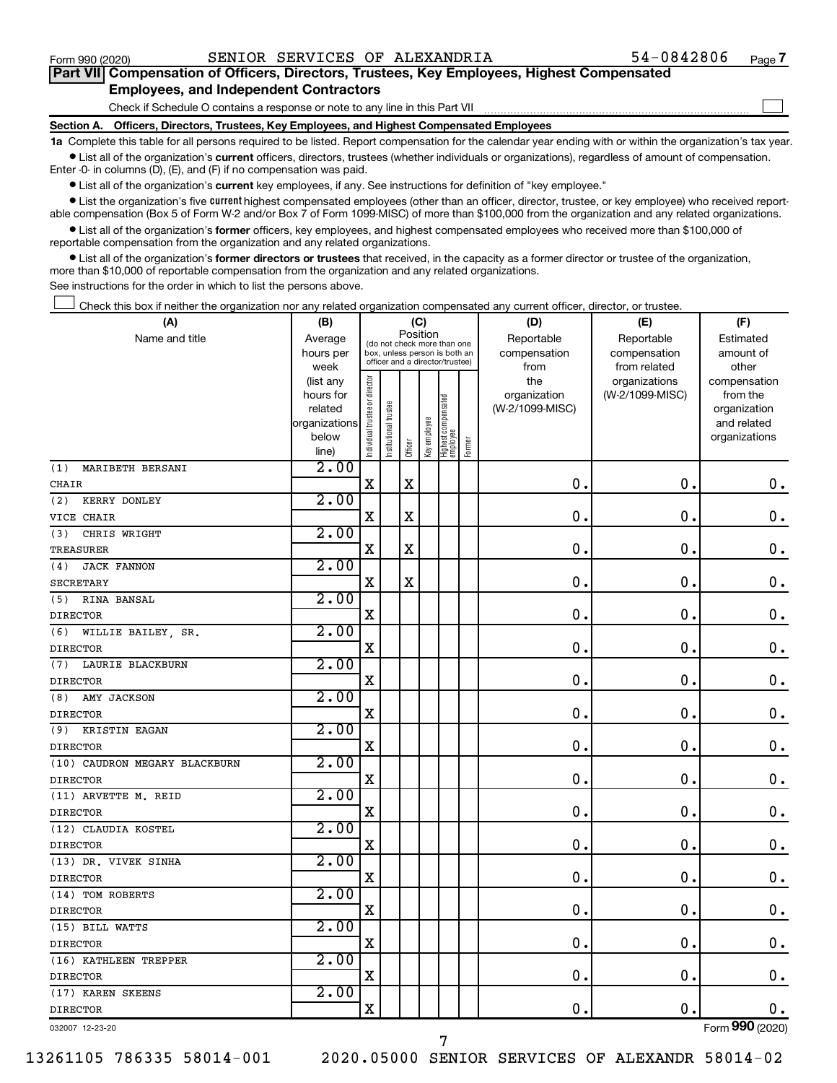$\Box$ 

| Part VII Compensation of Officers, Directors, Trustees, Key Employees, Highest Compensated |  |  |  |  |
|--------------------------------------------------------------------------------------------|--|--|--|--|
| <b>Employees, and Independent Contractors</b>                                              |  |  |  |  |

Check if Schedule O contains a response or note to any line in this Part VII

**Section A. Officers, Directors, Trustees, Key Employees, and Highest Compensated Employees**

**1a**  Complete this table for all persons required to be listed. Report compensation for the calendar year ending with or within the organization's tax year.  $\bullet$  List all of the organization's current officers, directors, trustees (whether individuals or organizations), regardless of amount of compensation.

Enter -0- in columns (D), (E), and (F) if no compensation was paid.

**•** List all of the organization's current key employees, if any. See instructions for definition of "key employee."

**•** List the organization's five *current* highest compensated employees (other than an officer, director, trustee, or key employee) who received reportable compensation (Box 5 of Form W-2 and/or Box 7 of Form 1099-MISC) of more than \$100,000 from the organization and any related organizations.

 $\bullet$  List all of the organization's former officers, key employees, and highest compensated employees who received more than \$100,000 of reportable compensation from the organization and any related organizations.

**•** List all of the organization's former directors or trustees that received, in the capacity as a former director or trustee of the organization, more than \$10,000 of reportable compensation from the organization and any related organizations.

See instructions for the order in which to list the persons above.

Check this box if neither the organization nor any related organization compensated any current officer, director, or trustee.  $\Box$ 

| (A)                           | (B)                    |                                |                                                                  | (C)         |              |                                 |        | (D)             | (E)                              | (F)                      |
|-------------------------------|------------------------|--------------------------------|------------------------------------------------------------------|-------------|--------------|---------------------------------|--------|-----------------|----------------------------------|--------------------------|
| Name and title                | Average                |                                | (do not check more than one                                      |             | Position     |                                 |        | Reportable      | Reportable                       | Estimated                |
|                               | hours per              |                                | box, unless person is both an<br>officer and a director/trustee) |             |              |                                 |        | compensation    | compensation                     | amount of                |
|                               | week                   |                                |                                                                  |             |              |                                 |        | from<br>the     | from related                     | other                    |
|                               | (list any<br>hours for |                                |                                                                  |             |              |                                 |        | organization    | organizations<br>(W-2/1099-MISC) | compensation<br>from the |
|                               | related                |                                |                                                                  |             |              |                                 |        | (W-2/1099-MISC) |                                  | organization             |
|                               | organizations          |                                |                                                                  |             |              |                                 |        |                 |                                  | and related              |
|                               | below                  | Individual trustee or director | Institutional trustee                                            |             | Key employee | Highest compensated<br>employee |        |                 |                                  | organizations            |
|                               | line)                  |                                |                                                                  | Officer     |              |                                 | Former |                 |                                  |                          |
| MARIBETH BERSANI<br>(1)       | 2.00                   |                                |                                                                  |             |              |                                 |        |                 |                                  |                          |
| <b>CHAIR</b>                  |                        | $\mathbf X$                    |                                                                  | $\rm X$     |              |                                 |        | $\mathbf 0$     | $\mathbf 0$ .                    | 0.                       |
| (2)<br>KERRY DONLEY           | 2.00                   |                                |                                                                  |             |              |                                 |        |                 |                                  |                          |
| VICE CHAIR                    |                        | X                              |                                                                  | X           |              |                                 |        | $\mathbf 0$     | $\mathbf 0$                      | $\mathbf 0$ .            |
| CHRIS WRIGHT<br>(3)           | 2.00                   |                                |                                                                  |             |              |                                 |        |                 |                                  |                          |
| <b>TREASURER</b>              |                        | $\mathbf X$                    |                                                                  | $\rm X$     |              |                                 |        | 0               | 0.                               | $\mathbf 0$ .            |
| <b>JACK FANNON</b><br>(4)     | 2.00                   |                                |                                                                  |             |              |                                 |        |                 |                                  |                          |
| <b>SECRETARY</b>              |                        | $\mathbf X$                    |                                                                  | $\mathbf X$ |              |                                 |        | 0.              | $\mathbf 0$ .                    | $\mathbf 0$ .            |
| RINA BANSAL<br>(5)            | 2.00                   |                                |                                                                  |             |              |                                 |        |                 |                                  |                          |
| <b>DIRECTOR</b>               |                        | X                              |                                                                  |             |              |                                 |        | 0.              | 0.                               | $\mathbf 0$ .            |
| WILLIE BAILEY, SR.<br>(6)     | 2.00                   |                                |                                                                  |             |              |                                 |        |                 |                                  |                          |
| <b>DIRECTOR</b>               |                        | X                              |                                                                  |             |              |                                 |        | 0               | $\mathbf 0$                      | 0.                       |
| LAURIE BLACKBURN<br>(7)       | 2.00                   |                                |                                                                  |             |              |                                 |        |                 |                                  |                          |
| <b>DIRECTOR</b>               |                        | X                              |                                                                  |             |              |                                 |        | $\mathbf 0$     | $\mathbf 0$                      | $\mathbf 0$ .            |
| AMY JACKSON<br>(8)            | 2.00                   |                                |                                                                  |             |              |                                 |        |                 |                                  |                          |
| <b>DIRECTOR</b>               |                        | X                              |                                                                  |             |              |                                 |        | $\mathbf 0$ .   | $\mathbf{0}$                     | $\mathbf 0$ .            |
| (9)<br>KRISTIN EAGAN          | 2.00                   |                                |                                                                  |             |              |                                 |        |                 |                                  |                          |
| <b>DIRECTOR</b>               |                        | X                              |                                                                  |             |              |                                 |        | $\mathbf 0$ .   | $\mathbf 0$ .                    | $\mathbf 0$ .            |
| (10) CAUDRON MEGARY BLACKBURN | 2.00                   |                                |                                                                  |             |              |                                 |        |                 |                                  |                          |
| <b>DIRECTOR</b>               |                        | X                              |                                                                  |             |              |                                 |        | $\mathbf 0$ .   | $\mathbf 0$ .                    | $\mathbf 0$ .            |
| (11) ARVETTE M. REID          | 2.00                   |                                |                                                                  |             |              |                                 |        |                 |                                  |                          |
| <b>DIRECTOR</b>               |                        | X                              |                                                                  |             |              |                                 |        | $\mathbf 0$ .   | $\mathbf 0$ .                    | $\mathbf 0$ .            |
| (12) CLAUDIA KOSTEL           | 2.00                   |                                |                                                                  |             |              |                                 |        |                 |                                  |                          |
| <b>DIRECTOR</b>               |                        | X                              |                                                                  |             |              |                                 |        | 0.              | $\mathbf 0$ .                    | $\mathbf 0$ .            |
| (13) DR. VIVEK SINHA          | 2.00                   |                                |                                                                  |             |              |                                 |        |                 |                                  |                          |
| <b>DIRECTOR</b>               |                        | Χ                              |                                                                  |             |              |                                 |        | 0.              | $\mathbf 0$ .                    | $\mathbf 0$ .            |
| (14) TOM ROBERTS              | 2.00                   |                                |                                                                  |             |              |                                 |        |                 |                                  |                          |
| <b>DIRECTOR</b>               |                        | $\mathbf X$                    |                                                                  |             |              |                                 |        | 0.              | $\mathbf 0$ .                    | $\mathbf 0$ .            |
| (15) BILL WATTS               | 2.00                   |                                |                                                                  |             |              |                                 |        |                 |                                  |                          |
| <b>DIRECTOR</b>               |                        | $\mathbf X$                    |                                                                  |             |              |                                 |        | 0.              | $\mathbf 0$ .                    | $\mathbf 0$ .            |
| (16) KATHLEEN TREPPER         | 2.00                   |                                |                                                                  |             |              |                                 |        |                 |                                  |                          |
| <b>DIRECTOR</b>               |                        | X                              |                                                                  |             |              |                                 |        | 0.              | $\mathbf 0$ .                    | $\mathbf 0$ .            |
| (17) KAREN SKEENS             | 2.00                   |                                |                                                                  |             |              |                                 |        |                 |                                  |                          |
| <b>DIRECTOR</b>               |                        | $\mathbf X$                    |                                                                  |             |              |                                 |        | $\mathbf 0$ .   | $\mathbf 0$ .                    | 0.                       |
|                               |                        |                                |                                                                  |             |              |                                 |        |                 |                                  | $\overline{\phantom{0}}$ |

032007 12-23-20

13261105 786335 58014-001 2020.05000 SENIOR SERVICES OF ALEXANDR 58014-02

7

Form (2020) **990**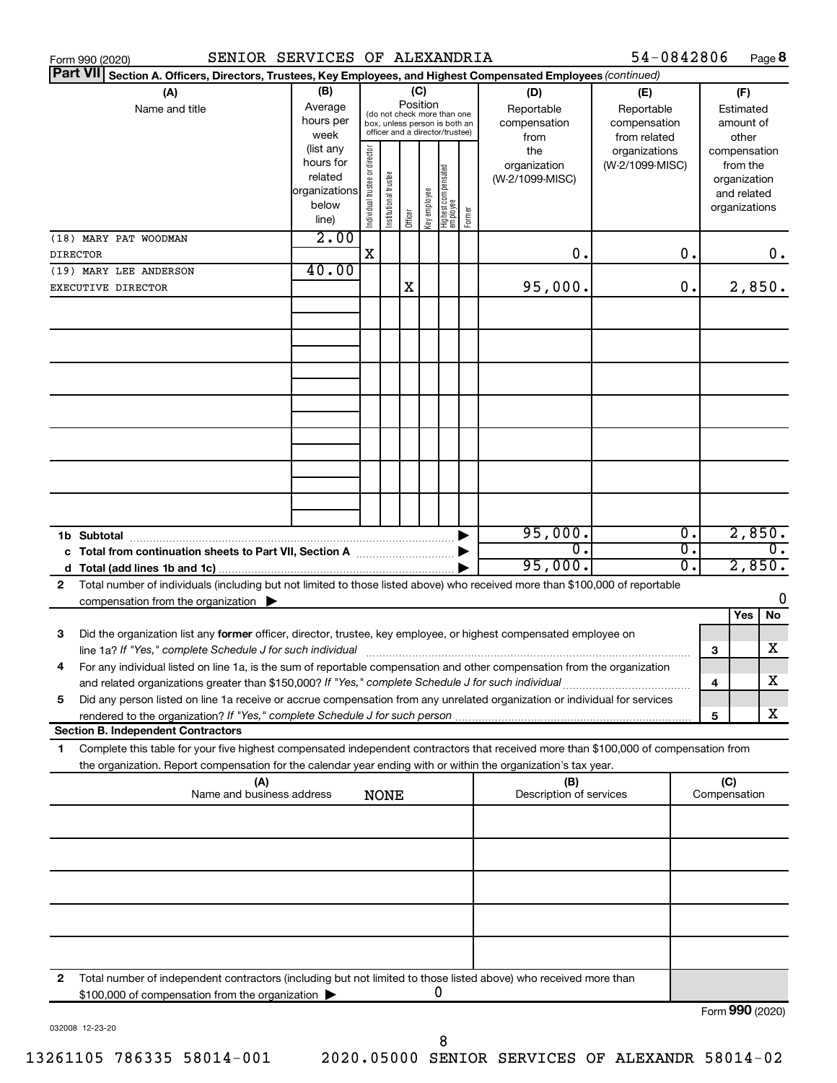|                 | SENIOR SERVICES OF ALEXANDRIA<br>Form 990 (2020)                                                                                     |               |                                |                       |          |              |                                                              |        |                         | 54-0842806      |    |   |               | Page 8           |
|-----------------|--------------------------------------------------------------------------------------------------------------------------------------|---------------|--------------------------------|-----------------------|----------|--------------|--------------------------------------------------------------|--------|-------------------------|-----------------|----|---|---------------|------------------|
| <b>Part VII</b> | Section A. Officers, Directors, Trustees, Key Employees, and Highest Compensated Employees (continued)                               |               |                                |                       |          |              |                                                              |        |                         |                 |    |   |               |                  |
|                 | (A)                                                                                                                                  | (B)           |                                |                       |          | (C)          |                                                              |        | (D)                     | (E)             |    |   | (F)           |                  |
|                 | Name and title                                                                                                                       | Average       |                                |                       | Position |              |                                                              |        | Reportable              | Reportable      |    |   | Estimated     |                  |
|                 |                                                                                                                                      | hours per     |                                |                       |          |              | (do not check more than one<br>box, unless person is both an |        | compensation            | compensation    |    |   | amount of     |                  |
|                 |                                                                                                                                      | week          |                                |                       |          |              | officer and a director/trustee)                              |        | from                    | from related    |    |   | other         |                  |
|                 |                                                                                                                                      | (list any     |                                |                       |          |              |                                                              |        | the                     | organizations   |    |   | compensation  |                  |
|                 |                                                                                                                                      | hours for     |                                |                       |          |              |                                                              |        | organization            | (W-2/1099-MISC) |    |   | from the      |                  |
|                 |                                                                                                                                      | related       |                                |                       |          |              |                                                              |        | (W-2/1099-MISC)         |                 |    |   | organization  |                  |
|                 |                                                                                                                                      | organizations |                                |                       |          |              |                                                              |        |                         |                 |    |   | and related   |                  |
|                 |                                                                                                                                      | below         |                                |                       |          |              |                                                              |        |                         |                 |    |   | organizations |                  |
|                 |                                                                                                                                      | line)         | Individual trustee or director | Institutional trustee | Officer  | Key employee | Highest compensated<br>  employee                            | Former |                         |                 |    |   |               |                  |
|                 | (18) MARY PAT WOODMAN                                                                                                                | 2.00          |                                |                       |          |              |                                                              |        |                         |                 |    |   |               |                  |
| <b>DIRECTOR</b> |                                                                                                                                      |               | X                              |                       |          |              |                                                              |        | 0.                      |                 | 0. |   |               | 0.               |
|                 |                                                                                                                                      |               |                                |                       |          |              |                                                              |        |                         |                 |    |   |               |                  |
|                 | (19) MARY LEE ANDERSON                                                                                                               | 40.00         |                                |                       |          |              |                                                              |        |                         |                 |    |   |               |                  |
|                 | EXECUTIVE DIRECTOR                                                                                                                   |               |                                |                       | Χ        |              |                                                              |        | 95,000.                 |                 | 0. |   |               | 2,850.           |
|                 |                                                                                                                                      |               |                                |                       |          |              |                                                              |        |                         |                 |    |   |               |                  |
|                 |                                                                                                                                      |               |                                |                       |          |              |                                                              |        |                         |                 |    |   |               |                  |
|                 |                                                                                                                                      |               |                                |                       |          |              |                                                              |        |                         |                 |    |   |               |                  |
|                 |                                                                                                                                      |               |                                |                       |          |              |                                                              |        |                         |                 |    |   |               |                  |
|                 |                                                                                                                                      |               |                                |                       |          |              |                                                              |        |                         |                 |    |   |               |                  |
|                 |                                                                                                                                      |               |                                |                       |          |              |                                                              |        |                         |                 |    |   |               |                  |
|                 |                                                                                                                                      |               |                                |                       |          |              |                                                              |        |                         |                 |    |   |               |                  |
|                 |                                                                                                                                      |               |                                |                       |          |              |                                                              |        |                         |                 |    |   |               |                  |
|                 |                                                                                                                                      |               |                                |                       |          |              |                                                              |        |                         |                 |    |   |               |                  |
|                 |                                                                                                                                      |               |                                |                       |          |              |                                                              |        |                         |                 |    |   |               |                  |
|                 |                                                                                                                                      |               |                                |                       |          |              |                                                              |        |                         |                 |    |   |               |                  |
|                 |                                                                                                                                      |               |                                |                       |          |              |                                                              |        |                         |                 |    |   |               |                  |
|                 |                                                                                                                                      |               |                                |                       |          |              |                                                              |        |                         |                 |    |   |               |                  |
|                 |                                                                                                                                      |               |                                |                       |          |              |                                                              |        |                         |                 |    |   |               |                  |
|                 |                                                                                                                                      |               |                                |                       |          |              |                                                              |        |                         |                 |    |   |               |                  |
|                 |                                                                                                                                      |               |                                |                       |          |              |                                                              |        |                         |                 |    |   |               |                  |
|                 |                                                                                                                                      |               |                                |                       |          |              |                                                              |        | 95,000.                 |                 | Ο. |   |               | 2,850.           |
|                 | c Total from continuation sheets to Part VII, Section A manuscreen continuum                                                         |               |                                |                       |          |              |                                                              |        | σ.                      |                 | σ. |   |               | $\overline{0}$ . |
|                 |                                                                                                                                      |               |                                |                       |          |              |                                                              |        | 95,000.                 |                 | О. |   | 2,850.        |                  |
| 2               | Total number of individuals (including but not limited to those listed above) who received more than \$100,000 of reportable         |               |                                |                       |          |              |                                                              |        |                         |                 |    |   |               |                  |
|                 | compensation from the organization $\blacktriangleright$                                                                             |               |                                |                       |          |              |                                                              |        |                         |                 |    |   |               | 0                |
|                 |                                                                                                                                      |               |                                |                       |          |              |                                                              |        |                         |                 |    |   | Yes           | No               |
|                 |                                                                                                                                      |               |                                |                       |          |              |                                                              |        |                         |                 |    |   |               |                  |
| 3               | Did the organization list any former officer, director, trustee, key employee, or highest compensated employee on                    |               |                                |                       |          |              |                                                              |        |                         |                 |    |   |               |                  |
|                 | line 1a? If "Yes," complete Schedule J for such individual manufactured content to the content of the complete                       |               |                                |                       |          |              |                                                              |        |                         |                 |    | 3 |               | х                |
|                 | For any individual listed on line 1a, is the sum of reportable compensation and other compensation from the organization             |               |                                |                       |          |              |                                                              |        |                         |                 |    |   |               |                  |
|                 | and related organizations greater than \$150,000? If "Yes," complete Schedule J for such individual                                  |               |                                |                       |          |              |                                                              |        |                         |                 |    | 4 |               | х                |
| 5               | Did any person listed on line 1a receive or accrue compensation from any unrelated organization or individual for services           |               |                                |                       |          |              |                                                              |        |                         |                 |    |   |               |                  |
|                 |                                                                                                                                      |               |                                |                       |          |              |                                                              |        |                         |                 |    | 5 |               | х                |
|                 | <b>Section B. Independent Contractors</b>                                                                                            |               |                                |                       |          |              |                                                              |        |                         |                 |    |   |               |                  |
| 1               | Complete this table for your five highest compensated independent contractors that received more than \$100,000 of compensation from |               |                                |                       |          |              |                                                              |        |                         |                 |    |   |               |                  |
|                 |                                                                                                                                      |               |                                |                       |          |              |                                                              |        |                         |                 |    |   |               |                  |
|                 | the organization. Report compensation for the calendar year ending with or within the organization's tax year.                       |               |                                |                       |          |              |                                                              |        |                         |                 |    |   |               |                  |
|                 | (A)<br>Name and business address                                                                                                     |               |                                |                       |          |              |                                                              |        | (B)                     |                 |    |   | (C)           |                  |
|                 |                                                                                                                                      |               |                                | <b>NONE</b>           |          |              |                                                              |        | Description of services |                 |    |   | Compensation  |                  |
|                 |                                                                                                                                      |               |                                |                       |          |              |                                                              |        |                         |                 |    |   |               |                  |
|                 |                                                                                                                                      |               |                                |                       |          |              |                                                              |        |                         |                 |    |   |               |                  |
|                 |                                                                                                                                      |               |                                |                       |          |              |                                                              |        |                         |                 |    |   |               |                  |
|                 |                                                                                                                                      |               |                                |                       |          |              |                                                              |        |                         |                 |    |   |               |                  |
|                 |                                                                                                                                      |               |                                |                       |          |              |                                                              |        |                         |                 |    |   |               |                  |
|                 |                                                                                                                                      |               |                                |                       |          |              |                                                              |        |                         |                 |    |   |               |                  |
|                 |                                                                                                                                      |               |                                |                       |          |              |                                                              |        |                         |                 |    |   |               |                  |
|                 |                                                                                                                                      |               |                                |                       |          |              |                                                              |        |                         |                 |    |   |               |                  |
|                 |                                                                                                                                      |               |                                |                       |          |              |                                                              |        |                         |                 |    |   |               |                  |
|                 |                                                                                                                                      |               |                                |                       |          |              |                                                              |        |                         |                 |    |   |               |                  |
|                 |                                                                                                                                      |               |                                |                       |          |              |                                                              |        |                         |                 |    |   |               |                  |
| 2               | Total number of independent contractors (including but not limited to those listed above) who received more than                     |               |                                |                       |          |              |                                                              |        |                         |                 |    |   |               |                  |
|                 | \$100,000 of compensation from the organization                                                                                      |               |                                |                       |          |              | 0                                                            |        |                         |                 |    |   |               |                  |
|                 |                                                                                                                                      |               |                                |                       |          |              |                                                              |        |                         |                 |    |   |               | Form 990 (2020)  |
|                 |                                                                                                                                      |               |                                |                       |          |              |                                                              |        |                         |                 |    |   |               |                  |

032008 12-23-20

8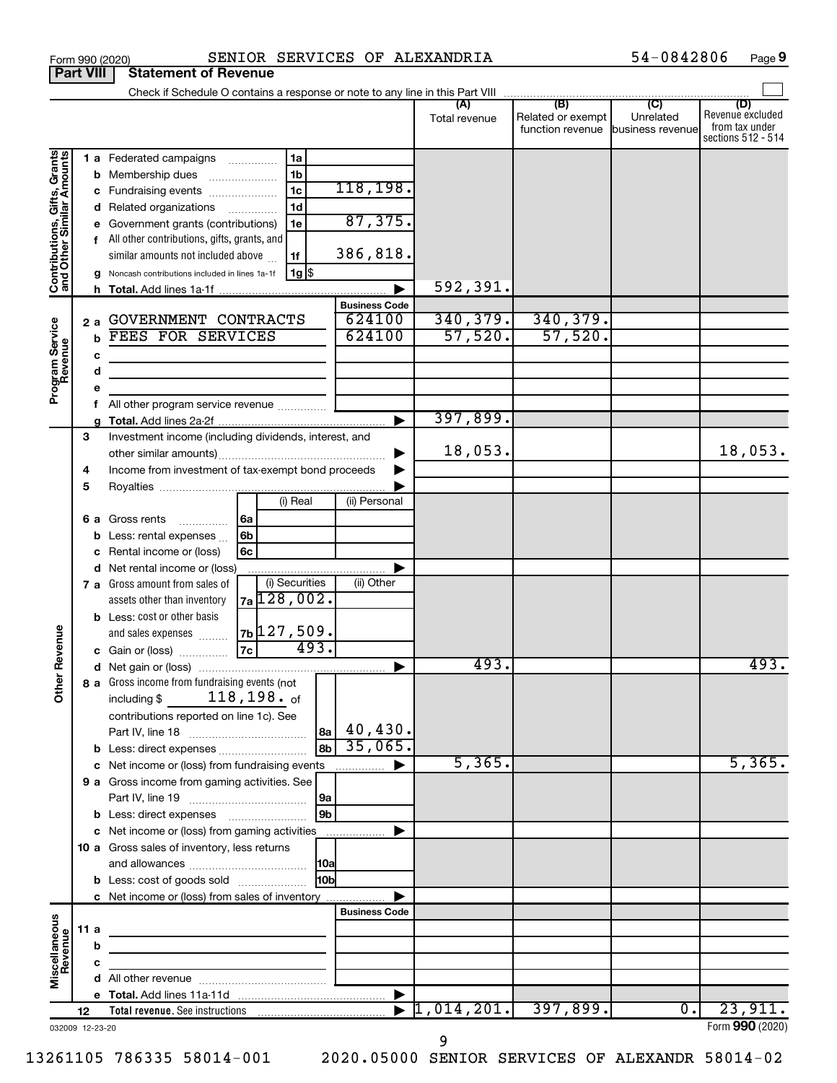|                                                           |                                                  |                                                                     |                                                                            |            |                                 |       |                      | Total revenue                    | (B)<br>Related or exempt<br>function revenue | $\overline{C}$<br>Unrelated<br>business revenue | (D)<br>Revenue excluded<br>from tax under<br>sections 512 - 514 |
|-----------------------------------------------------------|--------------------------------------------------|---------------------------------------------------------------------|----------------------------------------------------------------------------|------------|---------------------------------|-------|----------------------|----------------------------------|----------------------------------------------|-------------------------------------------------|-----------------------------------------------------------------|
|                                                           |                                                  |                                                                     | 1 a Federated campaigns                                                    |            | 1a                              |       |                      |                                  |                                              |                                                 |                                                                 |
| Contributions, Gifts, Grants<br>and Other Similar Amounts |                                                  |                                                                     | <b>b</b> Membership dues                                                   |            | 1 <sub>b</sub>                  |       |                      |                                  |                                              |                                                 |                                                                 |
|                                                           |                                                  |                                                                     | c Fundraising events                                                       |            | 1 <sub>c</sub>                  |       | 118, 198.            |                                  |                                              |                                                 |                                                                 |
|                                                           |                                                  |                                                                     | d Related organizations                                                    |            | 1 <sub>d</sub>                  |       |                      |                                  |                                              |                                                 |                                                                 |
|                                                           |                                                  | е                                                                   | Government grants (contributions)                                          |            | 1e                              |       | 87,375.              |                                  |                                              |                                                 |                                                                 |
|                                                           |                                                  |                                                                     | f All other contributions, gifts, grants, and                              |            |                                 |       |                      |                                  |                                              |                                                 |                                                                 |
|                                                           |                                                  |                                                                     | similar amounts not included above                                         |            | 1f                              |       | 386,818.             |                                  |                                              |                                                 |                                                                 |
|                                                           |                                                  | g                                                                   | Noncash contributions included in lines 1a-1f                              |            | $1g$ \$                         |       |                      |                                  |                                              |                                                 |                                                                 |
|                                                           |                                                  |                                                                     |                                                                            |            |                                 |       |                      | 592, 391.                        |                                              |                                                 |                                                                 |
|                                                           |                                                  |                                                                     |                                                                            |            |                                 |       | <b>Business Code</b> |                                  |                                              |                                                 |                                                                 |
|                                                           |                                                  | 2a                                                                  | GOVERNMENT CONTRACTS                                                       |            |                                 |       | 624100               | 340, 379.                        | 340, 379.                                    |                                                 |                                                                 |
|                                                           |                                                  | b                                                                   | FEES FOR SERVICES                                                          |            |                                 |       | 624100               | 57,520.                          | 57,520.                                      |                                                 |                                                                 |
| Program Service<br>Revenue                                |                                                  | c                                                                   |                                                                            |            |                                 |       |                      |                                  |                                              |                                                 |                                                                 |
|                                                           |                                                  | d                                                                   | the control of the control of the control of the control of                |            |                                 |       |                      |                                  |                                              |                                                 |                                                                 |
|                                                           |                                                  | e                                                                   | the control of the control of the control of the control of the control of |            |                                 |       |                      |                                  |                                              |                                                 |                                                                 |
|                                                           |                                                  |                                                                     | All other program service revenue                                          |            |                                 |       |                      |                                  |                                              |                                                 |                                                                 |
|                                                           |                                                  | f                                                                   |                                                                            |            |                                 |       |                      | 397,899.                         |                                              |                                                 |                                                                 |
|                                                           | 3                                                | a                                                                   | Investment income (including dividends, interest, and                      |            |                                 |       |                      |                                  |                                              |                                                 |                                                                 |
|                                                           |                                                  |                                                                     |                                                                            |            |                                 |       |                      | 18,053.                          |                                              |                                                 | 18,053.                                                         |
|                                                           | 4                                                |                                                                     | Income from investment of tax-exempt bond proceeds                         |            |                                 |       |                      |                                  |                                              |                                                 |                                                                 |
|                                                           | 5                                                |                                                                     |                                                                            |            |                                 |       |                      |                                  |                                              |                                                 |                                                                 |
|                                                           |                                                  |                                                                     |                                                                            |            | (i) Real                        |       | (ii) Personal        |                                  |                                              |                                                 |                                                                 |
|                                                           |                                                  |                                                                     |                                                                            |            |                                 |       |                      |                                  |                                              |                                                 |                                                                 |
|                                                           |                                                  |                                                                     | 6 a Gross rents                                                            | 6a         |                                 |       |                      |                                  |                                              |                                                 |                                                                 |
|                                                           |                                                  |                                                                     | <b>b</b> Less: rental expenses                                             | 6b         |                                 |       |                      |                                  |                                              |                                                 |                                                                 |
|                                                           |                                                  | Rental income or (loss)<br>6c<br>c<br>d Net rental income or (loss) |                                                                            |            |                                 |       |                      |                                  |                                              |                                                 |                                                                 |
|                                                           | (i) Securities<br>7 a Gross amount from sales of |                                                                     |                                                                            | (ii) Other |                                 |       |                      |                                  |                                              |                                                 |                                                                 |
|                                                           |                                                  |                                                                     |                                                                            |            | $7a$ 128,002.                   |       |                      |                                  |                                              |                                                 |                                                                 |
|                                                           |                                                  |                                                                     | assets other than inventory                                                |            |                                 |       |                      |                                  |                                              |                                                 |                                                                 |
|                                                           |                                                  |                                                                     | <b>b</b> Less: cost or other basis                                         |            |                                 |       |                      |                                  |                                              |                                                 |                                                                 |
|                                                           |                                                  |                                                                     | and sales expenses                                                         | 7c         | <sub>7b</sub>  127,509.<br>493. |       |                      |                                  |                                              |                                                 |                                                                 |
|                                                           |                                                  |                                                                     | c Gain or (loss)                                                           |            |                                 |       |                      | 493.                             |                                              |                                                 | 493.                                                            |
| <b>Other Revenue</b>                                      |                                                  |                                                                     |                                                                            |            |                                 |       | ▶                    |                                  |                                              |                                                 |                                                                 |
|                                                           |                                                  |                                                                     | 8 a Gross income from fundraising events (not                              |            |                                 |       |                      |                                  |                                              |                                                 |                                                                 |
|                                                           |                                                  |                                                                     | including $\frac{118}{198}$ , 198. of                                      |            |                                 |       |                      |                                  |                                              |                                                 |                                                                 |
|                                                           |                                                  |                                                                     | contributions reported on line 1c). See                                    |            |                                 |       |                      |                                  |                                              |                                                 |                                                                 |
|                                                           |                                                  |                                                                     |                                                                            |            |                                 | 8a    | 40,430.              |                                  |                                              |                                                 |                                                                 |
|                                                           |                                                  |                                                                     |                                                                            |            |                                 | 8b    | 35,065.              |                                  |                                              |                                                 |                                                                 |
|                                                           |                                                  |                                                                     |                                                                            |            |                                 |       |                      | 5,365.                           |                                              |                                                 | 5,365.                                                          |
|                                                           |                                                  |                                                                     | 9 a Gross income from gaming activities. See                               |            |                                 |       |                      |                                  |                                              |                                                 |                                                                 |
|                                                           |                                                  |                                                                     |                                                                            |            |                                 | 9a    |                      |                                  |                                              |                                                 |                                                                 |
|                                                           |                                                  |                                                                     | <b>b</b> Less: direct expenses <b>manually</b>                             |            |                                 | 9b    |                      |                                  |                                              |                                                 |                                                                 |
|                                                           |                                                  |                                                                     | c Net income or (loss) from gaming activities                              |            |                                 |       |                      |                                  |                                              |                                                 |                                                                 |
|                                                           |                                                  |                                                                     | 10 a Gross sales of inventory, less returns                                |            |                                 |       |                      |                                  |                                              |                                                 |                                                                 |
|                                                           |                                                  |                                                                     |                                                                            |            |                                 |       |                      |                                  |                                              |                                                 |                                                                 |
|                                                           |                                                  |                                                                     | <b>b</b> Less: cost of goods sold                                          |            |                                 | l10bl |                      |                                  |                                              |                                                 |                                                                 |
|                                                           |                                                  |                                                                     | c Net income or (loss) from sales of inventory                             |            |                                 |       |                      |                                  |                                              |                                                 |                                                                 |
|                                                           |                                                  |                                                                     |                                                                            |            |                                 |       | <b>Business Code</b> |                                  |                                              |                                                 |                                                                 |
| Miscellaneous<br>Revenue                                  | 11a                                              |                                                                     | the control of the control of the control of the control of                |            |                                 |       |                      |                                  |                                              |                                                 |                                                                 |
|                                                           |                                                  | b                                                                   |                                                                            |            |                                 |       |                      |                                  |                                              |                                                 |                                                                 |
|                                                           |                                                  | c                                                                   |                                                                            |            |                                 |       |                      |                                  |                                              |                                                 |                                                                 |
|                                                           |                                                  |                                                                     |                                                                            |            |                                 |       |                      |                                  |                                              |                                                 |                                                                 |
|                                                           |                                                  |                                                                     |                                                                            |            |                                 |       |                      |                                  |                                              |                                                 |                                                                 |
|                                                           | 12                                               |                                                                     |                                                                            |            |                                 |       |                      | $\blacktriangleright$ 1,014,201. | 397,899.                                     | $\overline{0}$ .                                | 23,911.                                                         |
| 032009 12-23-20                                           |                                                  |                                                                     |                                                                            |            |                                 |       |                      |                                  |                                              |                                                 | Form 990 (2020)                                                 |

Form 990 (2020) SENIOR SERVICES OF ALEXANDRIA  $54-0842806$  Page

**9**

**Part VIII Statement of Revenue**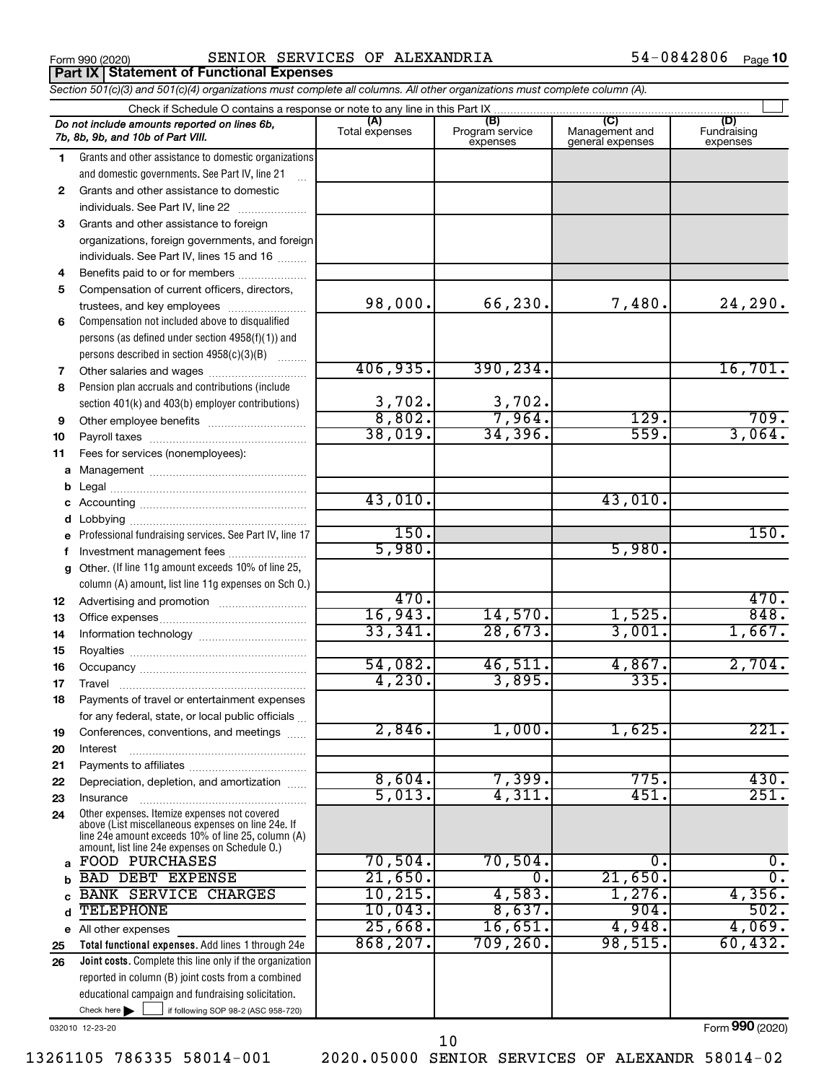**Part IX Statement of Functional Expenses**

Form 990 (2020) SENIOR SERVICES OF ALEXANDRIA  $54-0842806$  Page

54-0842806 Page 10

|          | Section 501(c)(3) and 501(c)(4) organizations must complete all columns. All other organizations must complete column (A).                                                                                 |                       |                                    |                                           |                                |
|----------|------------------------------------------------------------------------------------------------------------------------------------------------------------------------------------------------------------|-----------------------|------------------------------------|-------------------------------------------|--------------------------------|
|          | Check if Schedule O contains a response or note to any line in this Part IX                                                                                                                                |                       |                                    |                                           |                                |
|          | Do not include amounts reported on lines 6b,<br>7b, 8b, 9b, and 10b of Part VIII.                                                                                                                          | (A)<br>Total expenses | (B)<br>Program service<br>expenses | (C)<br>Management and<br>general expenses | (D)<br>Fundraising<br>expenses |
| 1        | Grants and other assistance to domestic organizations                                                                                                                                                      |                       |                                    |                                           |                                |
|          | and domestic governments. See Part IV, line 21                                                                                                                                                             |                       |                                    |                                           |                                |
| 2        | Grants and other assistance to domestic                                                                                                                                                                    |                       |                                    |                                           |                                |
|          | individuals. See Part IV, line 22                                                                                                                                                                          |                       |                                    |                                           |                                |
| 3        | Grants and other assistance to foreign                                                                                                                                                                     |                       |                                    |                                           |                                |
|          | organizations, foreign governments, and foreign                                                                                                                                                            |                       |                                    |                                           |                                |
|          | individuals. See Part IV, lines 15 and 16                                                                                                                                                                  |                       |                                    |                                           |                                |
| 4        | Benefits paid to or for members                                                                                                                                                                            |                       |                                    |                                           |                                |
| 5        | Compensation of current officers, directors,                                                                                                                                                               |                       |                                    |                                           |                                |
|          | trustees, and key employees                                                                                                                                                                                | 98,000.               | 66,230.                            | 7,480.                                    | 24, 290.                       |
| 6        | Compensation not included above to disqualified                                                                                                                                                            |                       |                                    |                                           |                                |
|          | persons (as defined under section $4958(f)(1)$ ) and                                                                                                                                                       |                       |                                    |                                           |                                |
|          | persons described in section 4958(c)(3)(B)                                                                                                                                                                 |                       |                                    |                                           |                                |
| 7        | Other salaries and wages                                                                                                                                                                                   | 406,935.              | 390, 234.                          |                                           | 16,701.                        |
| 8        | Pension plan accruals and contributions (include                                                                                                                                                           |                       |                                    |                                           |                                |
|          | section 401(k) and 403(b) employer contributions)                                                                                                                                                          | $\frac{3,702}{8,802}$ | $\frac{3,702}{7,964}$              |                                           |                                |
| 9        | Other employee benefits                                                                                                                                                                                    |                       |                                    | 129.                                      | 709.                           |
| 10       |                                                                                                                                                                                                            | 38,019.               | 34,396.                            | 559.                                      | 3,064.                         |
| 11       | Fees for services (nonemployees):                                                                                                                                                                          |                       |                                    |                                           |                                |
| а        |                                                                                                                                                                                                            |                       |                                    |                                           |                                |
|          |                                                                                                                                                                                                            |                       |                                    |                                           |                                |
|          |                                                                                                                                                                                                            | 43,010.               |                                    | 43,010.                                   |                                |
|          |                                                                                                                                                                                                            |                       |                                    |                                           |                                |
| е        | Professional fundraising services. See Part IV, line 17                                                                                                                                                    | 150.                  |                                    |                                           | 150.                           |
| f        | Investment management fees                                                                                                                                                                                 | 5,980.                |                                    | 5,980.                                    |                                |
| g        | Other. (If line 11g amount exceeds 10% of line 25,                                                                                                                                                         |                       |                                    |                                           |                                |
|          | column (A) amount, list line 11g expenses on Sch O.)                                                                                                                                                       | 470.                  |                                    |                                           | 470.                           |
| 12       |                                                                                                                                                                                                            | 16,943.               | 14,570.                            | 1,525.                                    | 848.                           |
| 13       |                                                                                                                                                                                                            | 33,341.               | 28,673.                            | 3,001.                                    | 1,667.                         |
| 14       |                                                                                                                                                                                                            |                       |                                    |                                           |                                |
| 15       |                                                                                                                                                                                                            | 54,082.               | 46,511.                            | 4,867.                                    | 2,704.                         |
| 16       |                                                                                                                                                                                                            | 4,230.                | 3,895.                             | 335.                                      |                                |
| 17<br>18 | Payments of travel or entertainment expenses                                                                                                                                                               |                       |                                    |                                           |                                |
|          | for any federal, state, or local public officials                                                                                                                                                          |                       |                                    |                                           |                                |
| 19       | Conferences, conventions, and meetings                                                                                                                                                                     | 2,846.                | 1,000.                             | 1,625.                                    | 221.                           |
| 20       | Interest                                                                                                                                                                                                   |                       |                                    |                                           |                                |
| 21       |                                                                                                                                                                                                            |                       |                                    |                                           |                                |
| 22       | Depreciation, depletion, and amortization                                                                                                                                                                  | 8,604.                | 7,399.                             | 775.                                      | 430.                           |
| 23       | Insurance                                                                                                                                                                                                  | 5,013.                | 4,311.                             | 451.                                      | $\overline{251}$ .             |
| 24       | Other expenses. Itemize expenses not covered<br>above (List miscellaneous expenses on line 24e. If<br>line 24e amount exceeds 10% of line 25, column (A)<br>amount, list line 24e expenses on Schedule O.) |                       |                                    |                                           |                                |
| a        | <b>FOOD PURCHASES</b>                                                                                                                                                                                      | 70,504.               | 70,504.                            | о.                                        | 0.                             |
|          | <b>BAD DEBT EXPENSE</b>                                                                                                                                                                                    | 21,650.               | 0.                                 | 21,650.                                   | $\overline{0}$ .               |
|          | <b>BANK SERVICE CHARGES</b>                                                                                                                                                                                | 10, 215.              | 4,583.                             | $1,276$ .                                 | 4,356.                         |
| d        | <b>TELEPHONE</b>                                                                                                                                                                                           | 10,043.               | 8,637.                             | 904.                                      | 502.                           |
| е        | All other expenses                                                                                                                                                                                         | 25,668.               | 16,651.                            | 4,948.                                    | 4,069.                         |
| 25       | Total functional expenses. Add lines 1 through 24e                                                                                                                                                         | 868, 207.             | 709, 260.                          | 98,515.                                   | 60,432.                        |
| 26       | Joint costs. Complete this line only if the organization                                                                                                                                                   |                       |                                    |                                           |                                |
|          | reported in column (B) joint costs from a combined                                                                                                                                                         |                       |                                    |                                           |                                |
|          | educational campaign and fundraising solicitation.                                                                                                                                                         |                       |                                    |                                           |                                |
|          | Check here $\blacktriangleright$<br>if following SOP 98-2 (ASC 958-720)                                                                                                                                    |                       |                                    |                                           |                                |

032010 12-23-20

Form (2020) **990**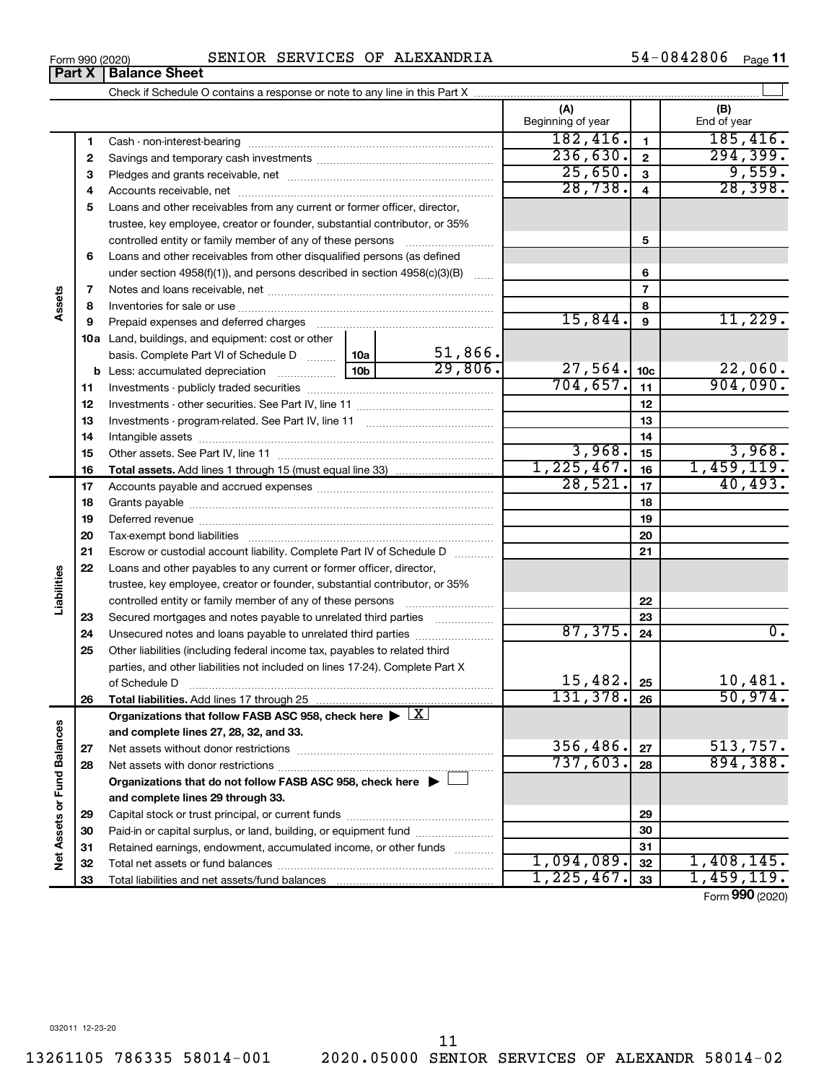Check if Schedule O contains a response or note to any line in this Part X

|                             |    | Crieck if Scriequie O contains a response or note to any line in this Part A ……………………………………………………………………………………… |  |         |                          |         |                 |                          |
|-----------------------------|----|----------------------------------------------------------------------------------------------------------------|--|---------|--------------------------|---------|-----------------|--------------------------|
|                             |    |                                                                                                                |  |         | (A)<br>Beginning of year |         |                 | (B)<br>End of year       |
|                             | 1  |                                                                                                                |  |         | 182,416.                 |         | $\mathbf{1}$    | 185,416.                 |
|                             | 2  |                                                                                                                |  |         | 236,630.                 |         | $\overline{2}$  | 294, 399.                |
|                             | з  |                                                                                                                |  |         |                          | 25,650. | 3               | 9,559.                   |
|                             | 4  |                                                                                                                |  |         |                          | 28,738. | $\overline{4}$  | 28, 398.                 |
|                             | 5  | Loans and other receivables from any current or former officer, director,                                      |  |         |                          |         |                 |                          |
|                             |    | trustee, key employee, creator or founder, substantial contributor, or 35%                                     |  |         |                          |         |                 |                          |
|                             |    | controlled entity or family member of any of these persons                                                     |  |         |                          |         | 5               |                          |
|                             | 6  | Loans and other receivables from other disqualified persons (as defined                                        |  |         |                          |         |                 |                          |
|                             |    | under section 4958(f)(1)), and persons described in section 4958(c)(3)(B)                                      |  |         |                          |         | 6               |                          |
|                             | 7  |                                                                                                                |  |         |                          |         | $\overline{7}$  |                          |
| Assets                      | 8  |                                                                                                                |  |         |                          |         | 8               |                          |
|                             | 9  |                                                                                                                |  |         |                          | 15,844. | 9               | 11,229.                  |
|                             |    | 10a Land, buildings, and equipment: cost or other                                                              |  |         |                          |         |                 |                          |
|                             |    | basis. Complete Part VI of Schedule D  10a                                                                     |  | 51,866. |                          |         |                 |                          |
|                             |    |                                                                                                                |  | 29,806. |                          | 27,564. | 10 <sub>c</sub> | 22,060.                  |
|                             | 11 |                                                                                                                |  |         | 704,657.                 |         | 11              | 904,090.                 |
|                             | 12 |                                                                                                                |  |         |                          |         | 12              |                          |
|                             | 13 |                                                                                                                |  |         |                          |         | 13              |                          |
|                             | 14 |                                                                                                                |  |         |                          |         | 14              |                          |
|                             | 15 |                                                                                                                |  |         |                          | 3,968.  | 15              | 3,968.                   |
|                             | 16 |                                                                                                                |  |         | 1,225,467.               |         | 16              | 1,459,119.               |
|                             | 17 |                                                                                                                |  |         |                          | 28,521. | 17              | 40, 493.                 |
|                             | 18 |                                                                                                                |  |         |                          |         | 18              |                          |
|                             | 19 |                                                                                                                |  |         |                          |         | 19              |                          |
|                             | 20 |                                                                                                                |  |         |                          |         | 20              |                          |
|                             | 21 | Escrow or custodial account liability. Complete Part IV of Schedule D                                          |  |         |                          |         | 21              |                          |
|                             | 22 | Loans and other payables to any current or former officer, director,                                           |  |         |                          |         |                 |                          |
| Liabilities                 |    | trustee, key employee, creator or founder, substantial contributor, or 35%                                     |  |         |                          |         |                 |                          |
|                             |    | controlled entity or family member of any of these persons                                                     |  |         |                          |         | 22              |                          |
|                             | 23 | Secured mortgages and notes payable to unrelated third parties                                                 |  |         |                          |         | 23              |                          |
|                             | 24 | Unsecured notes and loans payable to unrelated third parties                                                   |  |         |                          | 87,375. | 24              | $\overline{0}$ .         |
|                             | 25 | Other liabilities (including federal income tax, payables to related third                                     |  |         |                          |         |                 |                          |
|                             |    | parties, and other liabilities not included on lines 17-24). Complete Part X                                   |  |         |                          |         |                 |                          |
|                             |    | of Schedule D                                                                                                  |  |         |                          | 15,482. | 25              | 10,481.                  |
|                             | 26 | Total liabilities. Add lines 17 through 25                                                                     |  |         | 131, 378.                |         | 26              | 50,974.                  |
|                             |    | Organizations that follow FASB ASC 958, check here $\blacktriangleright \lfloor \underline{X} \rfloor$         |  |         |                          |         |                 |                          |
|                             |    | and complete lines 27, 28, 32, and 33.                                                                         |  |         |                          |         |                 |                          |
|                             | 27 |                                                                                                                |  |         | 356,486.                 |         | 27              | 513,757.                 |
|                             | 28 |                                                                                                                |  |         | 737,603.                 |         | 28              | 894,388.                 |
|                             |    | Organizations that do not follow FASB ASC 958, check here $\blacktriangleright$                                |  |         |                          |         |                 |                          |
| Net Assets or Fund Balances |    | and complete lines 29 through 33.                                                                              |  |         |                          |         |                 |                          |
|                             | 29 |                                                                                                                |  |         |                          | 29      |                 |                          |
|                             | 30 | Paid-in or capital surplus, or land, building, or equipment fund                                               |  |         |                          |         | 30              |                          |
|                             | 31 | Retained earnings, endowment, accumulated income, or other funds                                               |  |         | 1,094,089.               |         | 31              |                          |
|                             | 32 |                                                                                                                |  |         | 1,225,467.               |         | 32              | 1,408,145.<br>1,459,119. |
|                             | 33 |                                                                                                                |  |         |                          |         | 33              |                          |

54-0842806 Page 11

†

Form (2020) **990**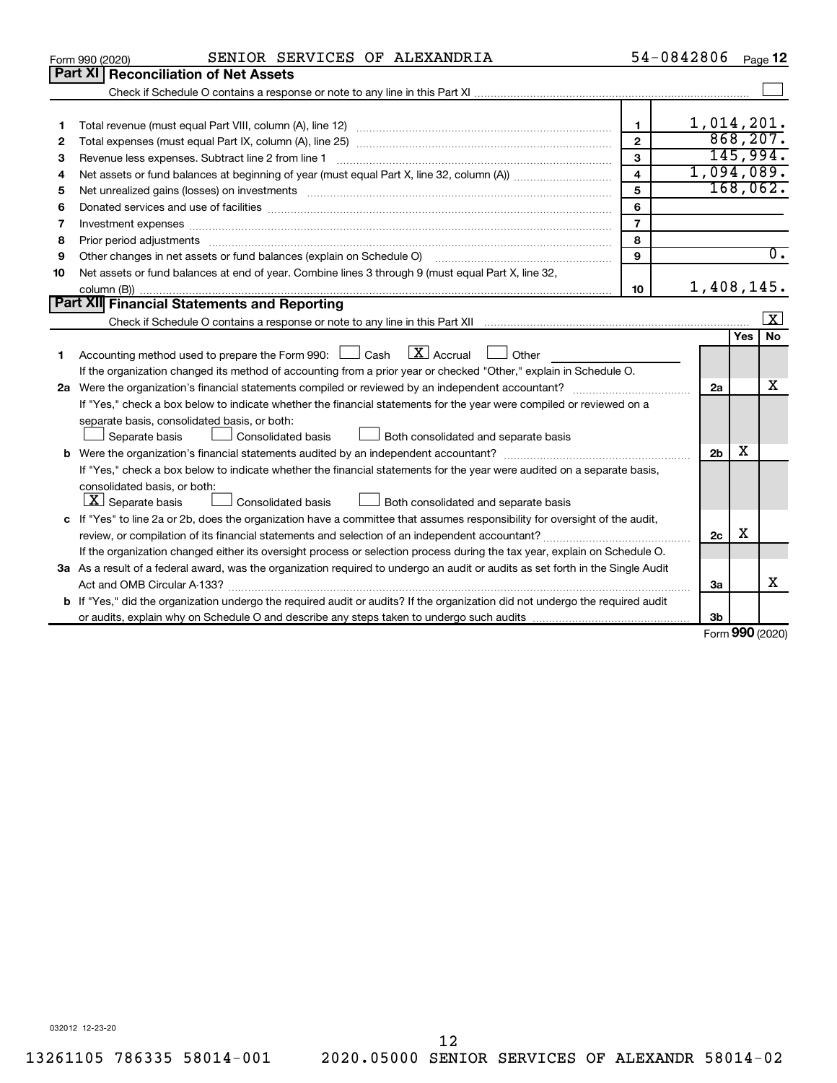|    | SENIOR SERVICES OF ALEXANDRIA<br>Form 990 (2020)                                                                                                                                                                              | 54-0842806              |                        |            | Page 12          |
|----|-------------------------------------------------------------------------------------------------------------------------------------------------------------------------------------------------------------------------------|-------------------------|------------------------|------------|------------------|
|    | <b>Part XI Reconciliation of Net Assets</b>                                                                                                                                                                                   |                         |                        |            |                  |
|    |                                                                                                                                                                                                                               |                         |                        |            |                  |
|    |                                                                                                                                                                                                                               |                         |                        |            |                  |
| 1  |                                                                                                                                                                                                                               | $\mathbf{1}$            | 1,014,201.             |            |                  |
| 2  |                                                                                                                                                                                                                               | $\overline{2}$          |                        |            | 868, 207.        |
| з  |                                                                                                                                                                                                                               | 3                       |                        |            | 145,994.         |
| 4  |                                                                                                                                                                                                                               | $\overline{\mathbf{4}}$ | 1,094,089.             |            |                  |
| 5  | Net unrealized gains (losses) on investments [11] matter continuum matter is a set of the set of the set of the                                                                                                               | 5                       |                        |            | 168,062.         |
| 6  | Donated services and use of facilities [[111] matter contracts and the service of facilities [[11] matter contracts and use of facilities [[11] matter contracts and the service of facilities [[11] matter contracts and the | 6                       |                        |            |                  |
| 7  |                                                                                                                                                                                                                               | $\overline{7}$          |                        |            |                  |
| 8  | Prior period adjustments www.communication.communication.com/news/communications/communications/communications                                                                                                                | 8                       |                        |            |                  |
| 9  | Other changes in net assets or fund balances (explain on Schedule O)                                                                                                                                                          | $\mathbf{Q}$            |                        |            | $\overline{0}$ . |
| 10 | Net assets or fund balances at end of year. Combine lines 3 through 9 (must equal Part X, line 32,                                                                                                                            |                         |                        |            |                  |
|    |                                                                                                                                                                                                                               | 10                      | 1,408,145.             |            |                  |
|    | Part XII Financial Statements and Reporting                                                                                                                                                                                   |                         |                        |            |                  |
|    |                                                                                                                                                                                                                               |                         |                        |            | x                |
|    |                                                                                                                                                                                                                               |                         |                        | <b>Yes</b> | No               |
| 1  | $X$ Accrual<br>Accounting method used to prepare the Form 990: $\Box$ Cash<br>Other                                                                                                                                           |                         |                        |            |                  |
|    | If the organization changed its method of accounting from a prior year or checked "Other," explain in Schedule O.                                                                                                             |                         |                        |            |                  |
|    |                                                                                                                                                                                                                               |                         | 2a                     |            | х                |
|    | If "Yes," check a box below to indicate whether the financial statements for the year were compiled or reviewed on a                                                                                                          |                         |                        |            |                  |
|    | separate basis, consolidated basis, or both:                                                                                                                                                                                  |                         |                        |            |                  |
|    | Consolidated basis<br>Both consolidated and separate basis<br>Separate basis                                                                                                                                                  |                         |                        | х          |                  |
|    |                                                                                                                                                                                                                               |                         | 2 <sub>b</sub>         |            |                  |
|    | If "Yes," check a box below to indicate whether the financial statements for the year were audited on a separate basis,                                                                                                       |                         |                        |            |                  |
|    | consolidated basis, or both:                                                                                                                                                                                                  |                         |                        |            |                  |
|    | $\lfloor x \rfloor$ Separate basis<br>Consolidated basis<br>Both consolidated and separate basis                                                                                                                              |                         |                        |            |                  |
|    | c If "Yes" to line 2a or 2b, does the organization have a committee that assumes responsibility for oversight of the audit,                                                                                                   |                         |                        | х          |                  |
|    |                                                                                                                                                                                                                               |                         | 2c                     |            |                  |
|    | If the organization changed either its oversight process or selection process during the tax year, explain on Schedule O.                                                                                                     |                         |                        |            |                  |
|    | 3a As a result of a federal award, was the organization required to undergo an audit or audits as set forth in the Single Audit                                                                                               |                         |                        |            | х                |
|    |                                                                                                                                                                                                                               |                         | 3a                     |            |                  |
|    | <b>b</b> If "Yes," did the organization undergo the required audit or audits? If the organization did not undergo the required audit                                                                                          |                         |                        |            |                  |
|    |                                                                                                                                                                                                                               |                         | 3b<br>Form $990(2020)$ |            |                  |

Form (2020) **990**

032012 12-23-20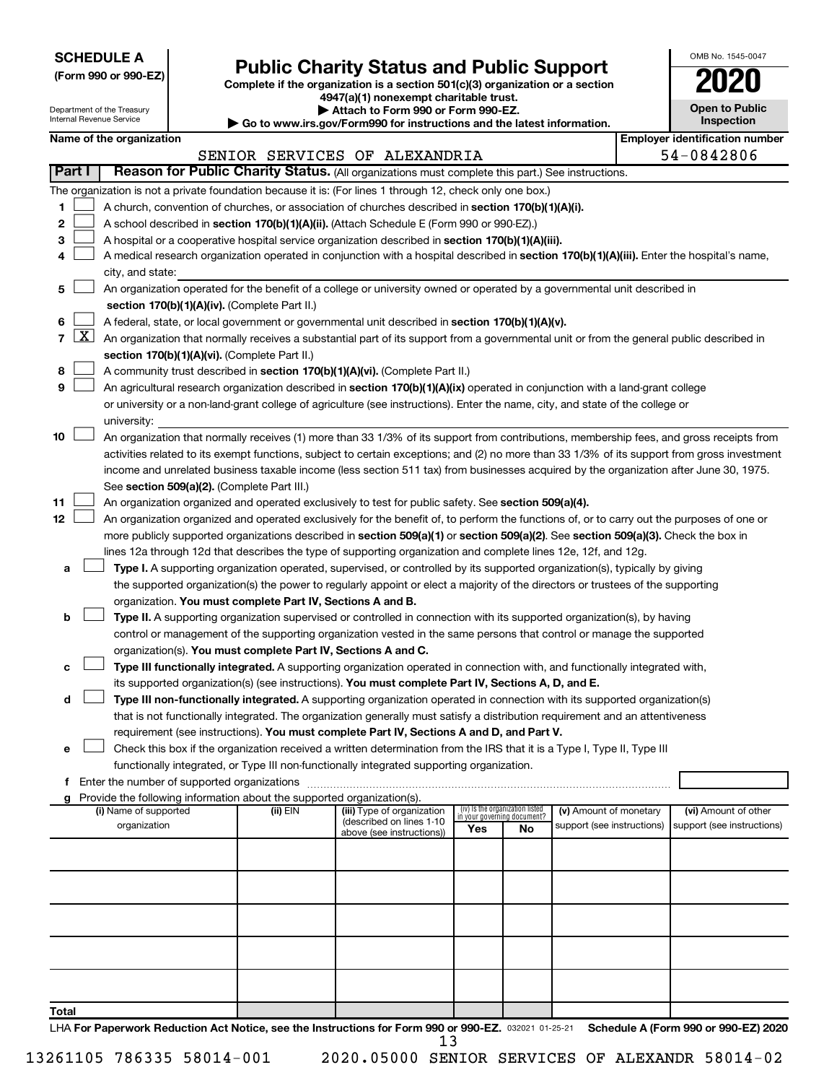**SCHEDULE A**

# **Public Charity Status and Public Support**<br> **Addition is a section 501(c)(3) organization or a section**<br>
4947(a)(1) nonexempt charitable trust.

**(Form 990 or 990-EZ) Complete if the organization is a section 501(c)(3) organization or a section**

| <b>Open to Public</b><br>Inspection |
|-------------------------------------|
|                                     |

OMB No. 1545-0047

| Part I<br>1.<br>2 |                                                                                                                                              |                  |                                                                   |                                               |                                                                                                                                            | <b>Open to Public</b><br>Department of the Treasury<br>Attach to Form 990 or Form 990-EZ.<br>Internal Revenue Service<br><b>Inspection</b><br>$\blacktriangleright$ Go to www.irs.gov/Form990 for instructions and the latest information. |                                                                                     |                                                                                                                                                                   |                                                                                                                                                                                                                                                                                                        |                                                                                                                                                                                                                                                                                                                                                                                                                                                                                                                                                                                                                                                                                                                                                                                                                                                                                                                                                                                                                                                                                                                                                                                                                                                                                                                                                                                                                                                                                                                                                                                                                                                   |  |  |  |  |  |  |  |
|-------------------|----------------------------------------------------------------------------------------------------------------------------------------------|------------------|-------------------------------------------------------------------|-----------------------------------------------|--------------------------------------------------------------------------------------------------------------------------------------------|--------------------------------------------------------------------------------------------------------------------------------------------------------------------------------------------------------------------------------------------|-------------------------------------------------------------------------------------|-------------------------------------------------------------------------------------------------------------------------------------------------------------------|--------------------------------------------------------------------------------------------------------------------------------------------------------------------------------------------------------------------------------------------------------------------------------------------------------|---------------------------------------------------------------------------------------------------------------------------------------------------------------------------------------------------------------------------------------------------------------------------------------------------------------------------------------------------------------------------------------------------------------------------------------------------------------------------------------------------------------------------------------------------------------------------------------------------------------------------------------------------------------------------------------------------------------------------------------------------------------------------------------------------------------------------------------------------------------------------------------------------------------------------------------------------------------------------------------------------------------------------------------------------------------------------------------------------------------------------------------------------------------------------------------------------------------------------------------------------------------------------------------------------------------------------------------------------------------------------------------------------------------------------------------------------------------------------------------------------------------------------------------------------------------------------------------------------------------------------------------------------|--|--|--|--|--|--|--|
|                   |                                                                                                                                              |                  | <b>Employer identification number</b><br>Name of the organization |                                               |                                                                                                                                            |                                                                                                                                                                                                                                            |                                                                                     |                                                                                                                                                                   |                                                                                                                                                                                                                                                                                                        |                                                                                                                                                                                                                                                                                                                                                                                                                                                                                                                                                                                                                                                                                                                                                                                                                                                                                                                                                                                                                                                                                                                                                                                                                                                                                                                                                                                                                                                                                                                                                                                                                                                   |  |  |  |  |  |  |  |
|                   |                                                                                                                                              |                  |                                                                   |                                               | SENIOR SERVICES OF ALEXANDRIA                                                                                                              |                                                                                                                                                                                                                                            |                                                                                     |                                                                                                                                                                   |                                                                                                                                                                                                                                                                                                        | 54-0842806                                                                                                                                                                                                                                                                                                                                                                                                                                                                                                                                                                                                                                                                                                                                                                                                                                                                                                                                                                                                                                                                                                                                                                                                                                                                                                                                                                                                                                                                                                                                                                                                                                        |  |  |  |  |  |  |  |
|                   |                                                                                                                                              |                  |                                                                   |                                               | Reason for Public Charity Status. (All organizations must complete this part.) See instructions.                                           |                                                                                                                                                                                                                                            |                                                                                     |                                                                                                                                                                   |                                                                                                                                                                                                                                                                                                        |                                                                                                                                                                                                                                                                                                                                                                                                                                                                                                                                                                                                                                                                                                                                                                                                                                                                                                                                                                                                                                                                                                                                                                                                                                                                                                                                                                                                                                                                                                                                                                                                                                                   |  |  |  |  |  |  |  |
|                   |                                                                                                                                              |                  |                                                                   |                                               | The organization is not a private foundation because it is: (For lines 1 through 12, check only one box.)                                  |                                                                                                                                                                                                                                            |                                                                                     |                                                                                                                                                                   |                                                                                                                                                                                                                                                                                                        |                                                                                                                                                                                                                                                                                                                                                                                                                                                                                                                                                                                                                                                                                                                                                                                                                                                                                                                                                                                                                                                                                                                                                                                                                                                                                                                                                                                                                                                                                                                                                                                                                                                   |  |  |  |  |  |  |  |
|                   |                                                                                                                                              |                  |                                                                   |                                               | A church, convention of churches, or association of churches described in section 170(b)(1)(A)(i).                                         |                                                                                                                                                                                                                                            |                                                                                     |                                                                                                                                                                   |                                                                                                                                                                                                                                                                                                        |                                                                                                                                                                                                                                                                                                                                                                                                                                                                                                                                                                                                                                                                                                                                                                                                                                                                                                                                                                                                                                                                                                                                                                                                                                                                                                                                                                                                                                                                                                                                                                                                                                                   |  |  |  |  |  |  |  |
|                   |                                                                                                                                              |                  |                                                                   |                                               |                                                                                                                                            |                                                                                                                                                                                                                                            |                                                                                     |                                                                                                                                                                   |                                                                                                                                                                                                                                                                                                        |                                                                                                                                                                                                                                                                                                                                                                                                                                                                                                                                                                                                                                                                                                                                                                                                                                                                                                                                                                                                                                                                                                                                                                                                                                                                                                                                                                                                                                                                                                                                                                                                                                                   |  |  |  |  |  |  |  |
|                   |                                                                                                                                              |                  |                                                                   |                                               | A school described in section 170(b)(1)(A)(ii). (Attach Schedule E (Form 990 or 990-EZ).)                                                  |                                                                                                                                                                                                                                            |                                                                                     |                                                                                                                                                                   |                                                                                                                                                                                                                                                                                                        |                                                                                                                                                                                                                                                                                                                                                                                                                                                                                                                                                                                                                                                                                                                                                                                                                                                                                                                                                                                                                                                                                                                                                                                                                                                                                                                                                                                                                                                                                                                                                                                                                                                   |  |  |  |  |  |  |  |
| 3                 |                                                                                                                                              |                  |                                                                   |                                               | A hospital or a cooperative hospital service organization described in section 170(b)(1)(A)(iii).                                          |                                                                                                                                                                                                                                            |                                                                                     |                                                                                                                                                                   |                                                                                                                                                                                                                                                                                                        |                                                                                                                                                                                                                                                                                                                                                                                                                                                                                                                                                                                                                                                                                                                                                                                                                                                                                                                                                                                                                                                                                                                                                                                                                                                                                                                                                                                                                                                                                                                                                                                                                                                   |  |  |  |  |  |  |  |
| 4                 |                                                                                                                                              |                  |                                                                   |                                               | A medical research organization operated in conjunction with a hospital described in section 170(b)(1)(A)(iii). Enter the hospital's name, |                                                                                                                                                                                                                                            |                                                                                     |                                                                                                                                                                   |                                                                                                                                                                                                                                                                                                        |                                                                                                                                                                                                                                                                                                                                                                                                                                                                                                                                                                                                                                                                                                                                                                                                                                                                                                                                                                                                                                                                                                                                                                                                                                                                                                                                                                                                                                                                                                                                                                                                                                                   |  |  |  |  |  |  |  |
|                   |                                                                                                                                              | city, and state: |                                                                   |                                               |                                                                                                                                            |                                                                                                                                                                                                                                            |                                                                                     |                                                                                                                                                                   |                                                                                                                                                                                                                                                                                                        |                                                                                                                                                                                                                                                                                                                                                                                                                                                                                                                                                                                                                                                                                                                                                                                                                                                                                                                                                                                                                                                                                                                                                                                                                                                                                                                                                                                                                                                                                                                                                                                                                                                   |  |  |  |  |  |  |  |
| 5.                |                                                                                                                                              |                  |                                                                   |                                               | An organization operated for the benefit of a college or university owned or operated by a governmental unit described in                  |                                                                                                                                                                                                                                            |                                                                                     |                                                                                                                                                                   |                                                                                                                                                                                                                                                                                                        |                                                                                                                                                                                                                                                                                                                                                                                                                                                                                                                                                                                                                                                                                                                                                                                                                                                                                                                                                                                                                                                                                                                                                                                                                                                                                                                                                                                                                                                                                                                                                                                                                                                   |  |  |  |  |  |  |  |
|                   |                                                                                                                                              |                  |                                                                   | section 170(b)(1)(A)(iv). (Complete Part II.) |                                                                                                                                            |                                                                                                                                                                                                                                            |                                                                                     |                                                                                                                                                                   |                                                                                                                                                                                                                                                                                                        |                                                                                                                                                                                                                                                                                                                                                                                                                                                                                                                                                                                                                                                                                                                                                                                                                                                                                                                                                                                                                                                                                                                                                                                                                                                                                                                                                                                                                                                                                                                                                                                                                                                   |  |  |  |  |  |  |  |
| 6                 |                                                                                                                                              |                  |                                                                   |                                               | A federal, state, or local government or governmental unit described in section 170(b)(1)(A)(v).                                           |                                                                                                                                                                                                                                            |                                                                                     |                                                                                                                                                                   |                                                                                                                                                                                                                                                                                                        |                                                                                                                                                                                                                                                                                                                                                                                                                                                                                                                                                                                                                                                                                                                                                                                                                                                                                                                                                                                                                                                                                                                                                                                                                                                                                                                                                                                                                                                                                                                                                                                                                                                   |  |  |  |  |  |  |  |
| $7 \times$        |                                                                                                                                              |                  |                                                                   |                                               | An organization that normally receives a substantial part of its support from a governmental unit or from the general public described in  |                                                                                                                                                                                                                                            |                                                                                     |                                                                                                                                                                   |                                                                                                                                                                                                                                                                                                        |                                                                                                                                                                                                                                                                                                                                                                                                                                                                                                                                                                                                                                                                                                                                                                                                                                                                                                                                                                                                                                                                                                                                                                                                                                                                                                                                                                                                                                                                                                                                                                                                                                                   |  |  |  |  |  |  |  |
|                   |                                                                                                                                              |                  |                                                                   |                                               |                                                                                                                                            |                                                                                                                                                                                                                                            |                                                                                     |                                                                                                                                                                   |                                                                                                                                                                                                                                                                                                        |                                                                                                                                                                                                                                                                                                                                                                                                                                                                                                                                                                                                                                                                                                                                                                                                                                                                                                                                                                                                                                                                                                                                                                                                                                                                                                                                                                                                                                                                                                                                                                                                                                                   |  |  |  |  |  |  |  |
| 8                 |                                                                                                                                              |                  |                                                                   |                                               |                                                                                                                                            |                                                                                                                                                                                                                                            |                                                                                     |                                                                                                                                                                   |                                                                                                                                                                                                                                                                                                        |                                                                                                                                                                                                                                                                                                                                                                                                                                                                                                                                                                                                                                                                                                                                                                                                                                                                                                                                                                                                                                                                                                                                                                                                                                                                                                                                                                                                                                                                                                                                                                                                                                                   |  |  |  |  |  |  |  |
| 9                 | An agricultural research organization described in section 170(b)(1)(A)(ix) operated in conjunction with a land-grant college                |                  |                                                                   |                                               |                                                                                                                                            |                                                                                                                                                                                                                                            |                                                                                     |                                                                                                                                                                   |                                                                                                                                                                                                                                                                                                        |                                                                                                                                                                                                                                                                                                                                                                                                                                                                                                                                                                                                                                                                                                                                                                                                                                                                                                                                                                                                                                                                                                                                                                                                                                                                                                                                                                                                                                                                                                                                                                                                                                                   |  |  |  |  |  |  |  |
|                   | or university or a non-land-grant college of agriculture (see instructions). Enter the name, city, and state of the college or               |                  |                                                                   |                                               |                                                                                                                                            |                                                                                                                                                                                                                                            |                                                                                     |                                                                                                                                                                   |                                                                                                                                                                                                                                                                                                        |                                                                                                                                                                                                                                                                                                                                                                                                                                                                                                                                                                                                                                                                                                                                                                                                                                                                                                                                                                                                                                                                                                                                                                                                                                                                                                                                                                                                                                                                                                                                                                                                                                                   |  |  |  |  |  |  |  |
|                   |                                                                                                                                              | university:      |                                                                   |                                               |                                                                                                                                            |                                                                                                                                                                                                                                            |                                                                                     |                                                                                                                                                                   |                                                                                                                                                                                                                                                                                                        |                                                                                                                                                                                                                                                                                                                                                                                                                                                                                                                                                                                                                                                                                                                                                                                                                                                                                                                                                                                                                                                                                                                                                                                                                                                                                                                                                                                                                                                                                                                                                                                                                                                   |  |  |  |  |  |  |  |
| 10                |                                                                                                                                              |                  |                                                                   |                                               |                                                                                                                                            |                                                                                                                                                                                                                                            |                                                                                     |                                                                                                                                                                   |                                                                                                                                                                                                                                                                                                        |                                                                                                                                                                                                                                                                                                                                                                                                                                                                                                                                                                                                                                                                                                                                                                                                                                                                                                                                                                                                                                                                                                                                                                                                                                                                                                                                                                                                                                                                                                                                                                                                                                                   |  |  |  |  |  |  |  |
|                   | activities related to its exempt functions, subject to certain exceptions; and (2) no more than 33 1/3% of its support from gross investment |                  |                                                                   |                                               |                                                                                                                                            |                                                                                                                                                                                                                                            |                                                                                     |                                                                                                                                                                   |                                                                                                                                                                                                                                                                                                        |                                                                                                                                                                                                                                                                                                                                                                                                                                                                                                                                                                                                                                                                                                                                                                                                                                                                                                                                                                                                                                                                                                                                                                                                                                                                                                                                                                                                                                                                                                                                                                                                                                                   |  |  |  |  |  |  |  |
|                   | income and unrelated business taxable income (less section 511 tax) from businesses acquired by the organization after June 30, 1975.        |                  |                                                                   |                                               |                                                                                                                                            |                                                                                                                                                                                                                                            |                                                                                     |                                                                                                                                                                   |                                                                                                                                                                                                                                                                                                        |                                                                                                                                                                                                                                                                                                                                                                                                                                                                                                                                                                                                                                                                                                                                                                                                                                                                                                                                                                                                                                                                                                                                                                                                                                                                                                                                                                                                                                                                                                                                                                                                                                                   |  |  |  |  |  |  |  |
|                   | See section 509(a)(2). (Complete Part III.)                                                                                                  |                  |                                                                   |                                               |                                                                                                                                            |                                                                                                                                                                                                                                            |                                                                                     |                                                                                                                                                                   |                                                                                                                                                                                                                                                                                                        |                                                                                                                                                                                                                                                                                                                                                                                                                                                                                                                                                                                                                                                                                                                                                                                                                                                                                                                                                                                                                                                                                                                                                                                                                                                                                                                                                                                                                                                                                                                                                                                                                                                   |  |  |  |  |  |  |  |
| 11                |                                                                                                                                              |                  |                                                                   |                                               |                                                                                                                                            |                                                                                                                                                                                                                                            |                                                                                     |                                                                                                                                                                   |                                                                                                                                                                                                                                                                                                        |                                                                                                                                                                                                                                                                                                                                                                                                                                                                                                                                                                                                                                                                                                                                                                                                                                                                                                                                                                                                                                                                                                                                                                                                                                                                                                                                                                                                                                                                                                                                                                                                                                                   |  |  |  |  |  |  |  |
| 12                |                                                                                                                                              |                  |                                                                   |                                               |                                                                                                                                            |                                                                                                                                                                                                                                            |                                                                                     |                                                                                                                                                                   |                                                                                                                                                                                                                                                                                                        |                                                                                                                                                                                                                                                                                                                                                                                                                                                                                                                                                                                                                                                                                                                                                                                                                                                                                                                                                                                                                                                                                                                                                                                                                                                                                                                                                                                                                                                                                                                                                                                                                                                   |  |  |  |  |  |  |  |
|                   |                                                                                                                                              |                  |                                                                   |                                               |                                                                                                                                            |                                                                                                                                                                                                                                            |                                                                                     |                                                                                                                                                                   |                                                                                                                                                                                                                                                                                                        |                                                                                                                                                                                                                                                                                                                                                                                                                                                                                                                                                                                                                                                                                                                                                                                                                                                                                                                                                                                                                                                                                                                                                                                                                                                                                                                                                                                                                                                                                                                                                                                                                                                   |  |  |  |  |  |  |  |
|                   |                                                                                                                                              |                  |                                                                   |                                               |                                                                                                                                            |                                                                                                                                                                                                                                            |                                                                                     |                                                                                                                                                                   |                                                                                                                                                                                                                                                                                                        |                                                                                                                                                                                                                                                                                                                                                                                                                                                                                                                                                                                                                                                                                                                                                                                                                                                                                                                                                                                                                                                                                                                                                                                                                                                                                                                                                                                                                                                                                                                                                                                                                                                   |  |  |  |  |  |  |  |
| а                 |                                                                                                                                              |                  |                                                                   |                                               |                                                                                                                                            |                                                                                                                                                                                                                                            |                                                                                     |                                                                                                                                                                   |                                                                                                                                                                                                                                                                                                        |                                                                                                                                                                                                                                                                                                                                                                                                                                                                                                                                                                                                                                                                                                                                                                                                                                                                                                                                                                                                                                                                                                                                                                                                                                                                                                                                                                                                                                                                                                                                                                                                                                                   |  |  |  |  |  |  |  |
|                   |                                                                                                                                              |                  |                                                                   |                                               |                                                                                                                                            |                                                                                                                                                                                                                                            |                                                                                     |                                                                                                                                                                   |                                                                                                                                                                                                                                                                                                        |                                                                                                                                                                                                                                                                                                                                                                                                                                                                                                                                                                                                                                                                                                                                                                                                                                                                                                                                                                                                                                                                                                                                                                                                                                                                                                                                                                                                                                                                                                                                                                                                                                                   |  |  |  |  |  |  |  |
|                   |                                                                                                                                              |                  |                                                                   |                                               |                                                                                                                                            |                                                                                                                                                                                                                                            |                                                                                     |                                                                                                                                                                   |                                                                                                                                                                                                                                                                                                        |                                                                                                                                                                                                                                                                                                                                                                                                                                                                                                                                                                                                                                                                                                                                                                                                                                                                                                                                                                                                                                                                                                                                                                                                                                                                                                                                                                                                                                                                                                                                                                                                                                                   |  |  |  |  |  |  |  |
| b                 |                                                                                                                                              |                  |                                                                   |                                               |                                                                                                                                            |                                                                                                                                                                                                                                            |                                                                                     |                                                                                                                                                                   |                                                                                                                                                                                                                                                                                                        |                                                                                                                                                                                                                                                                                                                                                                                                                                                                                                                                                                                                                                                                                                                                                                                                                                                                                                                                                                                                                                                                                                                                                                                                                                                                                                                                                                                                                                                                                                                                                                                                                                                   |  |  |  |  |  |  |  |
|                   |                                                                                                                                              |                  |                                                                   |                                               |                                                                                                                                            |                                                                                                                                                                                                                                            |                                                                                     |                                                                                                                                                                   |                                                                                                                                                                                                                                                                                                        |                                                                                                                                                                                                                                                                                                                                                                                                                                                                                                                                                                                                                                                                                                                                                                                                                                                                                                                                                                                                                                                                                                                                                                                                                                                                                                                                                                                                                                                                                                                                                                                                                                                   |  |  |  |  |  |  |  |
|                   |                                                                                                                                              |                  |                                                                   |                                               |                                                                                                                                            |                                                                                                                                                                                                                                            |                                                                                     |                                                                                                                                                                   |                                                                                                                                                                                                                                                                                                        |                                                                                                                                                                                                                                                                                                                                                                                                                                                                                                                                                                                                                                                                                                                                                                                                                                                                                                                                                                                                                                                                                                                                                                                                                                                                                                                                                                                                                                                                                                                                                                                                                                                   |  |  |  |  |  |  |  |
| с                 |                                                                                                                                              |                  |                                                                   |                                               |                                                                                                                                            |                                                                                                                                                                                                                                            |                                                                                     |                                                                                                                                                                   |                                                                                                                                                                                                                                                                                                        |                                                                                                                                                                                                                                                                                                                                                                                                                                                                                                                                                                                                                                                                                                                                                                                                                                                                                                                                                                                                                                                                                                                                                                                                                                                                                                                                                                                                                                                                                                                                                                                                                                                   |  |  |  |  |  |  |  |
|                   |                                                                                                                                              |                  |                                                                   |                                               |                                                                                                                                            |                                                                                                                                                                                                                                            |                                                                                     |                                                                                                                                                                   |                                                                                                                                                                                                                                                                                                        |                                                                                                                                                                                                                                                                                                                                                                                                                                                                                                                                                                                                                                                                                                                                                                                                                                                                                                                                                                                                                                                                                                                                                                                                                                                                                                                                                                                                                                                                                                                                                                                                                                                   |  |  |  |  |  |  |  |
|                   |                                                                                                                                              |                  |                                                                   |                                               |                                                                                                                                            |                                                                                                                                                                                                                                            |                                                                                     |                                                                                                                                                                   |                                                                                                                                                                                                                                                                                                        |                                                                                                                                                                                                                                                                                                                                                                                                                                                                                                                                                                                                                                                                                                                                                                                                                                                                                                                                                                                                                                                                                                                                                                                                                                                                                                                                                                                                                                                                                                                                                                                                                                                   |  |  |  |  |  |  |  |
|                   |                                                                                                                                              |                  |                                                                   |                                               |                                                                                                                                            |                                                                                                                                                                                                                                            |                                                                                     |                                                                                                                                                                   |                                                                                                                                                                                                                                                                                                        |                                                                                                                                                                                                                                                                                                                                                                                                                                                                                                                                                                                                                                                                                                                                                                                                                                                                                                                                                                                                                                                                                                                                                                                                                                                                                                                                                                                                                                                                                                                                                                                                                                                   |  |  |  |  |  |  |  |
|                   |                                                                                                                                              |                  |                                                                   |                                               |                                                                                                                                            |                                                                                                                                                                                                                                            |                                                                                     |                                                                                                                                                                   |                                                                                                                                                                                                                                                                                                        |                                                                                                                                                                                                                                                                                                                                                                                                                                                                                                                                                                                                                                                                                                                                                                                                                                                                                                                                                                                                                                                                                                                                                                                                                                                                                                                                                                                                                                                                                                                                                                                                                                                   |  |  |  |  |  |  |  |
|                   |                                                                                                                                              |                  |                                                                   |                                               |                                                                                                                                            |                                                                                                                                                                                                                                            |                                                                                     |                                                                                                                                                                   |                                                                                                                                                                                                                                                                                                        |                                                                                                                                                                                                                                                                                                                                                                                                                                                                                                                                                                                                                                                                                                                                                                                                                                                                                                                                                                                                                                                                                                                                                                                                                                                                                                                                                                                                                                                                                                                                                                                                                                                   |  |  |  |  |  |  |  |
| е                 |                                                                                                                                              |                  |                                                                   |                                               |                                                                                                                                            |                                                                                                                                                                                                                                            |                                                                                     |                                                                                                                                                                   |                                                                                                                                                                                                                                                                                                        |                                                                                                                                                                                                                                                                                                                                                                                                                                                                                                                                                                                                                                                                                                                                                                                                                                                                                                                                                                                                                                                                                                                                                                                                                                                                                                                                                                                                                                                                                                                                                                                                                                                   |  |  |  |  |  |  |  |
|                   |                                                                                                                                              |                  |                                                                   |                                               |                                                                                                                                            |                                                                                                                                                                                                                                            |                                                                                     |                                                                                                                                                                   |                                                                                                                                                                                                                                                                                                        |                                                                                                                                                                                                                                                                                                                                                                                                                                                                                                                                                                                                                                                                                                                                                                                                                                                                                                                                                                                                                                                                                                                                                                                                                                                                                                                                                                                                                                                                                                                                                                                                                                                   |  |  |  |  |  |  |  |
| f.                |                                                                                                                                              |                  |                                                                   |                                               |                                                                                                                                            |                                                                                                                                                                                                                                            |                                                                                     |                                                                                                                                                                   |                                                                                                                                                                                                                                                                                                        |                                                                                                                                                                                                                                                                                                                                                                                                                                                                                                                                                                                                                                                                                                                                                                                                                                                                                                                                                                                                                                                                                                                                                                                                                                                                                                                                                                                                                                                                                                                                                                                                                                                   |  |  |  |  |  |  |  |
|                   |                                                                                                                                              |                  |                                                                   |                                               |                                                                                                                                            |                                                                                                                                                                                                                                            |                                                                                     |                                                                                                                                                                   |                                                                                                                                                                                                                                                                                                        | (vi) Amount of other                                                                                                                                                                                                                                                                                                                                                                                                                                                                                                                                                                                                                                                                                                                                                                                                                                                                                                                                                                                                                                                                                                                                                                                                                                                                                                                                                                                                                                                                                                                                                                                                                              |  |  |  |  |  |  |  |
|                   |                                                                                                                                              |                  |                                                                   |                                               | (described on lines 1-10                                                                                                                   |                                                                                                                                                                                                                                            |                                                                                     |                                                                                                                                                                   |                                                                                                                                                                                                                                                                                                        | support (see instructions)                                                                                                                                                                                                                                                                                                                                                                                                                                                                                                                                                                                                                                                                                                                                                                                                                                                                                                                                                                                                                                                                                                                                                                                                                                                                                                                                                                                                                                                                                                                                                                                                                        |  |  |  |  |  |  |  |
|                   |                                                                                                                                              |                  |                                                                   |                                               | above (see instructions))                                                                                                                  |                                                                                                                                                                                                                                            |                                                                                     |                                                                                                                                                                   |                                                                                                                                                                                                                                                                                                        |                                                                                                                                                                                                                                                                                                                                                                                                                                                                                                                                                                                                                                                                                                                                                                                                                                                                                                                                                                                                                                                                                                                                                                                                                                                                                                                                                                                                                                                                                                                                                                                                                                                   |  |  |  |  |  |  |  |
|                   |                                                                                                                                              |                  |                                                                   |                                               |                                                                                                                                            |                                                                                                                                                                                                                                            |                                                                                     |                                                                                                                                                                   |                                                                                                                                                                                                                                                                                                        |                                                                                                                                                                                                                                                                                                                                                                                                                                                                                                                                                                                                                                                                                                                                                                                                                                                                                                                                                                                                                                                                                                                                                                                                                                                                                                                                                                                                                                                                                                                                                                                                                                                   |  |  |  |  |  |  |  |
|                   |                                                                                                                                              |                  |                                                                   |                                               |                                                                                                                                            |                                                                                                                                                                                                                                            |                                                                                     |                                                                                                                                                                   |                                                                                                                                                                                                                                                                                                        |                                                                                                                                                                                                                                                                                                                                                                                                                                                                                                                                                                                                                                                                                                                                                                                                                                                                                                                                                                                                                                                                                                                                                                                                                                                                                                                                                                                                                                                                                                                                                                                                                                                   |  |  |  |  |  |  |  |
|                   |                                                                                                                                              |                  |                                                                   |                                               |                                                                                                                                            |                                                                                                                                                                                                                                            |                                                                                     |                                                                                                                                                                   |                                                                                                                                                                                                                                                                                                        |                                                                                                                                                                                                                                                                                                                                                                                                                                                                                                                                                                                                                                                                                                                                                                                                                                                                                                                                                                                                                                                                                                                                                                                                                                                                                                                                                                                                                                                                                                                                                                                                                                                   |  |  |  |  |  |  |  |
|                   |                                                                                                                                              |                  |                                                                   |                                               |                                                                                                                                            |                                                                                                                                                                                                                                            |                                                                                     |                                                                                                                                                                   |                                                                                                                                                                                                                                                                                                        |                                                                                                                                                                                                                                                                                                                                                                                                                                                                                                                                                                                                                                                                                                                                                                                                                                                                                                                                                                                                                                                                                                                                                                                                                                                                                                                                                                                                                                                                                                                                                                                                                                                   |  |  |  |  |  |  |  |
|                   |                                                                                                                                              |                  |                                                                   |                                               |                                                                                                                                            |                                                                                                                                                                                                                                            |                                                                                     |                                                                                                                                                                   |                                                                                                                                                                                                                                                                                                        |                                                                                                                                                                                                                                                                                                                                                                                                                                                                                                                                                                                                                                                                                                                                                                                                                                                                                                                                                                                                                                                                                                                                                                                                                                                                                                                                                                                                                                                                                                                                                                                                                                                   |  |  |  |  |  |  |  |
|                   |                                                                                                                                              |                  |                                                                   |                                               |                                                                                                                                            |                                                                                                                                                                                                                                            |                                                                                     |                                                                                                                                                                   |                                                                                                                                                                                                                                                                                                        |                                                                                                                                                                                                                                                                                                                                                                                                                                                                                                                                                                                                                                                                                                                                                                                                                                                                                                                                                                                                                                                                                                                                                                                                                                                                                                                                                                                                                                                                                                                                                                                                                                                   |  |  |  |  |  |  |  |
|                   |                                                                                                                                              |                  |                                                                   |                                               |                                                                                                                                            |                                                                                                                                                                                                                                            |                                                                                     |                                                                                                                                                                   |                                                                                                                                                                                                                                                                                                        |                                                                                                                                                                                                                                                                                                                                                                                                                                                                                                                                                                                                                                                                                                                                                                                                                                                                                                                                                                                                                                                                                                                                                                                                                                                                                                                                                                                                                                                                                                                                                                                                                                                   |  |  |  |  |  |  |  |
|                   |                                                                                                                                              |                  |                                                                   |                                               |                                                                                                                                            |                                                                                                                                                                                                                                            |                                                                                     |                                                                                                                                                                   |                                                                                                                                                                                                                                                                                                        |                                                                                                                                                                                                                                                                                                                                                                                                                                                                                                                                                                                                                                                                                                                                                                                                                                                                                                                                                                                                                                                                                                                                                                                                                                                                                                                                                                                                                                                                                                                                                                                                                                                   |  |  |  |  |  |  |  |
|                   |                                                                                                                                              |                  |                                                                   |                                               |                                                                                                                                            |                                                                                                                                                                                                                                            |                                                                                     |                                                                                                                                                                   |                                                                                                                                                                                                                                                                                                        |                                                                                                                                                                                                                                                                                                                                                                                                                                                                                                                                                                                                                                                                                                                                                                                                                                                                                                                                                                                                                                                                                                                                                                                                                                                                                                                                                                                                                                                                                                                                                                                                                                                   |  |  |  |  |  |  |  |
|                   |                                                                                                                                              |                  |                                                                   |                                               |                                                                                                                                            |                                                                                                                                                                                                                                            |                                                                                     |                                                                                                                                                                   |                                                                                                                                                                                                                                                                                                        |                                                                                                                                                                                                                                                                                                                                                                                                                                                                                                                                                                                                                                                                                                                                                                                                                                                                                                                                                                                                                                                                                                                                                                                                                                                                                                                                                                                                                                                                                                                                                                                                                                                   |  |  |  |  |  |  |  |
|                   | d                                                                                                                                            |                  |                                                                   | (i) Name of supported<br>organization         | section 170(b)(1)(A)(vi). (Complete Part II.)<br>(ii) EIN                                                                                  | organization. You must complete Part IV, Sections A and B.<br>organization(s). You must complete Part IV, Sections A and C.<br>Provide the following information about the supported organization(s).<br>(iii) Type of organization        | A community trust described in section 170(b)(1)(A)(vi). (Complete Part II.)<br>Yes | functionally integrated, or Type III non-functionally integrated supporting organization.<br>(iv) Is the organization listed<br>in your governing document?<br>No | An organization organized and operated exclusively to test for public safety. See section 509(a)(4).<br>its supported organization(s) (see instructions). You must complete Part IV, Sections A, D, and E.<br>requirement (see instructions). You must complete Part IV, Sections A and D, and Part V. | An organization that normally receives (1) more than 33 1/3% of its support from contributions, membership fees, and gross receipts from<br>An organization organized and operated exclusively for the benefit of, to perform the functions of, or to carry out the purposes of one or<br>more publicly supported organizations described in section 509(a)(1) or section 509(a)(2). See section 509(a)(3). Check the box in<br>lines 12a through 12d that describes the type of supporting organization and complete lines 12e, 12f, and 12g.<br>Type I. A supporting organization operated, supervised, or controlled by its supported organization(s), typically by giving<br>the supported organization(s) the power to regularly appoint or elect a majority of the directors or trustees of the supporting<br>Type II. A supporting organization supervised or controlled in connection with its supported organization(s), by having<br>control or management of the supporting organization vested in the same persons that control or manage the supported<br>Type III functionally integrated. A supporting organization operated in connection with, and functionally integrated with,<br>Type III non-functionally integrated. A supporting organization operated in connection with its supported organization(s)<br>that is not functionally integrated. The organization generally must satisfy a distribution requirement and an attentiveness<br>Check this box if the organization received a written determination from the IRS that it is a Type I, Type II, Type III<br>(v) Amount of monetary<br>support (see instructions) |  |  |  |  |  |  |  |

LHA For Paperwork Reduction Act Notice, see the Instructions for Form 990 or 990-EZ. 032021 01-25-21 Schedule A (Form 990 or 990-EZ) 2020 13

**Total**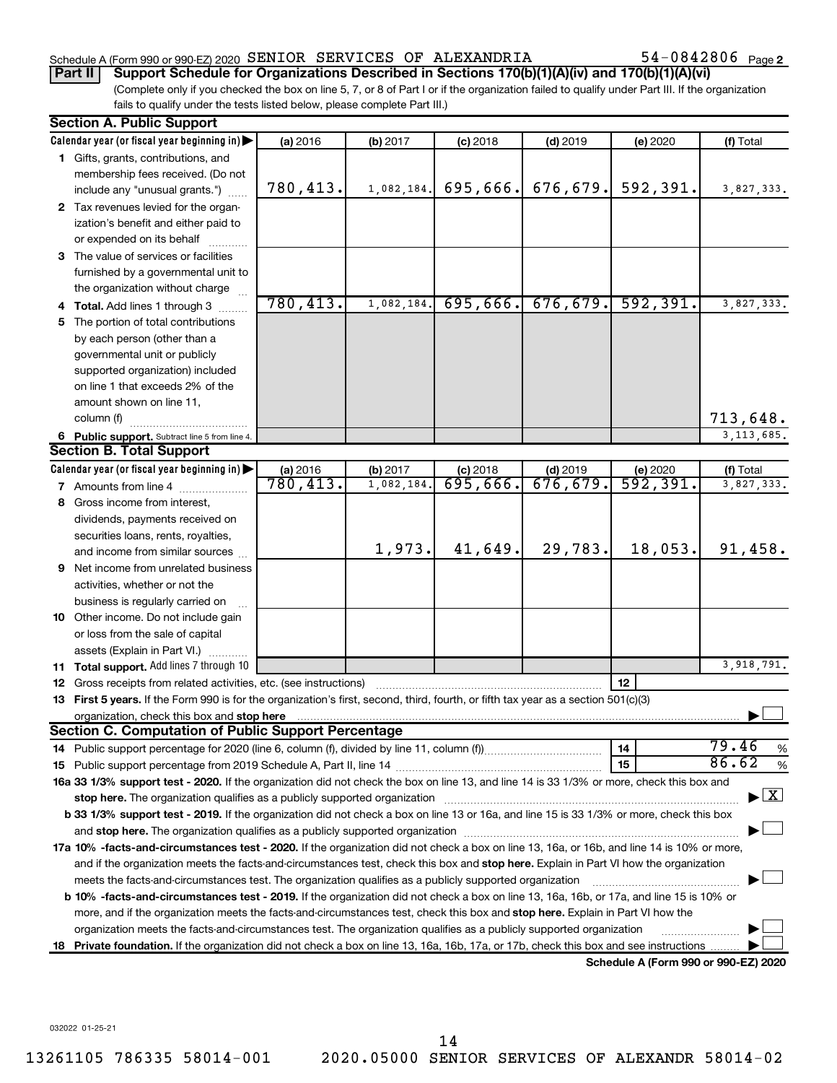### Schedule A (Form 990 or 990-EZ) 2020 SENIOR SERVICES OF ALEXANDRIA  $54-0842806$  Page

54-0842806 Page 2

(Complete only if you checked the box on line 5, 7, or 8 of Part I or if the organization failed to qualify under Part III. If the organization fails to qualify under the tests listed below, please complete Part III.) **Part II Support Schedule for Organizations Described in Sections 170(b)(1)(A)(iv) and 170(b)(1)(A)(vi)**

|    | <b>Section A. Public Support</b>                                                                                                                                                                                                                       |          |            |            |            |                                      |                                    |  |  |  |  |
|----|--------------------------------------------------------------------------------------------------------------------------------------------------------------------------------------------------------------------------------------------------------|----------|------------|------------|------------|--------------------------------------|------------------------------------|--|--|--|--|
|    | Calendar year (or fiscal year beginning in)                                                                                                                                                                                                            | (a) 2016 | (b) 2017   | $(c)$ 2018 | $(d)$ 2019 | (e) 2020                             | (f) Total                          |  |  |  |  |
|    | 1 Gifts, grants, contributions, and                                                                                                                                                                                                                    |          |            |            |            |                                      |                                    |  |  |  |  |
|    | membership fees received. (Do not                                                                                                                                                                                                                      |          |            |            |            |                                      |                                    |  |  |  |  |
|    | include any "unusual grants.")                                                                                                                                                                                                                         | 780,413. | 1,082,184. | 695,666.   | 676,679.   | 592,391.                             | 3,827,333.                         |  |  |  |  |
|    | 2 Tax revenues levied for the organ-                                                                                                                                                                                                                   |          |            |            |            |                                      |                                    |  |  |  |  |
|    | ization's benefit and either paid to                                                                                                                                                                                                                   |          |            |            |            |                                      |                                    |  |  |  |  |
|    | or expended on its behalf                                                                                                                                                                                                                              |          |            |            |            |                                      |                                    |  |  |  |  |
|    | 3 The value of services or facilities                                                                                                                                                                                                                  |          |            |            |            |                                      |                                    |  |  |  |  |
|    | furnished by a governmental unit to                                                                                                                                                                                                                    |          |            |            |            |                                      |                                    |  |  |  |  |
|    | the organization without charge                                                                                                                                                                                                                        |          |            |            |            |                                      |                                    |  |  |  |  |
|    | <b>Total.</b> Add lines 1 through 3                                                                                                                                                                                                                    | 780,413. | 1,082,184. | 695,666.   | 676,679.   | 592, 391.                            | 3,827,333.                         |  |  |  |  |
| 5. | The portion of total contributions                                                                                                                                                                                                                     |          |            |            |            |                                      |                                    |  |  |  |  |
|    | by each person (other than a                                                                                                                                                                                                                           |          |            |            |            |                                      |                                    |  |  |  |  |
|    | governmental unit or publicly                                                                                                                                                                                                                          |          |            |            |            |                                      |                                    |  |  |  |  |
|    | supported organization) included                                                                                                                                                                                                                       |          |            |            |            |                                      |                                    |  |  |  |  |
|    | on line 1 that exceeds 2% of the                                                                                                                                                                                                                       |          |            |            |            |                                      |                                    |  |  |  |  |
|    | amount shown on line 11,                                                                                                                                                                                                                               |          |            |            |            |                                      |                                    |  |  |  |  |
|    | column (f)                                                                                                                                                                                                                                             |          |            |            |            |                                      | 713,648.                           |  |  |  |  |
|    | 6 Public support. Subtract line 5 from line 4.                                                                                                                                                                                                         |          |            |            |            |                                      | 3, 113, 685.                       |  |  |  |  |
|    | <b>Section B. Total Support</b>                                                                                                                                                                                                                        |          |            |            |            |                                      |                                    |  |  |  |  |
|    | Calendar year (or fiscal year beginning in)                                                                                                                                                                                                            | (a) 2016 | (b) 2017   | $(c)$ 2018 | $(d)$ 2019 | (e) $2020$<br>592, 391.              | (f) Total                          |  |  |  |  |
|    | <b>7</b> Amounts from line 4                                                                                                                                                                                                                           | 780,413. | 1,082,184  | 695,666.   | 676, 679.  |                                      | 3,827,333.                         |  |  |  |  |
| 8  | Gross income from interest,                                                                                                                                                                                                                            |          |            |            |            |                                      |                                    |  |  |  |  |
|    | dividends, payments received on                                                                                                                                                                                                                        |          |            |            |            |                                      |                                    |  |  |  |  |
|    | securities loans, rents, royalties,                                                                                                                                                                                                                    |          |            |            |            |                                      |                                    |  |  |  |  |
|    | and income from similar sources                                                                                                                                                                                                                        |          | 1,973.     | 41,649.    | 29,783.    | 18,053.                              | 91,458.                            |  |  |  |  |
| 9  | Net income from unrelated business                                                                                                                                                                                                                     |          |            |            |            |                                      |                                    |  |  |  |  |
|    | activities, whether or not the                                                                                                                                                                                                                         |          |            |            |            |                                      |                                    |  |  |  |  |
|    | business is regularly carried on                                                                                                                                                                                                                       |          |            |            |            |                                      |                                    |  |  |  |  |
|    | 10 Other income. Do not include gain                                                                                                                                                                                                                   |          |            |            |            |                                      |                                    |  |  |  |  |
|    | or loss from the sale of capital                                                                                                                                                                                                                       |          |            |            |            |                                      |                                    |  |  |  |  |
|    | assets (Explain in Part VI.)                                                                                                                                                                                                                           |          |            |            |            |                                      |                                    |  |  |  |  |
|    | 11 Total support. Add lines 7 through 10                                                                                                                                                                                                               |          |            |            |            |                                      | 3,918,791.                         |  |  |  |  |
|    | 12 Gross receipts from related activities, etc. (see instructions)                                                                                                                                                                                     |          |            |            |            | 12                                   |                                    |  |  |  |  |
|    | 13 First 5 years. If the Form 990 is for the organization's first, second, third, fourth, or fifth tax year as a section 501(c)(3)                                                                                                                     |          |            |            |            |                                      |                                    |  |  |  |  |
|    | organization, check this box and stop here<br><b>Section C. Computation of Public Support Percentage</b>                                                                                                                                               |          |            |            |            |                                      |                                    |  |  |  |  |
|    |                                                                                                                                                                                                                                                        |          |            |            |            |                                      | 79.46                              |  |  |  |  |
|    |                                                                                                                                                                                                                                                        |          |            |            |            | 14                                   | %<br>86.62                         |  |  |  |  |
|    |                                                                                                                                                                                                                                                        |          |            |            |            | 15                                   | $\%$                               |  |  |  |  |
|    | 16a 33 1/3% support test - 2020. If the organization did not check the box on line 13, and line 14 is 33 1/3% or more, check this box and                                                                                                              |          |            |            |            |                                      | $\blacktriangleright$ $\mathbf{X}$ |  |  |  |  |
|    | b 33 1/3% support test - 2019. If the organization did not check a box on line 13 or 16a, and line 15 is 33 1/3% or more, check this box                                                                                                               |          |            |            |            |                                      |                                    |  |  |  |  |
|    |                                                                                                                                                                                                                                                        |          |            |            |            |                                      |                                    |  |  |  |  |
|    |                                                                                                                                                                                                                                                        |          |            |            |            |                                      |                                    |  |  |  |  |
|    | 17a 10% -facts-and-circumstances test - 2020. If the organization did not check a box on line 13, 16a, or 16b, and line 14 is 10% or more,                                                                                                             |          |            |            |            |                                      |                                    |  |  |  |  |
|    | and if the organization meets the facts-and-circumstances test, check this box and stop here. Explain in Part VI how the organization<br>meets the facts-and-circumstances test. The organization qualifies as a publicly supported organization       |          |            |            |            |                                      |                                    |  |  |  |  |
|    | b 10% -facts-and-circumstances test - 2019. If the organization did not check a box on line 13, 16a, 16b, or 17a, and line 15 is 10% or                                                                                                                |          |            |            |            |                                      |                                    |  |  |  |  |
|    |                                                                                                                                                                                                                                                        |          |            |            |            |                                      |                                    |  |  |  |  |
|    | more, and if the organization meets the facts-and-circumstances test, check this box and stop here. Explain in Part VI how the<br>organization meets the facts-and-circumstances test. The organization qualifies as a publicly supported organization |          |            |            |            |                                      |                                    |  |  |  |  |
|    | 18 Private foundation. If the organization did not check a box on line 13, 16a, 16b, 17a, or 17b, check this box and see instructions                                                                                                                  |          |            |            |            |                                      |                                    |  |  |  |  |
|    |                                                                                                                                                                                                                                                        |          |            |            |            | Schedule A (Form 990 or 990-F7) 2020 |                                    |  |  |  |  |

**Schedule A (Form 990 or 990-EZ) 2020**

032022 01-25-21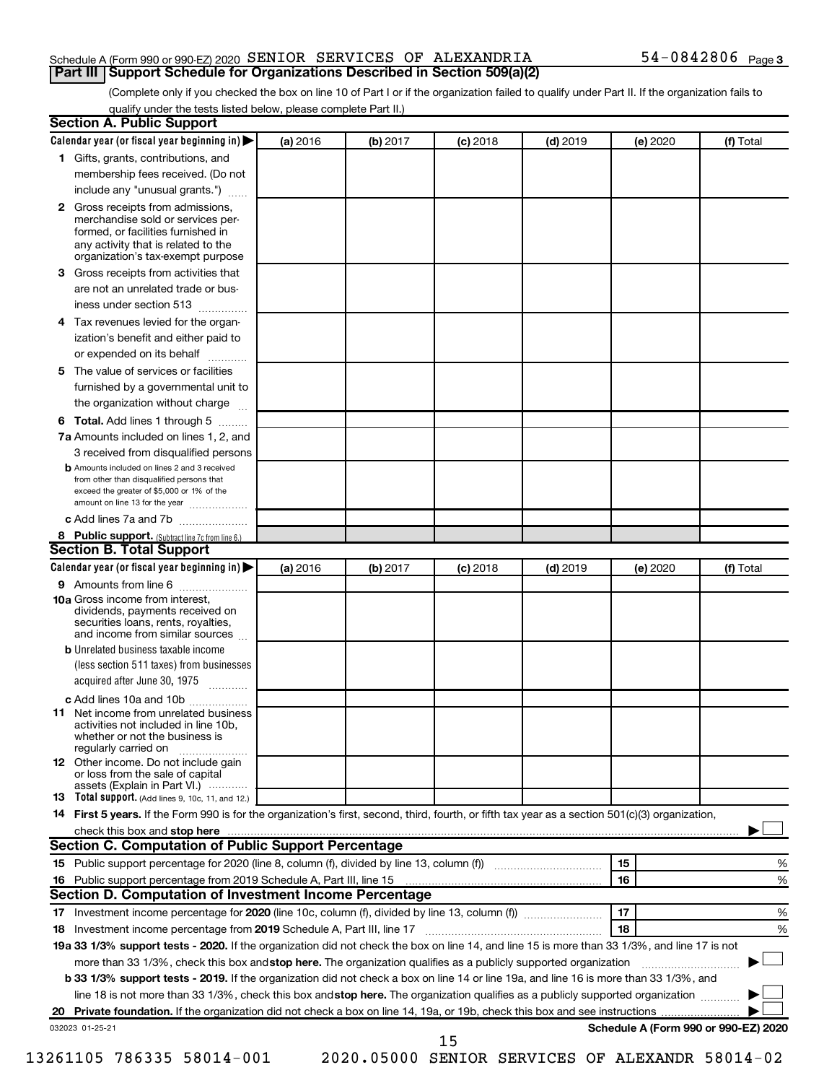#### Schedule A (Form 990 or 990-EZ) 2020 SENIOR SERVICES OF ALEXANDRIA  $54-0842806$  Page **Part III Support Schedule for Organizations Described in Section 509(a)(2)**

(Complete only if you checked the box on line 10 of Part I or if the organization failed to qualify under Part II. If the organization fails to qualify under the tests listed below, please complete Part II.)

| <b>Section A. Public Support</b>                                                                                                                                                                                                        |          |          |            |            |          |                                      |
|-----------------------------------------------------------------------------------------------------------------------------------------------------------------------------------------------------------------------------------------|----------|----------|------------|------------|----------|--------------------------------------|
| Calendar year (or fiscal year beginning in)                                                                                                                                                                                             | (a) 2016 | (b) 2017 | $(c)$ 2018 | $(d)$ 2019 | (e) 2020 | (f) Total                            |
| 1 Gifts, grants, contributions, and                                                                                                                                                                                                     |          |          |            |            |          |                                      |
| membership fees received. (Do not                                                                                                                                                                                                       |          |          |            |            |          |                                      |
| include any "unusual grants.")                                                                                                                                                                                                          |          |          |            |            |          |                                      |
| <b>2</b> Gross receipts from admissions,<br>merchandise sold or services per-<br>formed, or facilities furnished in<br>any activity that is related to the<br>organization's tax-exempt purpose                                         |          |          |            |            |          |                                      |
| 3 Gross receipts from activities that                                                                                                                                                                                                   |          |          |            |            |          |                                      |
| are not an unrelated trade or bus-                                                                                                                                                                                                      |          |          |            |            |          |                                      |
| iness under section 513                                                                                                                                                                                                                 |          |          |            |            |          |                                      |
| 4 Tax revenues levied for the organ-                                                                                                                                                                                                    |          |          |            |            |          |                                      |
| ization's benefit and either paid to                                                                                                                                                                                                    |          |          |            |            |          |                                      |
| or expended on its behalf                                                                                                                                                                                                               |          |          |            |            |          |                                      |
| 5 The value of services or facilities                                                                                                                                                                                                   |          |          |            |            |          |                                      |
| furnished by a governmental unit to                                                                                                                                                                                                     |          |          |            |            |          |                                      |
| the organization without charge                                                                                                                                                                                                         |          |          |            |            |          |                                      |
| 6 Total. Add lines 1 through 5                                                                                                                                                                                                          |          |          |            |            |          |                                      |
| 7a Amounts included on lines 1, 2, and                                                                                                                                                                                                  |          |          |            |            |          |                                      |
| 3 received from disqualified persons                                                                                                                                                                                                    |          |          |            |            |          |                                      |
| <b>b</b> Amounts included on lines 2 and 3 received<br>from other than disqualified persons that<br>exceed the greater of \$5,000 or 1% of the<br>amount on line 13 for the year                                                        |          |          |            |            |          |                                      |
| c Add lines 7a and 7b                                                                                                                                                                                                                   |          |          |            |            |          |                                      |
| 8 Public support. (Subtract line 7c from line 6.)                                                                                                                                                                                       |          |          |            |            |          |                                      |
| <b>Section B. Total Support</b>                                                                                                                                                                                                         |          |          |            |            |          |                                      |
| Calendar year (or fiscal year beginning in)                                                                                                                                                                                             | (a) 2016 | (b) 2017 | $(c)$ 2018 | $(d)$ 2019 | (e) 2020 | (f) Total                            |
| 9 Amounts from line 6                                                                                                                                                                                                                   |          |          |            |            |          |                                      |
| <b>10a</b> Gross income from interest,<br>dividends, payments received on<br>securities loans, rents, royalties,<br>and income from similar sources                                                                                     |          |          |            |            |          |                                      |
| <b>b</b> Unrelated business taxable income                                                                                                                                                                                              |          |          |            |            |          |                                      |
| (less section 511 taxes) from businesses<br>acquired after June 30, 1975                                                                                                                                                                |          |          |            |            |          |                                      |
| c Add lines 10a and 10b                                                                                                                                                                                                                 |          |          |            |            |          |                                      |
| <b>11</b> Net income from unrelated business<br>activities not included in line 10b.<br>whether or not the business is<br>regularly carried on                                                                                          |          |          |            |            |          |                                      |
| 12 Other income. Do not include gain<br>or loss from the sale of capital<br>assets (Explain in Part VI.)                                                                                                                                |          |          |            |            |          |                                      |
| <b>13</b> Total support. (Add lines 9, 10c, 11, and 12.)                                                                                                                                                                                |          |          |            |            |          |                                      |
| 14 First 5 years. If the Form 990 is for the organization's first, second, third, fourth, or fifth tax year as a section 501(c)(3) organization,                                                                                        |          |          |            |            |          |                                      |
| check this box and stop here <b>contained and according to the contained and stop here</b> contained and stop here <b>contained and according to the contained and stop here</b> contained and according to the contained and according |          |          |            |            |          |                                      |
| Section C. Computation of Public Support Percentage                                                                                                                                                                                     |          |          |            |            |          |                                      |
| 15 Public support percentage for 2020 (line 8, column (f), divided by line 13, column (f) <i></i>                                                                                                                                       |          |          |            |            | 15       | ℅                                    |
|                                                                                                                                                                                                                                         |          |          |            |            | 16       | %                                    |
| Section D. Computation of Investment Income Percentage                                                                                                                                                                                  |          |          |            |            |          |                                      |
|                                                                                                                                                                                                                                         |          |          |            |            | 17       | %                                    |
| 18 Investment income percentage from 2019 Schedule A, Part III, line 17                                                                                                                                                                 |          |          |            |            | 18       | %                                    |
| 19a 33 1/3% support tests - 2020. If the organization did not check the box on line 14, and line 15 is more than 33 1/3%, and line 17 is not                                                                                            |          |          |            |            |          |                                      |
| more than 33 1/3%, check this box and stop here. The organization qualifies as a publicly supported organization                                                                                                                        |          |          |            |            |          |                                      |
| b 33 1/3% support tests - 2019. If the organization did not check a box on line 14 or line 19a, and line 16 is more than 33 1/3%, and                                                                                                   |          |          |            |            |          |                                      |
| line 18 is not more than 33 1/3%, check this box and stop here. The organization qualifies as a publicly supported organization                                                                                                         |          |          |            |            |          |                                      |
|                                                                                                                                                                                                                                         |          |          |            |            |          |                                      |
|                                                                                                                                                                                                                                         |          |          |            |            |          | Schedule A (Form 990 or 990-EZ) 2020 |
| 032023 01-25-21                                                                                                                                                                                                                         |          |          | 15         |            |          |                                      |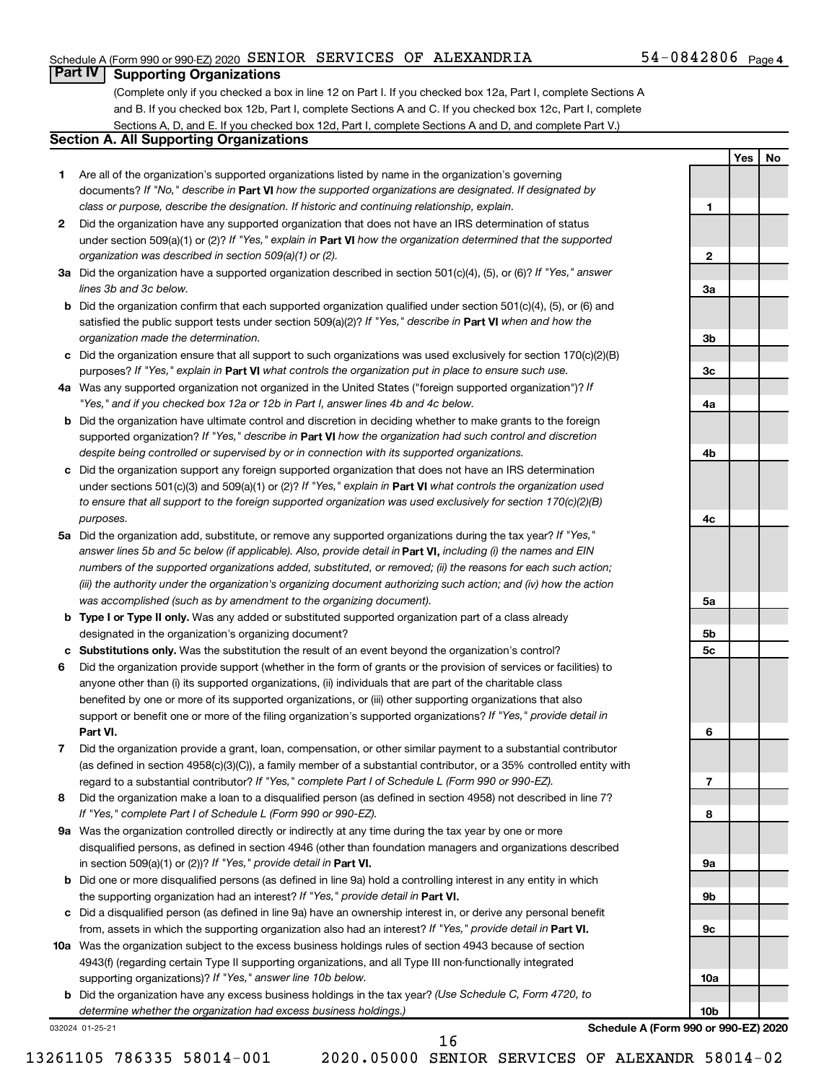#### Schedule A (Form 990 or 990-EZ) 2020 SENIOR SERVICES OF ALEXANDRIA  $54-0842806$  Page

**1**

**2**

**3a**

**3b**

**3c**

**4a**

**4b**

**4c**

**5a**

**5b 5c**

**6**

**7**

**8**

**9a**

**9b**

**9c**

**10a**

**10b**

**Yes No**

## **Part IV Supporting Organizations**

(Complete only if you checked a box in line 12 on Part I. If you checked box 12a, Part I, complete Sections A and B. If you checked box 12b, Part I, complete Sections A and C. If you checked box 12c, Part I, complete Sections A, D, and E. If you checked box 12d, Part I, complete Sections A and D, and complete Part V.)

## **Section A. All Supporting Organizations**

- **1** Are all of the organization's supported organizations listed by name in the organization's governing documents? If "No," describe in Part VI how the supported organizations are designated. If designated by *class or purpose, describe the designation. If historic and continuing relationship, explain.*
- **2** Did the organization have any supported organization that does not have an IRS determination of status under section 509(a)(1) or (2)? If "Yes," explain in Part **VI** how the organization determined that the supported *organization was described in section 509(a)(1) or (2).*
- **3a** Did the organization have a supported organization described in section 501(c)(4), (5), or (6)? If "Yes," answer *lines 3b and 3c below.*
- **b** Did the organization confirm that each supported organization qualified under section 501(c)(4), (5), or (6) and satisfied the public support tests under section 509(a)(2)? If "Yes," describe in Part VI when and how the *organization made the determination.*
- **c** Did the organization ensure that all support to such organizations was used exclusively for section 170(c)(2)(B) purposes? If "Yes," explain in Part VI what controls the organization put in place to ensure such use.
- **4 a** *If* Was any supported organization not organized in the United States ("foreign supported organization")? *"Yes," and if you checked box 12a or 12b in Part I, answer lines 4b and 4c below.*
- **b** Did the organization have ultimate control and discretion in deciding whether to make grants to the foreign supported organization? If "Yes," describe in Part VI how the organization had such control and discretion *despite being controlled or supervised by or in connection with its supported organizations.*
- **c** Did the organization support any foreign supported organization that does not have an IRS determination under sections 501(c)(3) and 509(a)(1) or (2)? If "Yes," explain in Part VI what controls the organization used *to ensure that all support to the foreign supported organization was used exclusively for section 170(c)(2)(B) purposes.*
- **5a** Did the organization add, substitute, or remove any supported organizations during the tax year? If "Yes," answer lines 5b and 5c below (if applicable). Also, provide detail in **Part VI,** including (i) the names and EIN *numbers of the supported organizations added, substituted, or removed; (ii) the reasons for each such action; (iii) the authority under the organization's organizing document authorizing such action; and (iv) how the action was accomplished (such as by amendment to the organizing document).*
- **b Type I or Type II only.** Was any added or substituted supported organization part of a class already designated in the organization's organizing document?
- **c Substitutions only.**  Was the substitution the result of an event beyond the organization's control?
- **6** Did the organization provide support (whether in the form of grants or the provision of services or facilities) to **Part VI.** support or benefit one or more of the filing organization's supported organizations? If "Yes," provide detail in anyone other than (i) its supported organizations, (ii) individuals that are part of the charitable class benefited by one or more of its supported organizations, or (iii) other supporting organizations that also
- **7** Did the organization provide a grant, loan, compensation, or other similar payment to a substantial contributor regard to a substantial contributor? If "Yes," complete Part I of Schedule L (Form 990 or 990-EZ). (as defined in section 4958(c)(3)(C)), a family member of a substantial contributor, or a 35% controlled entity with
- **8** Did the organization make a loan to a disqualified person (as defined in section 4958) not described in line 7? *If "Yes," complete Part I of Schedule L (Form 990 or 990-EZ).*
- **9 a** Was the organization controlled directly or indirectly at any time during the tax year by one or more in section 509(a)(1) or (2))? If "Yes," provide detail in **Part VI.** disqualified persons, as defined in section 4946 (other than foundation managers and organizations described
- **b** Did one or more disqualified persons (as defined in line 9a) hold a controlling interest in any entity in which the supporting organization had an interest? If "Yes," provide detail in Part VI.
- **c** Did a disqualified person (as defined in line 9a) have an ownership interest in, or derive any personal benefit from, assets in which the supporting organization also had an interest? If "Yes," provide detail in Part VI.
- **10 a** Was the organization subject to the excess business holdings rules of section 4943 because of section supporting organizations)? If "Yes," answer line 10b below. 4943(f) (regarding certain Type II supporting organizations, and all Type III non-functionally integrated
	- **b** Did the organization have any excess business holdings in the tax year? (Use Schedule C, Form 4720, to *determine whether the organization had excess business holdings.)*

032024 01-25-21

**Schedule A (Form 990 or 990-EZ) 2020**

13261105 786335 58014-001 2020.05000 SENIOR SERVICES OF ALEXANDR 58014-02

16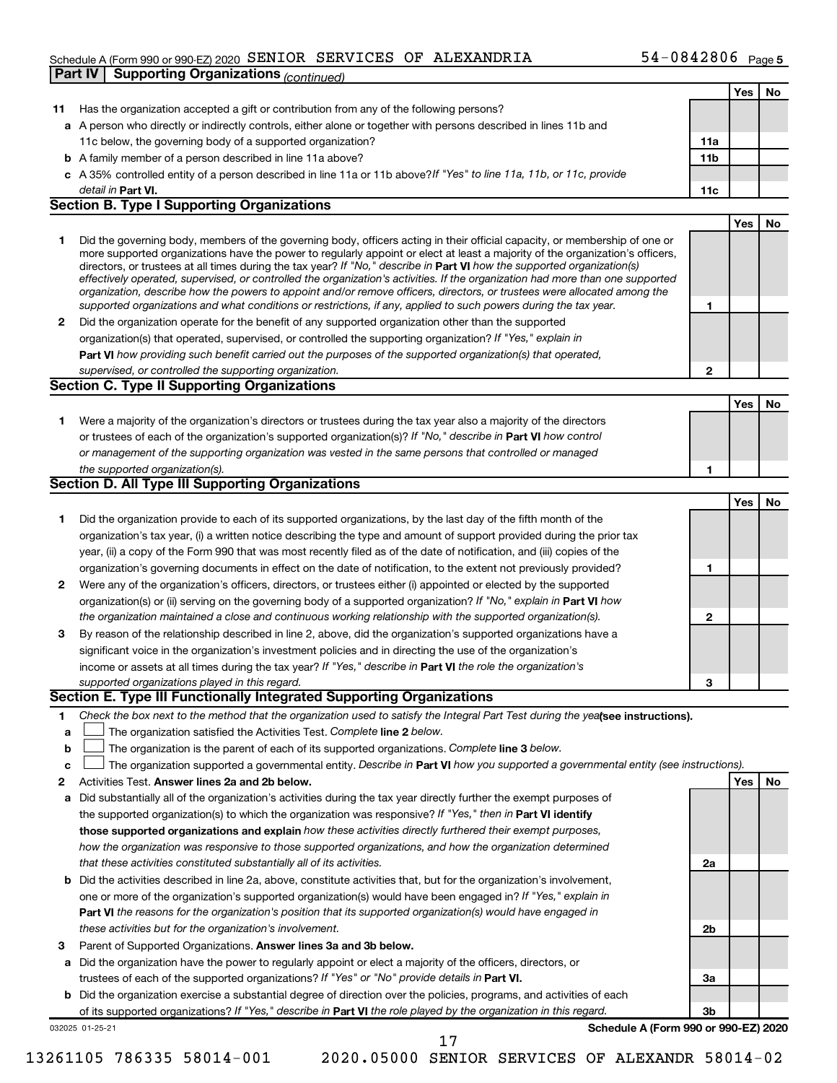#### Schedule A (Form 990 or 990-EZ) 2020 SENIOR SERVICES OF ALEXANDRIA  $54-0842806$  Page **Part IV Supporting Organizations** *(continued)*

|    |                                                                                                                                                                                                                                                            |     | Yes | No |
|----|------------------------------------------------------------------------------------------------------------------------------------------------------------------------------------------------------------------------------------------------------------|-----|-----|----|
| 11 | Has the organization accepted a gift or contribution from any of the following persons?                                                                                                                                                                    |     |     |    |
|    | a A person who directly or indirectly controls, either alone or together with persons described in lines 11b and                                                                                                                                           |     |     |    |
|    | 11c below, the governing body of a supported organization?                                                                                                                                                                                                 | 11a |     |    |
| b  | A family member of a person described in line 11a above?                                                                                                                                                                                                   | 11b |     |    |
|    | c A 35% controlled entity of a person described in line 11a or 11b above? If "Yes" to line 11a, 11b, or 11c, provide                                                                                                                                       |     |     |    |
|    | detail in Part VI.                                                                                                                                                                                                                                         | 11c |     |    |
|    | <b>Section B. Type I Supporting Organizations</b>                                                                                                                                                                                                          |     |     |    |
|    |                                                                                                                                                                                                                                                            |     | Yes | No |
| 1  | Did the governing body, members of the governing body, officers acting in their official capacity, or membership of one or                                                                                                                                 |     |     |    |
|    | more supported organizations have the power to regularly appoint or elect at least a majority of the organization's officers,                                                                                                                              |     |     |    |
|    | directors, or trustees at all times during the tax year? If "No," describe in Part VI how the supported organization(s)                                                                                                                                    |     |     |    |
|    | effectively operated, supervised, or controlled the organization's activities. If the organization had more than one supported<br>organization, describe how the powers to appoint and/or remove officers, directors, or trustees were allocated among the |     |     |    |
|    | supported organizations and what conditions or restrictions, if any, applied to such powers during the tax year.                                                                                                                                           | 1   |     |    |
| 2  | Did the organization operate for the benefit of any supported organization other than the supported                                                                                                                                                        |     |     |    |
|    | organization(s) that operated, supervised, or controlled the supporting organization? If "Yes," explain in                                                                                                                                                 |     |     |    |
|    | <b>Part VI</b> how providing such benefit carried out the purposes of the supported organization(s) that operated,                                                                                                                                         |     |     |    |
|    | supervised, or controlled the supporting organization.                                                                                                                                                                                                     | 2   |     |    |
|    | Section C. Type II Supporting Organizations                                                                                                                                                                                                                |     |     |    |
|    |                                                                                                                                                                                                                                                            |     | Yes | No |
| 1. | Were a majority of the organization's directors or trustees during the tax year also a majority of the directors                                                                                                                                           |     |     |    |
|    | or trustees of each of the organization's supported organization(s)? If "No," describe in <b>Part VI</b> how control                                                                                                                                       |     |     |    |
|    | or management of the supporting organization was vested in the same persons that controlled or managed                                                                                                                                                     |     |     |    |
|    | the supported organization(s).                                                                                                                                                                                                                             | 1   |     |    |
|    | Section D. All Type III Supporting Organizations                                                                                                                                                                                                           |     |     |    |
|    |                                                                                                                                                                                                                                                            |     | Yes | No |
|    | Did the organization provide to each of its supported organizations, by the last day of the fifth month of the                                                                                                                                             |     |     |    |
| 1  |                                                                                                                                                                                                                                                            |     |     |    |
|    | organization's tax year, (i) a written notice describing the type and amount of support provided during the prior tax                                                                                                                                      |     |     |    |
|    | year, (ii) a copy of the Form 990 that was most recently filed as of the date of notification, and (iii) copies of the                                                                                                                                     |     |     |    |
|    | organization's governing documents in effect on the date of notification, to the extent not previously provided?                                                                                                                                           | 1   |     |    |
| 2  | Were any of the organization's officers, directors, or trustees either (i) appointed or elected by the supported                                                                                                                                           |     |     |    |
|    | organization(s) or (ii) serving on the governing body of a supported organization? If "No," explain in Part VI how                                                                                                                                         |     |     |    |
|    | the organization maintained a close and continuous working relationship with the supported organization(s).                                                                                                                                                | 2   |     |    |
| 3  | By reason of the relationship described in line 2, above, did the organization's supported organizations have a                                                                                                                                            |     |     |    |
|    | significant voice in the organization's investment policies and in directing the use of the organization's                                                                                                                                                 |     |     |    |
|    | income or assets at all times during the tax year? If "Yes," describe in Part VI the role the organization's                                                                                                                                               |     |     |    |
|    | supported organizations played in this regard.<br>Section E. Type III Functionally Integrated Supporting Organizations                                                                                                                                     | З   |     |    |
|    |                                                                                                                                                                                                                                                            |     |     |    |
| 1. | Check the box next to the method that the organization used to satisfy the Integral Part Test during the yealsee instructions).                                                                                                                            |     |     |    |
| а  | The organization satisfied the Activities Test. Complete line 2 below.                                                                                                                                                                                     |     |     |    |
| b  | The organization is the parent of each of its supported organizations. Complete line 3 below.                                                                                                                                                              |     |     |    |
| c  | The organization supported a governmental entity. Describe in Part VI how you supported a governmental entity (see instructions).                                                                                                                          |     |     |    |
| 2  | Activities Test. Answer lines 2a and 2b below.                                                                                                                                                                                                             |     | Yes | No |
| а  | Did substantially all of the organization's activities during the tax year directly further the exempt purposes of                                                                                                                                         |     |     |    |
|    | the supported organization(s) to which the organization was responsive? If "Yes," then in Part VI identify                                                                                                                                                 |     |     |    |
|    | those supported organizations and explain how these activities directly furthered their exempt purposes,                                                                                                                                                   |     |     |    |
|    | how the organization was responsive to those supported organizations, and how the organization determined                                                                                                                                                  |     |     |    |
|    | that these activities constituted substantially all of its activities.                                                                                                                                                                                     | 2a  |     |    |
| b  | Did the activities described in line 2a, above, constitute activities that, but for the organization's involvement,                                                                                                                                        |     |     |    |
|    | one or more of the organization's supported organization(s) would have been engaged in? If "Yes," explain in                                                                                                                                               |     |     |    |
|    | <b>Part VI</b> the reasons for the organization's position that its supported organization(s) would have engaged in                                                                                                                                        |     |     |    |
|    | these activities but for the organization's involvement.                                                                                                                                                                                                   | 2b  |     |    |
| з  | Parent of Supported Organizations. Answer lines 3a and 3b below.                                                                                                                                                                                           |     |     |    |
| а  | Did the organization have the power to regularly appoint or elect a majority of the officers, directors, or                                                                                                                                                |     |     |    |
|    | trustees of each of the supported organizations? If "Yes" or "No" provide details in Part VI.                                                                                                                                                              | За  |     |    |
| b  | Did the organization exercise a substantial degree of direction over the policies, programs, and activities of each                                                                                                                                        |     |     |    |
|    | of its supported organizations? If "Yes," describe in Part VI the role played by the organization in this regard.                                                                                                                                          | 3b  |     |    |
|    | Schedule A (Form 990 or 990-EZ) 2020<br>032025 01-25-21<br>17                                                                                                                                                                                              |     |     |    |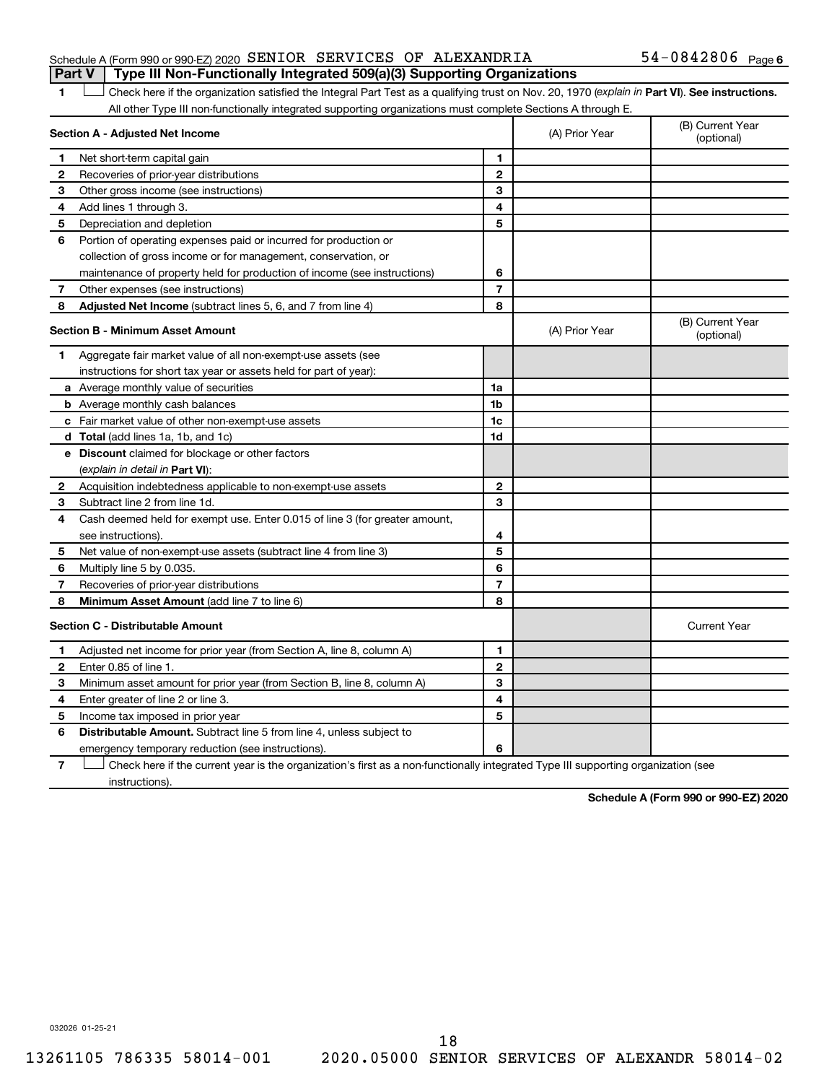#### Schedule A (Form 990 or 990-EZ) 2020 SENIOR SERVICES OF ALEXANDRIA  $54-0842806$  Page **Part V Type III Non-Functionally Integrated 509(a)(3) Supporting Organizations**

## 54-0842806 Page 6

1 **D** Check here if the organization satisfied the Integral Part Test as a qualifying trust on Nov. 20, 1970 (explain in Part **VI**). See instructions. All other Type III non-functionally integrated supporting organizations must complete Sections A through E.

| Section A - Adjusted Net Income |                                                                             | (A) Prior Year | (B) Current Year<br>(optional) |                                |
|---------------------------------|-----------------------------------------------------------------------------|----------------|--------------------------------|--------------------------------|
| 1                               | Net short-term capital gain                                                 | 1              |                                |                                |
| $\mathbf{2}$                    | Recoveries of prior-year distributions                                      | $\mathbf{2}$   |                                |                                |
| З                               | Other gross income (see instructions)                                       | 3              |                                |                                |
| 4                               | Add lines 1 through 3.                                                      | 4              |                                |                                |
| 5                               | Depreciation and depletion                                                  | 5              |                                |                                |
| 6                               | Portion of operating expenses paid or incurred for production or            |                |                                |                                |
|                                 | collection of gross income or for management, conservation, or              |                |                                |                                |
|                                 | maintenance of property held for production of income (see instructions)    | 6              |                                |                                |
| 7                               | Other expenses (see instructions)                                           | $\overline{7}$ |                                |                                |
| 8                               | Adjusted Net Income (subtract lines 5, 6, and 7 from line 4)                | 8              |                                |                                |
|                                 | <b>Section B - Minimum Asset Amount</b>                                     |                | (A) Prior Year                 | (B) Current Year<br>(optional) |
| 1.                              | Aggregate fair market value of all non-exempt-use assets (see               |                |                                |                                |
|                                 | instructions for short tax year or assets held for part of year):           |                |                                |                                |
|                                 | a Average monthly value of securities                                       | 1a             |                                |                                |
|                                 | <b>b</b> Average monthly cash balances                                      | 1b             |                                |                                |
|                                 | c Fair market value of other non-exempt-use assets                          | 1 <sub>c</sub> |                                |                                |
|                                 | d Total (add lines 1a, 1b, and 1c)                                          | 1d             |                                |                                |
|                                 | e Discount claimed for blockage or other factors                            |                |                                |                                |
|                                 | (explain in detail in Part VI):                                             |                |                                |                                |
| 2                               | Acquisition indebtedness applicable to non-exempt-use assets                | $\mathbf{2}$   |                                |                                |
| 3                               | Subtract line 2 from line 1d.                                               | 3              |                                |                                |
| 4                               | Cash deemed held for exempt use. Enter 0.015 of line 3 (for greater amount, |                |                                |                                |
|                                 | see instructions).                                                          | 4              |                                |                                |
| 5                               | Net value of non-exempt-use assets (subtract line 4 from line 3)            | 5              |                                |                                |
| 6                               | Multiply line 5 by 0.035.                                                   | 6              |                                |                                |
| 7                               | Recoveries of prior-year distributions                                      | $\overline{7}$ |                                |                                |
| 8                               | Minimum Asset Amount (add line 7 to line 6)                                 | 8              |                                |                                |
|                                 | <b>Section C - Distributable Amount</b>                                     |                |                                | <b>Current Year</b>            |
| 1                               | Adjusted net income for prior year (from Section A, line 8, column A)       | 1              |                                |                                |
| 2                               | Enter 0.85 of line 1.                                                       | $\mathbf{2}$   |                                |                                |
| 3                               | Minimum asset amount for prior year (from Section B, line 8, column A)      | 3              |                                |                                |
| 4                               | Enter greater of line 2 or line 3.                                          | 4              |                                |                                |
| 5                               | Income tax imposed in prior year                                            | 5              |                                |                                |
| 6                               | Distributable Amount. Subtract line 5 from line 4, unless subject to        |                |                                |                                |
|                                 | emergency temporary reduction (see instructions).                           | 6              |                                |                                |
|                                 |                                                                             |                |                                |                                |

**7** Check here if the current year is the organization's first as a non-functionally integrated Type III supporting organization (see instructions).

**Schedule A (Form 990 or 990-EZ) 2020**

032026 01-25-21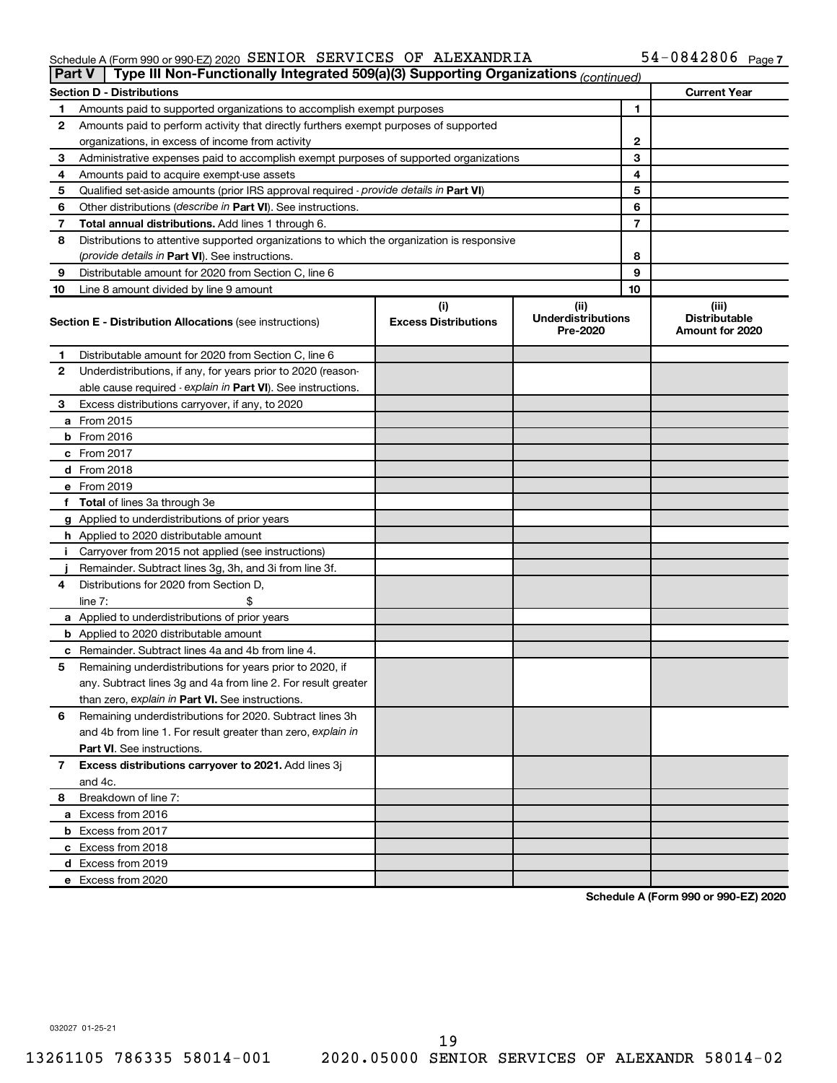#### Schedule A (Form 990 or 990-EZ) 2020 SENIOR SERVICES OF ALEXANDRIA 54-U84Z8U6 Page SENIOR SERVICES OF ALEXANDRIA 54-0842806

| <b>Part V</b> | Type III Non-Functionally Integrated 509(a)(3) Supporting Organizations (continued)        |                             |                                       |    |                                                |
|---------------|--------------------------------------------------------------------------------------------|-----------------------------|---------------------------------------|----|------------------------------------------------|
|               | <b>Section D - Distributions</b>                                                           |                             |                                       |    | <b>Current Year</b>                            |
| 1             | Amounts paid to supported organizations to accomplish exempt purposes                      | $\mathbf{1}$                |                                       |    |                                                |
| 2             | Amounts paid to perform activity that directly furthers exempt purposes of supported       |                             |                                       |    |                                                |
|               | organizations, in excess of income from activity                                           | $\mathbf{2}$                |                                       |    |                                                |
| 3             | Administrative expenses paid to accomplish exempt purposes of supported organizations      | 3                           |                                       |    |                                                |
| 4             | Amounts paid to acquire exempt-use assets                                                  |                             |                                       | 4  |                                                |
| 5             | Qualified set-aside amounts (prior IRS approval required - provide details in Part VI)     |                             |                                       | 5  |                                                |
| 6             | Other distributions ( <i>describe in Part VI</i> ). See instructions.                      |                             |                                       | 6  |                                                |
| 7             | Total annual distributions. Add lines 1 through 6.                                         |                             |                                       | 7  |                                                |
| 8             | Distributions to attentive supported organizations to which the organization is responsive |                             |                                       |    |                                                |
|               | (provide details in Part VI). See instructions.                                            |                             |                                       | 8  |                                                |
| 9             | Distributable amount for 2020 from Section C, line 6                                       |                             |                                       | 9  |                                                |
| 10            | Line 8 amount divided by line 9 amount                                                     |                             |                                       | 10 |                                                |
|               |                                                                                            | (i)                         | (ii)                                  |    | (iii)                                          |
|               | <b>Section E - Distribution Allocations (see instructions)</b>                             | <b>Excess Distributions</b> | <b>Underdistributions</b><br>Pre-2020 |    | <b>Distributable</b><br><b>Amount for 2020</b> |
| 1             | Distributable amount for 2020 from Section C, line 6                                       |                             |                                       |    |                                                |
| 2             | Underdistributions, if any, for years prior to 2020 (reason-                               |                             |                                       |    |                                                |
|               | able cause required - explain in Part VI). See instructions.                               |                             |                                       |    |                                                |
| 3             | Excess distributions carryover, if any, to 2020                                            |                             |                                       |    |                                                |
|               | a From 2015                                                                                |                             |                                       |    |                                                |
|               | <b>b</b> From 2016                                                                         |                             |                                       |    |                                                |
|               | c From 2017                                                                                |                             |                                       |    |                                                |
|               | d From 2018                                                                                |                             |                                       |    |                                                |
|               | e From 2019                                                                                |                             |                                       |    |                                                |
|               | f Total of lines 3a through 3e                                                             |                             |                                       |    |                                                |
|               | g Applied to underdistributions of prior years                                             |                             |                                       |    |                                                |
|               | h Applied to 2020 distributable amount                                                     |                             |                                       |    |                                                |
| Ť.            | Carryover from 2015 not applied (see instructions)                                         |                             |                                       |    |                                                |
|               | Remainder. Subtract lines 3g, 3h, and 3i from line 3f.                                     |                             |                                       |    |                                                |
| 4             | Distributions for 2020 from Section D,                                                     |                             |                                       |    |                                                |
|               | line $7:$                                                                                  |                             |                                       |    |                                                |
|               | a Applied to underdistributions of prior years                                             |                             |                                       |    |                                                |
|               | <b>b</b> Applied to 2020 distributable amount                                              |                             |                                       |    |                                                |
|               | c Remainder. Subtract lines 4a and 4b from line 4.                                         |                             |                                       |    |                                                |
| 5             | Remaining underdistributions for years prior to 2020, if                                   |                             |                                       |    |                                                |
|               | any. Subtract lines 3g and 4a from line 2. For result greater                              |                             |                                       |    |                                                |
|               | than zero, explain in Part VI. See instructions.                                           |                             |                                       |    |                                                |
| 6             | Remaining underdistributions for 2020. Subtract lines 3h                                   |                             |                                       |    |                                                |
|               | and 4b from line 1. For result greater than zero, explain in                               |                             |                                       |    |                                                |
|               | <b>Part VI.</b> See instructions.                                                          |                             |                                       |    |                                                |
| 7             | Excess distributions carryover to 2021. Add lines 3j                                       |                             |                                       |    |                                                |
|               | and 4c.                                                                                    |                             |                                       |    |                                                |
| 8             | Breakdown of line 7:                                                                       |                             |                                       |    |                                                |
|               | a Excess from 2016                                                                         |                             |                                       |    |                                                |
|               | <b>b</b> Excess from 2017                                                                  |                             |                                       |    |                                                |
|               | c Excess from 2018                                                                         |                             |                                       |    |                                                |
|               | d Excess from 2019                                                                         |                             |                                       |    |                                                |
|               | e Excess from 2020                                                                         |                             |                                       |    |                                                |

**Schedule A (Form 990 or 990-EZ) 2020**

032027 01-25-21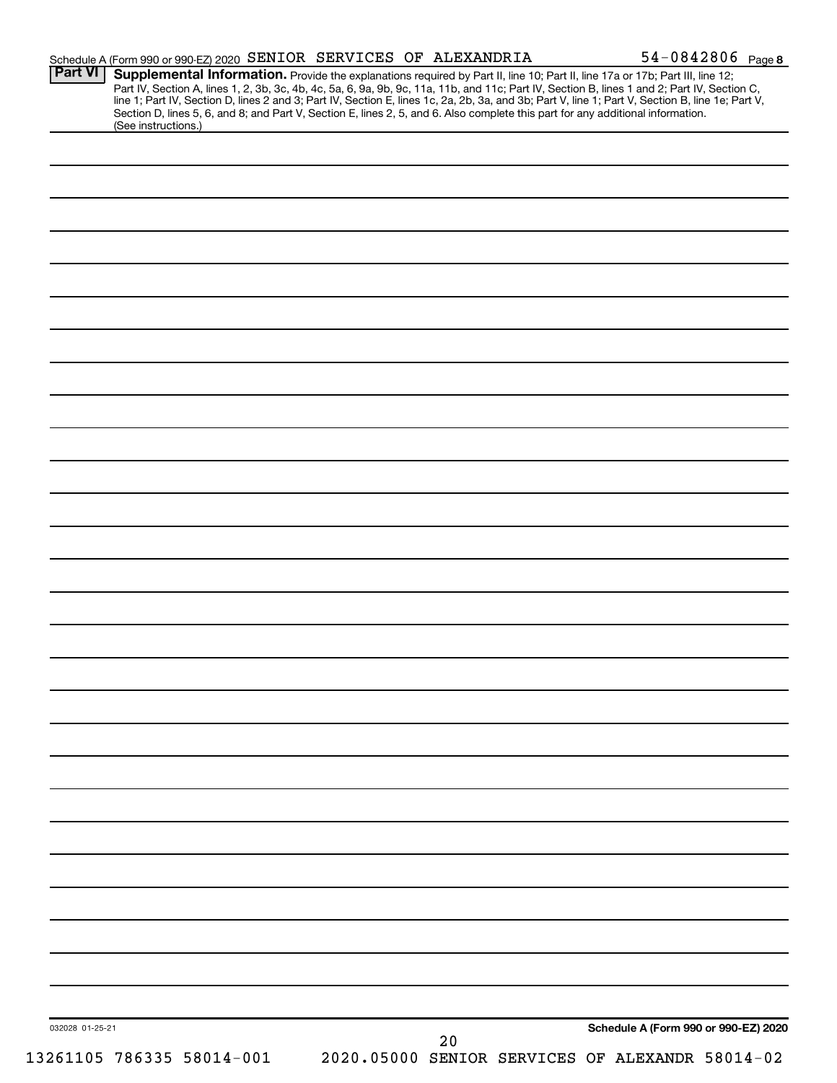| <b>Part VI</b>  | Schedule A (Form 990 or 990-EZ) 2020 SENIOR SERVICES OF ALEXANDRIA                                                                                                                                                                                                                                                                                                                                                                                                                                |    |                                                 | 54-0842806 Page 8 |
|-----------------|---------------------------------------------------------------------------------------------------------------------------------------------------------------------------------------------------------------------------------------------------------------------------------------------------------------------------------------------------------------------------------------------------------------------------------------------------------------------------------------------------|----|-------------------------------------------------|-------------------|
|                 | Supplemental Information. Provide the explanations required by Part II, line 10; Part II, line 17a or 17b; Part III, line 12;<br>Part IV, Section A, lines 1, 2, 3b, 3c, 4b, 4c, 5a, 6, 9a, 9b, 9c, 11a, 11b, and 11c; Part IV, Section B, lines 1 and 2; Part IV, Section C, line 1; Part IV, Section D, lines 2 and 3; Part IV, Section E, lines 1c, 2a, 2b,<br>Section D, lines 5, 6, and 8; and Part V, Section E, lines 2, 5, and 6. Also complete this part for any additional information. |    |                                                 |                   |
|                 | (See instructions.)                                                                                                                                                                                                                                                                                                                                                                                                                                                                               |    |                                                 |                   |
|                 |                                                                                                                                                                                                                                                                                                                                                                                                                                                                                                   |    |                                                 |                   |
|                 |                                                                                                                                                                                                                                                                                                                                                                                                                                                                                                   |    |                                                 |                   |
|                 |                                                                                                                                                                                                                                                                                                                                                                                                                                                                                                   |    |                                                 |                   |
|                 |                                                                                                                                                                                                                                                                                                                                                                                                                                                                                                   |    |                                                 |                   |
|                 |                                                                                                                                                                                                                                                                                                                                                                                                                                                                                                   |    |                                                 |                   |
|                 |                                                                                                                                                                                                                                                                                                                                                                                                                                                                                                   |    |                                                 |                   |
|                 |                                                                                                                                                                                                                                                                                                                                                                                                                                                                                                   |    |                                                 |                   |
|                 |                                                                                                                                                                                                                                                                                                                                                                                                                                                                                                   |    |                                                 |                   |
|                 |                                                                                                                                                                                                                                                                                                                                                                                                                                                                                                   |    |                                                 |                   |
|                 |                                                                                                                                                                                                                                                                                                                                                                                                                                                                                                   |    |                                                 |                   |
|                 |                                                                                                                                                                                                                                                                                                                                                                                                                                                                                                   |    |                                                 |                   |
|                 |                                                                                                                                                                                                                                                                                                                                                                                                                                                                                                   |    |                                                 |                   |
|                 |                                                                                                                                                                                                                                                                                                                                                                                                                                                                                                   |    |                                                 |                   |
|                 |                                                                                                                                                                                                                                                                                                                                                                                                                                                                                                   |    |                                                 |                   |
|                 |                                                                                                                                                                                                                                                                                                                                                                                                                                                                                                   |    |                                                 |                   |
|                 |                                                                                                                                                                                                                                                                                                                                                                                                                                                                                                   |    |                                                 |                   |
|                 |                                                                                                                                                                                                                                                                                                                                                                                                                                                                                                   |    |                                                 |                   |
|                 |                                                                                                                                                                                                                                                                                                                                                                                                                                                                                                   |    |                                                 |                   |
|                 |                                                                                                                                                                                                                                                                                                                                                                                                                                                                                                   |    |                                                 |                   |
|                 |                                                                                                                                                                                                                                                                                                                                                                                                                                                                                                   |    |                                                 |                   |
|                 |                                                                                                                                                                                                                                                                                                                                                                                                                                                                                                   |    |                                                 |                   |
|                 |                                                                                                                                                                                                                                                                                                                                                                                                                                                                                                   |    |                                                 |                   |
|                 |                                                                                                                                                                                                                                                                                                                                                                                                                                                                                                   |    |                                                 |                   |
|                 |                                                                                                                                                                                                                                                                                                                                                                                                                                                                                                   |    |                                                 |                   |
|                 |                                                                                                                                                                                                                                                                                                                                                                                                                                                                                                   |    |                                                 |                   |
|                 |                                                                                                                                                                                                                                                                                                                                                                                                                                                                                                   |    |                                                 |                   |
|                 |                                                                                                                                                                                                                                                                                                                                                                                                                                                                                                   |    |                                                 |                   |
|                 |                                                                                                                                                                                                                                                                                                                                                                                                                                                                                                   |    |                                                 |                   |
|                 |                                                                                                                                                                                                                                                                                                                                                                                                                                                                                                   |    |                                                 |                   |
|                 |                                                                                                                                                                                                                                                                                                                                                                                                                                                                                                   |    |                                                 |                   |
|                 |                                                                                                                                                                                                                                                                                                                                                                                                                                                                                                   |    |                                                 |                   |
|                 |                                                                                                                                                                                                                                                                                                                                                                                                                                                                                                   |    |                                                 |                   |
|                 |                                                                                                                                                                                                                                                                                                                                                                                                                                                                                                   |    |                                                 |                   |
|                 |                                                                                                                                                                                                                                                                                                                                                                                                                                                                                                   |    |                                                 |                   |
|                 |                                                                                                                                                                                                                                                                                                                                                                                                                                                                                                   |    |                                                 |                   |
|                 |                                                                                                                                                                                                                                                                                                                                                                                                                                                                                                   |    |                                                 |                   |
| 032028 01-25-21 |                                                                                                                                                                                                                                                                                                                                                                                                                                                                                                   |    | Schedule A (Form 990 or 990-EZ) 2020            |                   |
|                 |                                                                                                                                                                                                                                                                                                                                                                                                                                                                                                   | 20 |                                                 |                   |
|                 | 13261105 786335 58014-001                                                                                                                                                                                                                                                                                                                                                                                                                                                                         |    | 2020.05000 SENIOR SERVICES OF ALEXANDR 58014-02 |                   |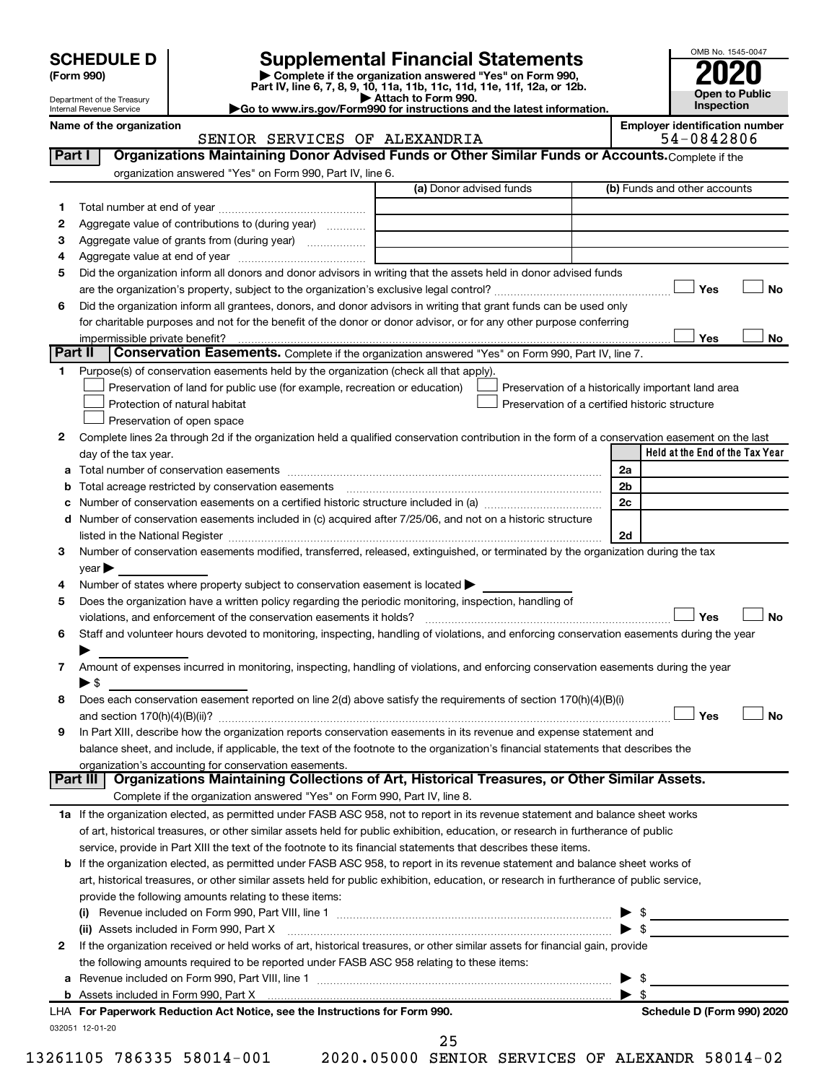## **SCHEDULE D Supplemental Financial Statements**<br> **Form 990 2020**<br> **Part IV** line 6.7.8.9.10, 11a, 11b, 11d, 11d, 11d, 11d, 12a, 0r, 12b

**(Form 990) | Complete if the organization answered "Yes" on Form 990, Part IV, line 6, 7, 8, 9, 10, 11a, 11b, 11c, 11d, 11e, 11f, 12a, or 12b.**

**| Attach to Form 990. |Go to www.irs.gov/Form990 for instructions and the latest information.**



Department of the Treasury Internal Revenue Service

#### Name of the organization<br>
SENIOR SERVICES OF ALEXANDRIA **Employer identification number**<br>
54 – 0842806 SENIOR SERVICES OF ALEXANDRIA

|   | Part I<br>Organizations Maintaining Donor Advised Funds or Other Similar Funds or Accounts. Complete if the                                    |                                                |                         |                                                    |
|---|------------------------------------------------------------------------------------------------------------------------------------------------|------------------------------------------------|-------------------------|----------------------------------------------------|
|   | organization answered "Yes" on Form 990, Part IV, line 6.                                                                                      | (a) Donor advised funds                        |                         | (b) Funds and other accounts                       |
|   |                                                                                                                                                |                                                |                         |                                                    |
| 1 | Aggregate value of contributions to (during year)                                                                                              |                                                |                         |                                                    |
| 2 |                                                                                                                                                |                                                |                         |                                                    |
| 3 |                                                                                                                                                |                                                |                         |                                                    |
| 4 | Did the organization inform all donors and donor advisors in writing that the assets held in donor advised funds                               |                                                |                         |                                                    |
| 5 |                                                                                                                                                |                                                |                         | Yes<br>No                                          |
|   | Did the organization inform all grantees, donors, and donor advisors in writing that grant funds can be used only                              |                                                |                         |                                                    |
| 6 |                                                                                                                                                |                                                |                         |                                                    |
|   | for charitable purposes and not for the benefit of the donor or donor advisor, or for any other purpose conferring                             |                                                |                         | Yes<br>No                                          |
|   | Part II<br>Conservation Easements. Complete if the organization answered "Yes" on Form 990, Part IV, line 7.                                   |                                                |                         |                                                    |
| 1 | Purpose(s) of conservation easements held by the organization (check all that apply).                                                          |                                                |                         |                                                    |
|   | Preservation of land for public use (for example, recreation or education)                                                                     |                                                |                         | Preservation of a historically important land area |
|   | Protection of natural habitat                                                                                                                  | Preservation of a certified historic structure |                         |                                                    |
|   | Preservation of open space                                                                                                                     |                                                |                         |                                                    |
| 2 | Complete lines 2a through 2d if the organization held a qualified conservation contribution in the form of a conservation easement on the last |                                                |                         |                                                    |
|   | day of the tax year.                                                                                                                           |                                                |                         | Held at the End of the Tax Year                    |
| а |                                                                                                                                                |                                                | 2a                      |                                                    |
| b |                                                                                                                                                |                                                | 2 <sub>b</sub>          |                                                    |
| с |                                                                                                                                                |                                                | 2c                      |                                                    |
|   | d Number of conservation easements included in (c) acquired after 7/25/06, and not on a historic structure                                     |                                                |                         |                                                    |
|   | listed in the National Register [11, 2003] March 2014 The National Register [11, 2014] March 2014 The National                                 |                                                | 2d                      |                                                    |
| З | Number of conservation easements modified, transferred, released, extinguished, or terminated by the organization during the tax               |                                                |                         |                                                    |
|   | $year \triangleright$                                                                                                                          |                                                |                         |                                                    |
| 4 | Number of states where property subject to conservation easement is located >                                                                  |                                                |                         |                                                    |
| 5 | Does the organization have a written policy regarding the periodic monitoring, inspection, handling of                                         |                                                |                         |                                                    |
|   | violations, and enforcement of the conservation easements it holds?                                                                            |                                                |                         | Yes<br><b>No</b>                                   |
| 6 | Staff and volunteer hours devoted to monitoring, inspecting, handling of violations, and enforcing conservation easements during the year      |                                                |                         |                                                    |
|   |                                                                                                                                                |                                                |                         |                                                    |
| 7 | Amount of expenses incurred in monitoring, inspecting, handling of violations, and enforcing conservation easements during the year            |                                                |                         |                                                    |
|   | $\blacktriangleright$ \$                                                                                                                       |                                                |                         |                                                    |
| 8 | Does each conservation easement reported on line 2(d) above satisfy the requirements of section 170(h)(4)(B)(i)                                |                                                |                         |                                                    |
|   |                                                                                                                                                |                                                |                         | Yes<br><b>No</b>                                   |
| 9 | In Part XIII, describe how the organization reports conservation easements in its revenue and expense statement and                            |                                                |                         |                                                    |
|   | balance sheet, and include, if applicable, the text of the footnote to the organization's financial statements that describes the              |                                                |                         |                                                    |
|   | organization's accounting for conservation easements.                                                                                          |                                                |                         |                                                    |
|   | Organizations Maintaining Collections of Art, Historical Treasures, or Other Similar Assets.<br>Part III                                       |                                                |                         |                                                    |
|   | Complete if the organization answered "Yes" on Form 990, Part IV, line 8.                                                                      |                                                |                         |                                                    |
|   | 1a If the organization elected, as permitted under FASB ASC 958, not to report in its revenue statement and balance sheet works                |                                                |                         |                                                    |
|   | of art, historical treasures, or other similar assets held for public exhibition, education, or research in furtherance of public              |                                                |                         |                                                    |
|   | service, provide in Part XIII the text of the footnote to its financial statements that describes these items.                                 |                                                |                         |                                                    |
|   | <b>b</b> If the organization elected, as permitted under FASB ASC 958, to report in its revenue statement and balance sheet works of           |                                                |                         |                                                    |
|   | art, historical treasures, or other similar assets held for public exhibition, education, or research in furtherance of public service,        |                                                |                         |                                                    |
|   | provide the following amounts relating to these items:                                                                                         |                                                |                         |                                                    |
|   |                                                                                                                                                |                                                |                         | $\triangleright$ \$                                |
|   | (ii) Assets included in Form 990, Part X                                                                                                       |                                                |                         | $\blacktriangleright$ \$                           |
| 2 | If the organization received or held works of art, historical treasures, or other similar assets for financial gain, provide                   |                                                |                         |                                                    |
|   | the following amounts required to be reported under FASB ASC 958 relating to these items:                                                      |                                                |                         |                                                    |
| а |                                                                                                                                                |                                                | ▶                       | - \$                                               |
|   |                                                                                                                                                |                                                | $\blacktriangleright$ s |                                                    |
|   | LHA For Paperwork Reduction Act Notice, see the Instructions for Form 990.                                                                     |                                                |                         | Schedule D (Form 990) 2020                         |
|   | 032051 12-01-20                                                                                                                                |                                                |                         |                                                    |
|   |                                                                                                                                                | 25                                             |                         |                                                    |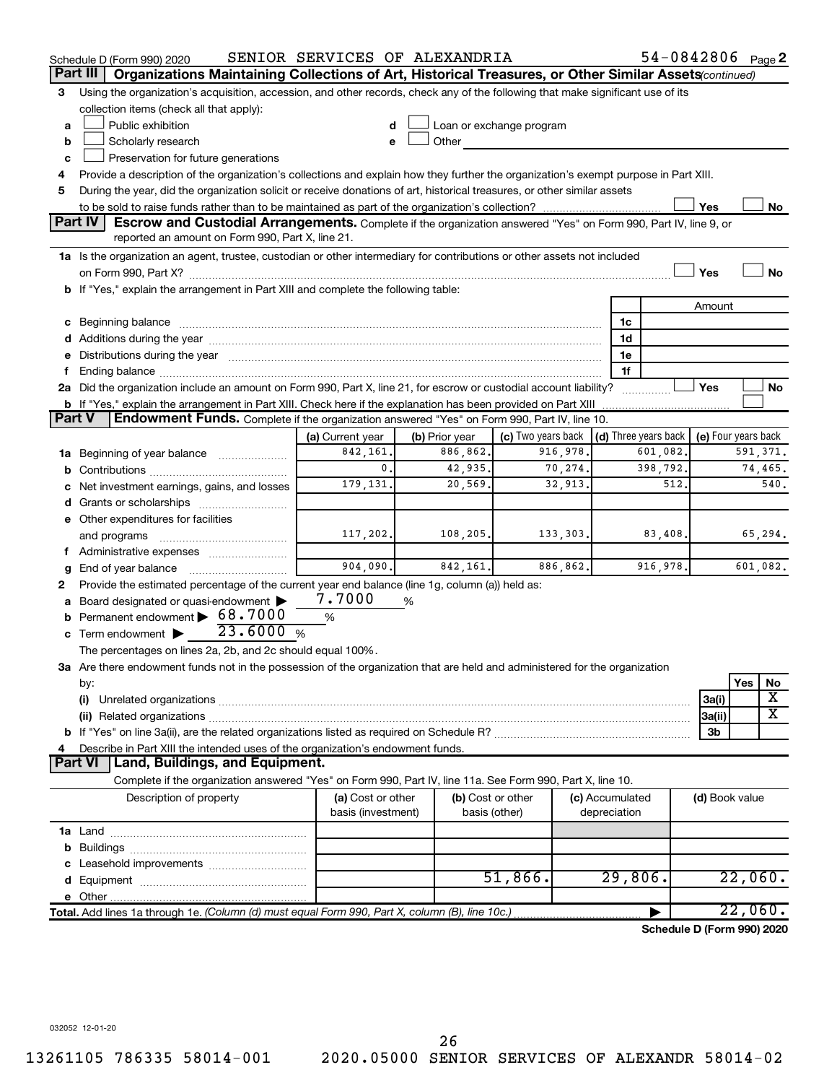|               | Schedule D (Form 990) 2020                                                                                                                                                                                                     | SENIOR SERVICES OF ALEXANDRIA |                |                                                         |                 | 54-0842806 Page 2          |                     |     |                         |
|---------------|--------------------------------------------------------------------------------------------------------------------------------------------------------------------------------------------------------------------------------|-------------------------------|----------------|---------------------------------------------------------|-----------------|----------------------------|---------------------|-----|-------------------------|
|               | Part III<br>Organizations Maintaining Collections of Art, Historical Treasures, or Other Similar Assets (continued)                                                                                                            |                               |                |                                                         |                 |                            |                     |     |                         |
| 3             | Using the organization's acquisition, accession, and other records, check any of the following that make significant use of its                                                                                                |                               |                |                                                         |                 |                            |                     |     |                         |
|               | collection items (check all that apply):                                                                                                                                                                                       |                               |                |                                                         |                 |                            |                     |     |                         |
| a             | Public exhibition                                                                                                                                                                                                              |                               |                | Loan or exchange program                                |                 |                            |                     |     |                         |
| b             | Scholarly research                                                                                                                                                                                                             |                               | Other          |                                                         |                 |                            |                     |     |                         |
| с             | Preservation for future generations                                                                                                                                                                                            |                               |                |                                                         |                 |                            |                     |     |                         |
| 4             | Provide a description of the organization's collections and explain how they further the organization's exempt purpose in Part XIII.                                                                                           |                               |                |                                                         |                 |                            |                     |     |                         |
| 5             | During the year, did the organization solicit or receive donations of art, historical treasures, or other similar assets                                                                                                       |                               |                |                                                         |                 |                            |                     |     |                         |
|               |                                                                                                                                                                                                                                |                               |                |                                                         |                 |                            | Yes                 |     | No                      |
|               | Part IV<br><b>Escrow and Custodial Arrangements.</b> Complete if the organization answered "Yes" on Form 990, Part IV, line 9, or                                                                                              |                               |                |                                                         |                 |                            |                     |     |                         |
|               | reported an amount on Form 990, Part X, line 21.                                                                                                                                                                               |                               |                |                                                         |                 |                            |                     |     |                         |
|               | 1a Is the organization an agent, trustee, custodian or other intermediary for contributions or other assets not included                                                                                                       |                               |                |                                                         |                 |                            |                     |     |                         |
|               |                                                                                                                                                                                                                                |                               |                |                                                         |                 |                            | Yes                 |     | <b>No</b>               |
|               | b If "Yes," explain the arrangement in Part XIII and complete the following table:                                                                                                                                             |                               |                |                                                         |                 |                            |                     |     |                         |
|               |                                                                                                                                                                                                                                |                               |                |                                                         |                 |                            | Amount              |     |                         |
|               |                                                                                                                                                                                                                                |                               |                |                                                         | 1c              |                            |                     |     |                         |
|               |                                                                                                                                                                                                                                |                               |                |                                                         | 1d              |                            |                     |     |                         |
|               | e Distributions during the year manufactured and continuum and contained and the year manufactured and contained and the year manufactured and contained and contained and contained and contained and contained and contained |                               |                |                                                         | 1e<br>1f        |                            |                     |     |                         |
|               | 2a Did the organization include an amount on Form 990, Part X, line 21, for escrow or custodial account liability?                                                                                                             |                               |                |                                                         |                 |                            | Yes                 |     | No                      |
|               | <b>b</b> If "Yes," explain the arrangement in Part XIII. Check here if the explanation has been provided on Part XIII                                                                                                          |                               |                |                                                         |                 |                            |                     |     |                         |
| <b>Part V</b> | Endowment Funds. Complete if the organization answered "Yes" on Form 990, Part IV, line 10.                                                                                                                                    |                               |                |                                                         |                 |                            |                     |     |                         |
|               |                                                                                                                                                                                                                                | (a) Current year              | (b) Prior year | (c) Two years back $\vert$ (d) Three years back $\vert$ |                 |                            | (e) Four years back |     |                         |
|               | 1a Beginning of year balance                                                                                                                                                                                                   | 842,161.                      | 886,862.       | 916,978.                                                |                 | 601,082.                   |                     |     | 591,371.                |
|               |                                                                                                                                                                                                                                | $\mathbf{0}$ .                | 42,935.        | 70, 274.                                                |                 | 398,792.                   |                     |     | 74,465.                 |
|               | c Net investment earnings, gains, and losses                                                                                                                                                                                   | 179,131.                      | 20,569.        | 32,913.                                                 |                 | 512.                       |                     |     | 540.                    |
|               | d Grants or scholarships                                                                                                                                                                                                       |                               |                |                                                         |                 |                            |                     |     |                         |
|               | e Other expenditures for facilities                                                                                                                                                                                            |                               |                |                                                         |                 |                            |                     |     |                         |
|               | and programs                                                                                                                                                                                                                   | 117, 202.                     | 108, 205.      | 133, 303.                                               |                 | 83,408.                    |                     |     | 65,294.                 |
|               | f Administrative expenses                                                                                                                                                                                                      |                               |                |                                                         |                 |                            |                     |     |                         |
|               | <b>g</b> End of year balance $\ldots$                                                                                                                                                                                          | 904,090.                      | 842, 161.      | 886, 862.                                               |                 | 916,978.                   |                     |     | 601,082.                |
| 2             | Provide the estimated percentage of the current year end balance (line 1g, column (a)) held as:                                                                                                                                |                               |                |                                                         |                 |                            |                     |     |                         |
|               | a Board designated or quasi-endowment >                                                                                                                                                                                        | 7.7000                        | %              |                                                         |                 |                            |                     |     |                         |
|               | <b>b</b> Permanent endowment $\triangleright$ 68.7000                                                                                                                                                                          | %                             |                |                                                         |                 |                            |                     |     |                         |
|               | 23.6000%<br>c Term endowment $\blacktriangleright$                                                                                                                                                                             |                               |                |                                                         |                 |                            |                     |     |                         |
|               | The percentages on lines 2a, 2b, and 2c should equal 100%.                                                                                                                                                                     |                               |                |                                                         |                 |                            |                     |     |                         |
|               | 3a Are there endowment funds not in the possession of the organization that are held and administered for the organization                                                                                                     |                               |                |                                                         |                 |                            |                     |     |                         |
|               | by:                                                                                                                                                                                                                            |                               |                |                                                         |                 |                            |                     | Yes | No                      |
|               | (i)                                                                                                                                                                                                                            |                               |                |                                                         |                 |                            | 3a(i)               |     | х                       |
|               |                                                                                                                                                                                                                                |                               |                |                                                         |                 |                            | 3a(ii)              |     | $\overline{\textbf{x}}$ |
|               |                                                                                                                                                                                                                                |                               |                |                                                         |                 |                            | 3b                  |     |                         |
| 4             | Describe in Part XIII the intended uses of the organization's endowment funds.                                                                                                                                                 |                               |                |                                                         |                 |                            |                     |     |                         |
|               | Land, Buildings, and Equipment.<br><b>Part VI</b>                                                                                                                                                                              |                               |                |                                                         |                 |                            |                     |     |                         |
|               | Complete if the organization answered "Yes" on Form 990, Part IV, line 11a. See Form 990, Part X, line 10.                                                                                                                     |                               |                |                                                         |                 |                            |                     |     |                         |
|               | Description of property                                                                                                                                                                                                        | (a) Cost or other             |                | (b) Cost or other                                       | (c) Accumulated |                            | (d) Book value      |     |                         |
|               |                                                                                                                                                                                                                                | basis (investment)            |                | basis (other)                                           | depreciation    |                            |                     |     |                         |
|               |                                                                                                                                                                                                                                |                               |                |                                                         |                 |                            |                     |     |                         |
| b             |                                                                                                                                                                                                                                |                               |                |                                                         |                 |                            |                     |     |                         |
|               |                                                                                                                                                                                                                                |                               |                | 51,866.                                                 | 29,806.         |                            |                     |     | 22,060.                 |
|               |                                                                                                                                                                                                                                |                               |                |                                                         |                 |                            |                     |     |                         |
|               |                                                                                                                                                                                                                                |                               |                |                                                         |                 |                            |                     |     | 22,060.                 |
|               | Total. Add lines 1a through 1e. (Column (d) must equal Form 990, Part X, column (B), line 10c.)                                                                                                                                |                               |                |                                                         |                 | Schedule D (Form 990) 2020 |                     |     |                         |
|               |                                                                                                                                                                                                                                |                               |                |                                                         |                 |                            |                     |     |                         |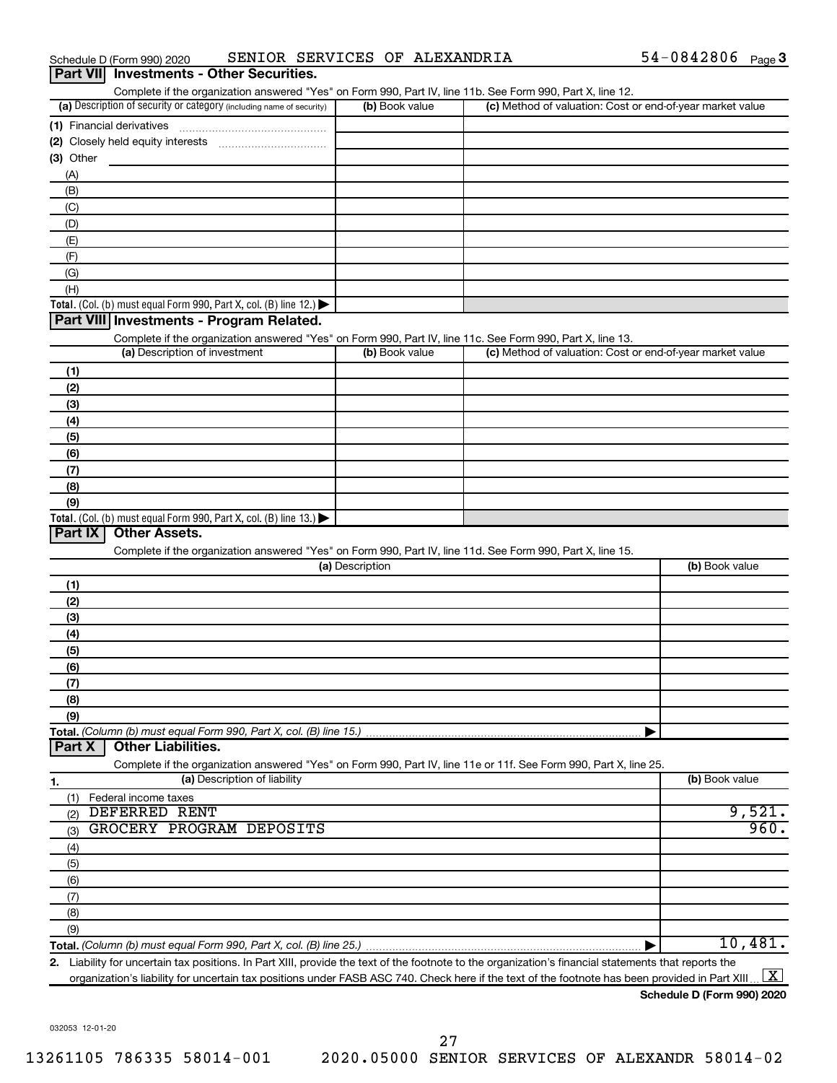| Part VII Investments - Other Securities.                                                                                                                                           |                 |                                                           |                |
|------------------------------------------------------------------------------------------------------------------------------------------------------------------------------------|-----------------|-----------------------------------------------------------|----------------|
| Complete if the organization answered "Yes" on Form 990, Part IV, line 11b. See Form 990, Part X, line 12.<br>(a) Description of security or category (including name of security) | (b) Book value  | (c) Method of valuation: Cost or end-of-year market value |                |
| (1) Financial derivatives                                                                                                                                                          |                 |                                                           |                |
|                                                                                                                                                                                    |                 |                                                           |                |
| $(3)$ Other                                                                                                                                                                        |                 |                                                           |                |
| (A)                                                                                                                                                                                |                 |                                                           |                |
| (B)                                                                                                                                                                                |                 |                                                           |                |
| (C)                                                                                                                                                                                |                 |                                                           |                |
| (D)                                                                                                                                                                                |                 |                                                           |                |
| (E)                                                                                                                                                                                |                 |                                                           |                |
| (F)                                                                                                                                                                                |                 |                                                           |                |
| (G)                                                                                                                                                                                |                 |                                                           |                |
| (H)                                                                                                                                                                                |                 |                                                           |                |
| Total. (Col. (b) must equal Form 990, Part X, col. (B) line 12.)                                                                                                                   |                 |                                                           |                |
| Part VIII Investments - Program Related.                                                                                                                                           |                 |                                                           |                |
| Complete if the organization answered "Yes" on Form 990, Part IV, line 11c. See Form 990, Part X, line 13.                                                                         |                 |                                                           |                |
| (a) Description of investment                                                                                                                                                      | (b) Book value  | (c) Method of valuation: Cost or end-of-year market value |                |
| (1)                                                                                                                                                                                |                 |                                                           |                |
| (2)                                                                                                                                                                                |                 |                                                           |                |
| (3)                                                                                                                                                                                |                 |                                                           |                |
| (4)                                                                                                                                                                                |                 |                                                           |                |
| (5)                                                                                                                                                                                |                 |                                                           |                |
| (6)                                                                                                                                                                                |                 |                                                           |                |
| (7)                                                                                                                                                                                |                 |                                                           |                |
| (8)                                                                                                                                                                                |                 |                                                           |                |
| (9)                                                                                                                                                                                |                 |                                                           |                |
| Total. (Col. (b) must equal Form 990, Part X, col. (B) line 13.) $\blacktriangleright$                                                                                             |                 |                                                           |                |
| Part IX<br><b>Other Assets.</b>                                                                                                                                                    |                 |                                                           |                |
| Complete if the organization answered "Yes" on Form 990, Part IV, line 11d. See Form 990, Part X, line 15.                                                                         | (a) Description |                                                           | (b) Book value |
|                                                                                                                                                                                    |                 |                                                           |                |
| (1)                                                                                                                                                                                |                 |                                                           |                |
| (2)                                                                                                                                                                                |                 |                                                           |                |
| (3)                                                                                                                                                                                |                 |                                                           |                |
| (4)                                                                                                                                                                                |                 |                                                           |                |
| (5)                                                                                                                                                                                |                 |                                                           |                |
| (6)<br>(7)                                                                                                                                                                         |                 |                                                           |                |
| (8)                                                                                                                                                                                |                 |                                                           |                |
| (9)                                                                                                                                                                                |                 |                                                           |                |
| Total. (Column (b) must equal Form 990, Part X, col. (B) line 15.)                                                                                                                 |                 |                                                           |                |
| <b>Other Liabilities.</b><br>Part X                                                                                                                                                |                 |                                                           |                |
| Complete if the organization answered "Yes" on Form 990, Part IV, line 11e or 11f. See Form 990, Part X, line 25.                                                                  |                 |                                                           |                |
| (a) Description of liability<br>1.                                                                                                                                                 |                 |                                                           | (b) Book value |
| Federal income taxes<br>(1)                                                                                                                                                        |                 |                                                           |                |
| <b>DEFERRED RENT</b><br>(2)                                                                                                                                                        |                 |                                                           | 9,521.         |
| GROCERY PROGRAM DEPOSITS<br>(3)                                                                                                                                                    |                 |                                                           | 960.           |
| (4)                                                                                                                                                                                |                 |                                                           |                |
| (5)                                                                                                                                                                                |                 |                                                           |                |
| (6)                                                                                                                                                                                |                 |                                                           |                |
| (7)                                                                                                                                                                                |                 |                                                           |                |
| (8)                                                                                                                                                                                |                 |                                                           |                |
| (9)                                                                                                                                                                                |                 |                                                           |                |
|                                                                                                                                                                                    |                 |                                                           | 10,481.        |
| 2. Liability for uncertain tax positions. In Part XIII, provide the text of the footnote to the organization's financial statements that reports the                               |                 |                                                           | $\overline{1}$ |

| (a) Description             | (b) Book value |
|-----------------------------|----------------|
| (1)                         |                |
| (2)                         |                |
| (3)                         |                |
| (4)                         |                |
| (5)                         |                |
| (6)                         |                |
| (7)                         |                |
| (8)                         |                |
| (9)                         |                |
|                             |                |
| Part X   Other Liabilities. |                |

organization's liability for uncertain tax positions under FASB ASC 740. Check here if the text of the footnote has been provided in Part XIII ...  $\fbox{\bf X}$ 

**Schedule D (Form 990) 2020**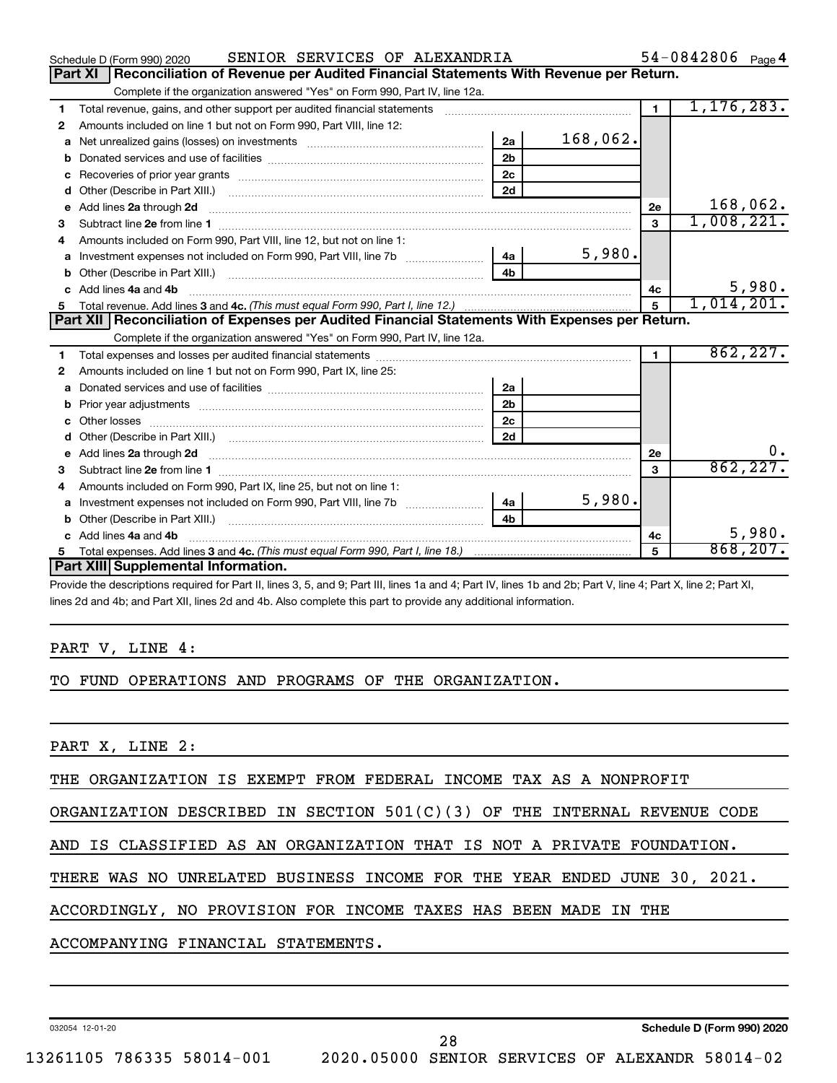|    | SENIOR SERVICES OF ALEXANDRIA<br>Schedule D (Form 990) 2020                                                                                                  |                | 54-0842806 Page 4 |
|----|--------------------------------------------------------------------------------------------------------------------------------------------------------------|----------------|-------------------|
|    | Reconciliation of Revenue per Audited Financial Statements With Revenue per Return.<br><b>Part XI</b>                                                        |                |                   |
|    | Complete if the organization answered "Yes" on Form 990, Part IV, line 12a.                                                                                  |                |                   |
| 1  | Total revenue, gains, and other support per audited financial statements [111] [11] Total revenue, gains, and other support per audited financial statements | $\overline{1}$ | 1, 176, 283.      |
| 2  | Amounts included on line 1 but not on Form 990, Part VIII, line 12:                                                                                          |                |                   |
| a  | 168,062.<br>2a<br>Net unrealized gains (losses) on investments [11] matter contracts and the unrealized gains (losses) on investments                        |                |                   |
|    | 2 <sub>b</sub>                                                                                                                                               |                |                   |
| c  | 2 <sub>c</sub>                                                                                                                                               |                |                   |
| d  | 2d                                                                                                                                                           |                |                   |
|    |                                                                                                                                                              | 2e             | 168,062.          |
| 3  |                                                                                                                                                              | $\mathbf{a}$   | 1,008,221.        |
| 4  | Amounts included on Form 990, Part VIII, line 12, but not on line 1:                                                                                         |                |                   |
|    | 5,980.<br>- 4a  <br>a Investment expenses not included on Form 990, Part VIII, line 7b                                                                       |                |                   |
|    | 4 <sub>h</sub>                                                                                                                                               |                |                   |
|    | c Add lines 4a and 4b                                                                                                                                        | 4с             | 5,980.            |
| 5. |                                                                                                                                                              | $\overline{5}$ | 1,014,201.        |
|    | Part XII   Reconciliation of Expenses per Audited Financial Statements With Expenses per Return.                                                             |                |                   |
|    | Complete if the organization answered "Yes" on Form 990, Part IV, line 12a.                                                                                  |                |                   |
| 1  |                                                                                                                                                              | $\mathbf 1$    | 862, 227.         |
| 2  | Amounts included on line 1 but not on Form 990, Part IX, line 25:                                                                                            |                |                   |
| a  | 2a                                                                                                                                                           |                |                   |
| b  | 2 <sub>b</sub>                                                                                                                                               |                |                   |
| C  | 2 <sub>c</sub>                                                                                                                                               |                |                   |
| d  | 2d                                                                                                                                                           |                |                   |
|    |                                                                                                                                                              | 2e             | 0.                |
| 3  |                                                                                                                                                              | 3              | 862, 227.         |
| 4  | Amounts included on Form 990, Part IX, line 25, but not on line 1:                                                                                           |                |                   |
| a  | 5,980.<br>l 4a                                                                                                                                               |                |                   |
|    | 4 <sub>b</sub>                                                                                                                                               |                |                   |
|    | c Add lines 4a and 4b                                                                                                                                        | 4c             | 5,980.            |
|    |                                                                                                                                                              | 5              | 868, 207.         |
|    | Part XIII Supplemental Information.                                                                                                                          |                |                   |

Provide the descriptions required for Part II, lines 3, 5, and 9; Part III, lines 1a and 4; Part IV, lines 1b and 2b; Part V, line 4; Part X, line 2; Part XI, lines 2d and 4b; and Part XII, lines 2d and 4b. Also complete this part to provide any additional information.

#### PART V, LINE 4:

#### TO FUND OPERATIONS AND PROGRAMS OF THE ORGANIZATION.

PART X, LINE 2:

THE ORGANIZATION IS EXEMPT FROM FEDERAL INCOME TAX AS A NONPROFIT

ORGANIZATION DESCRIBED IN SECTION 501(C)(3) OF THE INTERNAL REVENUE CODE

AND IS CLASSIFIED AS AN ORGANIZATION THAT IS NOT A PRIVATE FOUNDATION.

THERE WAS NO UNRELATED BUSINESS INCOME FOR THE YEAR ENDED JUNE 30, 2021.

28

ACCORDINGLY, NO PROVISION FOR INCOME TAXES HAS BEEN MADE IN THE

ACCOMPANYING FINANCIAL STATEMENTS.

032054 12-01-20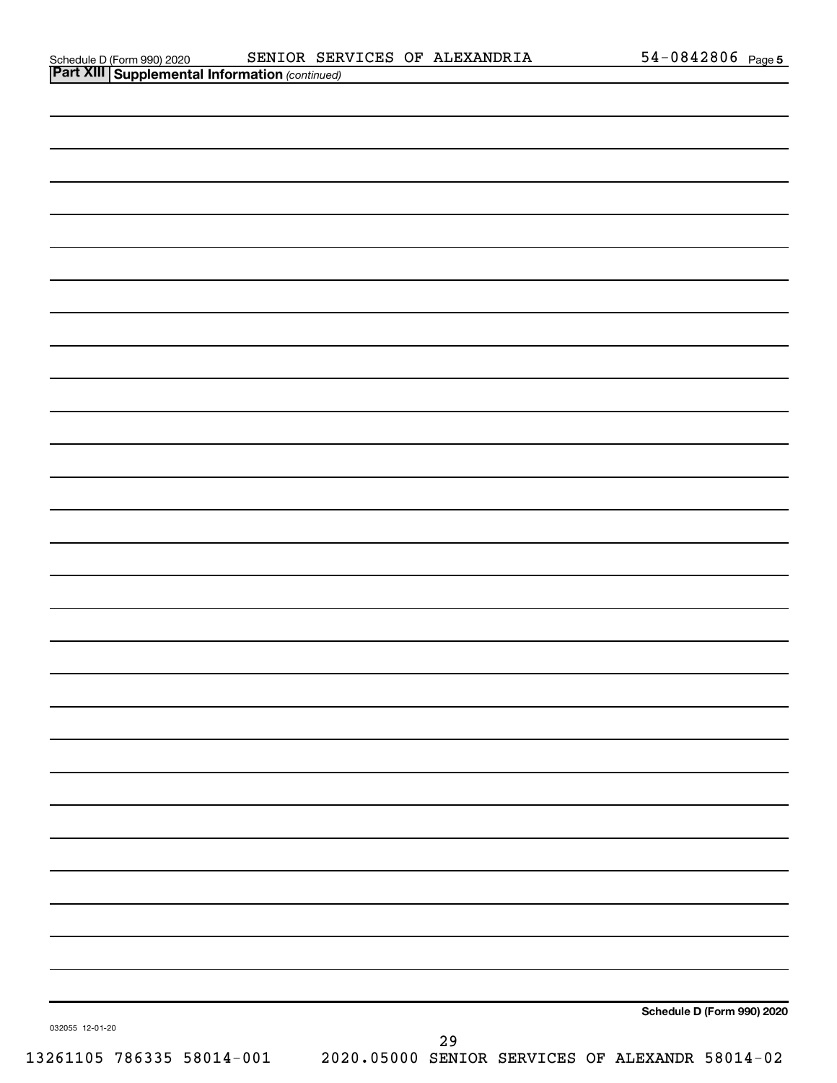| Part XIII Supplemental Information (continued) |            |  |
|------------------------------------------------|------------|--|
| Schedule D (Form 990) 2020                     | SENIOR SEF |  |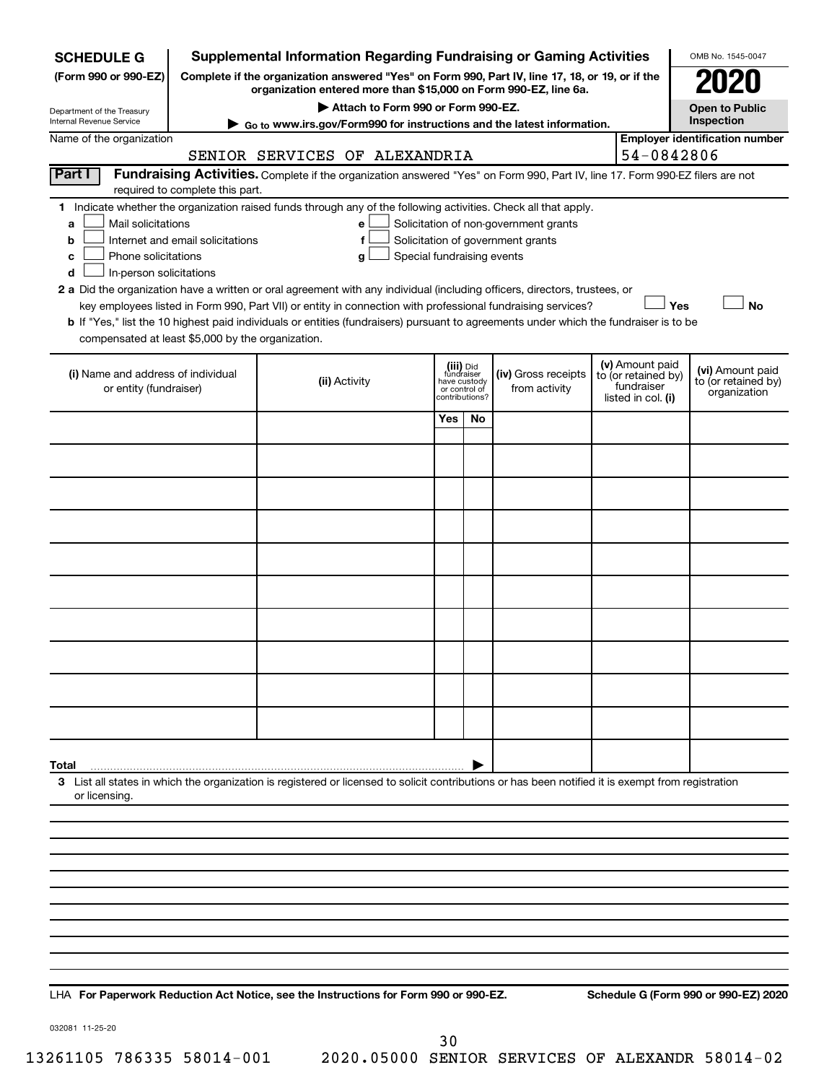| <b>SCHEDULE G</b>                                            |                                                                                                        | <b>Supplemental Information Regarding Fundraising or Gaming Activities</b>                                                                         |                                         |                                 |                                       |  |                                   | OMB No. 1545-0047                       |
|--------------------------------------------------------------|--------------------------------------------------------------------------------------------------------|----------------------------------------------------------------------------------------------------------------------------------------------------|-----------------------------------------|---------------------------------|---------------------------------------|--|-----------------------------------|-----------------------------------------|
| (Form 990 or 990-EZ)                                         | Complete if the organization answered "Yes" on Form 990, Part IV, line 17, 18, or 19, or if the        |                                                                                                                                                    |                                         |                                 |                                       |  |                                   |                                         |
| Department of the Treasury                                   | organization entered more than \$15,000 on Form 990-EZ, line 6a.<br>Attach to Form 990 or Form 990-EZ. |                                                                                                                                                    |                                         |                                 |                                       |  |                                   | Open to Public                          |
| Internal Revenue Service                                     | Go to www.irs.gov/Form990 for instructions and the latest information.                                 |                                                                                                                                                    |                                         |                                 |                                       |  |                                   | Inspection                              |
| Name of the organization                                     |                                                                                                        | SENIOR SERVICES OF ALEXANDRIA                                                                                                                      |                                         |                                 |                                       |  | 54-0842806                        | <b>Employer identification number</b>   |
| Part I                                                       |                                                                                                        | Fundraising Activities. Complete if the organization answered "Yes" on Form 990, Part IV, line 17. Form 990-EZ filers are not                      |                                         |                                 |                                       |  |                                   |                                         |
|                                                              | required to complete this part.                                                                        | 1 Indicate whether the organization raised funds through any of the following activities. Check all that apply.                                    |                                         |                                 |                                       |  |                                   |                                         |
| Mail solicitations<br>a                                      |                                                                                                        | е                                                                                                                                                  |                                         |                                 | Solicitation of non-government grants |  |                                   |                                         |
| b                                                            | Internet and email solicitations                                                                       | f                                                                                                                                                  |                                         |                                 | Solicitation of government grants     |  |                                   |                                         |
| Phone solicitations<br>с<br>In-person solicitations<br>d     |                                                                                                        | Special fundraising events<br>g                                                                                                                    |                                         |                                 |                                       |  |                                   |                                         |
|                                                              |                                                                                                        | 2 a Did the organization have a written or oral agreement with any individual (including officers, directors, trustees, or                         |                                         |                                 |                                       |  |                                   |                                         |
|                                                              |                                                                                                        | key employees listed in Form 990, Part VII) or entity in connection with professional fundraising services?                                        |                                         |                                 |                                       |  | Yes                               | <b>No</b>                               |
| compensated at least \$5,000 by the organization.            |                                                                                                        | b If "Yes," list the 10 highest paid individuals or entities (fundraisers) pursuant to agreements under which the fundraiser is to be              |                                         |                                 |                                       |  |                                   |                                         |
|                                                              |                                                                                                        |                                                                                                                                                    |                                         |                                 |                                       |  | (v) Amount paid                   |                                         |
| (i) Name and address of individual<br>or entity (fundraiser) |                                                                                                        | (ii) Activity                                                                                                                                      | (iii) Did<br>fundraiser<br>have custody |                                 | (iv) Gross receipts                   |  | to (or retained by)<br>fundraiser | (vi) Amount paid<br>to (or retained by) |
|                                                              |                                                                                                        |                                                                                                                                                    |                                         | or control of<br>contributions? | from activity                         |  | listed in col. (i)                | organization                            |
|                                                              |                                                                                                        |                                                                                                                                                    | Yes                                     | No                              |                                       |  |                                   |                                         |
|                                                              |                                                                                                        |                                                                                                                                                    |                                         |                                 |                                       |  |                                   |                                         |
|                                                              |                                                                                                        |                                                                                                                                                    |                                         |                                 |                                       |  |                                   |                                         |
|                                                              |                                                                                                        |                                                                                                                                                    |                                         |                                 |                                       |  |                                   |                                         |
|                                                              |                                                                                                        |                                                                                                                                                    |                                         |                                 |                                       |  |                                   |                                         |
|                                                              |                                                                                                        |                                                                                                                                                    |                                         |                                 |                                       |  |                                   |                                         |
|                                                              |                                                                                                        |                                                                                                                                                    |                                         |                                 |                                       |  |                                   |                                         |
|                                                              |                                                                                                        |                                                                                                                                                    |                                         |                                 |                                       |  |                                   |                                         |
|                                                              |                                                                                                        |                                                                                                                                                    |                                         |                                 |                                       |  |                                   |                                         |
|                                                              |                                                                                                        |                                                                                                                                                    |                                         |                                 |                                       |  |                                   |                                         |
|                                                              |                                                                                                        |                                                                                                                                                    |                                         |                                 |                                       |  |                                   |                                         |
|                                                              |                                                                                                        |                                                                                                                                                    |                                         |                                 |                                       |  |                                   |                                         |
|                                                              |                                                                                                        |                                                                                                                                                    |                                         |                                 |                                       |  |                                   |                                         |
|                                                              |                                                                                                        |                                                                                                                                                    |                                         |                                 |                                       |  |                                   |                                         |
| Total                                                        |                                                                                                        |                                                                                                                                                    |                                         |                                 |                                       |  |                                   |                                         |
| or licensing.                                                |                                                                                                        | 3 List all states in which the organization is registered or licensed to solicit contributions or has been notified it is exempt from registration |                                         |                                 |                                       |  |                                   |                                         |
|                                                              |                                                                                                        |                                                                                                                                                    |                                         |                                 |                                       |  |                                   |                                         |
|                                                              |                                                                                                        |                                                                                                                                                    |                                         |                                 |                                       |  |                                   |                                         |
|                                                              |                                                                                                        |                                                                                                                                                    |                                         |                                 |                                       |  |                                   |                                         |
|                                                              |                                                                                                        |                                                                                                                                                    |                                         |                                 |                                       |  |                                   |                                         |
|                                                              |                                                                                                        |                                                                                                                                                    |                                         |                                 |                                       |  |                                   |                                         |
|                                                              |                                                                                                        |                                                                                                                                                    |                                         |                                 |                                       |  |                                   |                                         |
|                                                              |                                                                                                        |                                                                                                                                                    |                                         |                                 |                                       |  |                                   |                                         |
|                                                              |                                                                                                        |                                                                                                                                                    |                                         |                                 |                                       |  |                                   |                                         |

**For Paperwork Reduction Act Notice, see the Instructions for Form 990 or 990-EZ. Schedule G (Form 990 or 990-EZ) 2020** LHA

032081 11-25-20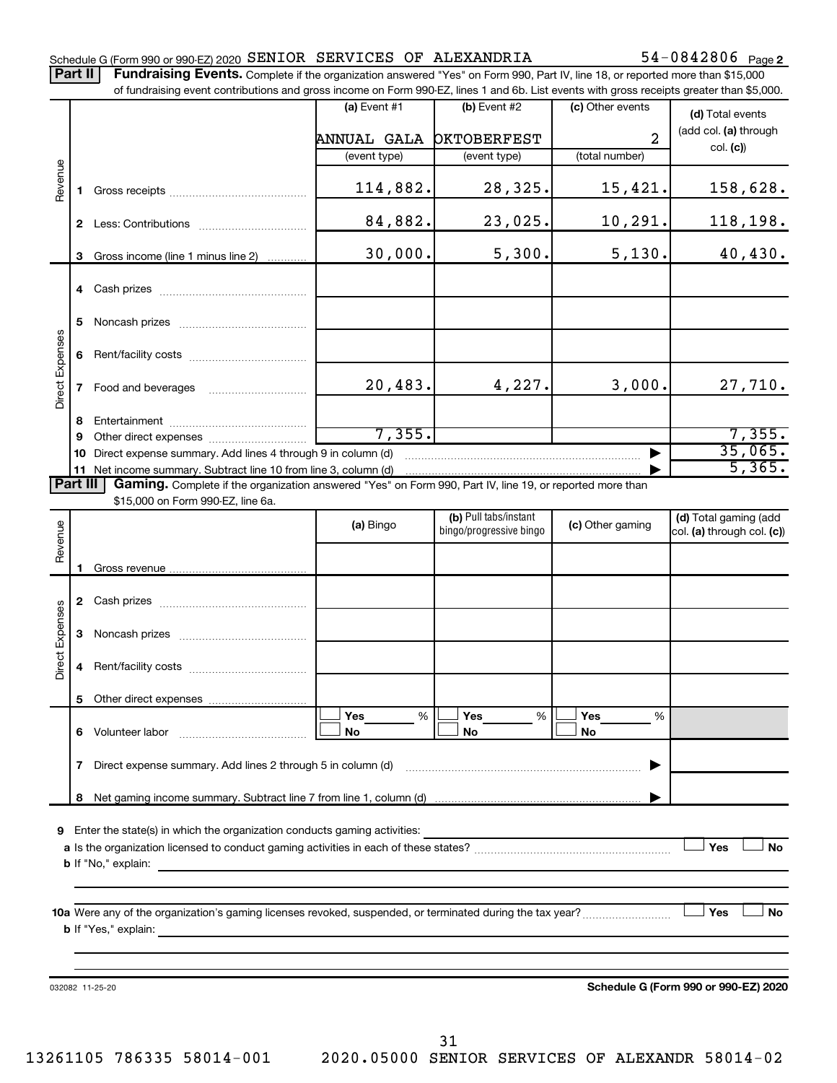|  |  |  |  |  | Schedule G (Form 990 or 990-EZ) 2020 SENIOR SERVICES OF ALEXANDRIA | $54 - 0842806$ Page 2 |  |
|--|--|--|--|--|--------------------------------------------------------------------|-----------------------|--|
|--|--|--|--|--|--------------------------------------------------------------------|-----------------------|--|

Part II | Fundraising Events. Complete if the organization answered "Yes" on Form 990, Part IV, line 18, or reported more than \$15,000 of fundraising event contributions and gross income on Form 990-EZ, lines 1 and 6b. List events with gross receipts greater than \$5,000.

|                            |              |                                                                                                                                                     | (a) Event $#1$ | $(b)$ Event #2                                   | (c) Other events      | (d) Total events                     |  |  |  |  |
|----------------------------|--------------|-----------------------------------------------------------------------------------------------------------------------------------------------------|----------------|--------------------------------------------------|-----------------------|--------------------------------------|--|--|--|--|
|                            |              |                                                                                                                                                     | ANNUAL GALA    | <b>OKTOBERFEST</b>                               | 2                     | (add col. (a) through                |  |  |  |  |
|                            |              |                                                                                                                                                     | (event type)   | (event type)                                     | (total number)        | col. (c)                             |  |  |  |  |
|                            |              |                                                                                                                                                     |                |                                                  |                       |                                      |  |  |  |  |
| Revenue                    | 1.           |                                                                                                                                                     | 114,882.       | 28,325.                                          | 15,421.               | 158,628.                             |  |  |  |  |
|                            |              |                                                                                                                                                     | 84,882.        | 23,025.                                          | 10, 291.              | 118,198.                             |  |  |  |  |
|                            |              | 3 Gross income (line 1 minus line 2)                                                                                                                | 30,000.        | 5,300.                                           | 5,130.                | 40,430.                              |  |  |  |  |
|                            |              |                                                                                                                                                     |                |                                                  |                       |                                      |  |  |  |  |
|                            | 5            |                                                                                                                                                     |                |                                                  |                       |                                      |  |  |  |  |
| <b>Direct Expenses</b>     | 6            |                                                                                                                                                     |                |                                                  |                       |                                      |  |  |  |  |
|                            | $\mathbf{7}$ | Food and beverages                                                                                                                                  | 20, 483.       | 4,227.                                           | 3,000.                | 27,710.                              |  |  |  |  |
|                            | 8            |                                                                                                                                                     |                |                                                  |                       |                                      |  |  |  |  |
|                            | 9            |                                                                                                                                                     | 7, 355.        |                                                  |                       | 7,355.                               |  |  |  |  |
|                            | 10           | Direct expense summary. Add lines 4 through 9 in column (d)                                                                                         |                |                                                  |                       | 35,065.                              |  |  |  |  |
|                            |              | 11 Net income summary. Subtract line 10 from line 3, column (d)                                                                                     |                |                                                  |                       | $\overline{5,365}$ .                 |  |  |  |  |
| Part III                   |              | Gaming. Complete if the organization answered "Yes" on Form 990, Part IV, line 19, or reported more than<br>\$15,000 on Form 990-EZ, line 6a.       |                |                                                  |                       |                                      |  |  |  |  |
|                            |              |                                                                                                                                                     |                |                                                  | (d) Total gaming (add |                                      |  |  |  |  |
| Revenue                    |              |                                                                                                                                                     | (a) Bingo      | (b) Pull tabs/instant<br>bingo/progressive bingo | (c) Other gaming      | $ col. (a)$ through col. $(c)$       |  |  |  |  |
|                            |              |                                                                                                                                                     |                |                                                  |                       |                                      |  |  |  |  |
|                            |              |                                                                                                                                                     |                |                                                  |                       |                                      |  |  |  |  |
|                            |              |                                                                                                                                                     |                |                                                  |                       |                                      |  |  |  |  |
|                            |              |                                                                                                                                                     |                |                                                  |                       |                                      |  |  |  |  |
| <b>Direct Expenses</b>     | З            |                                                                                                                                                     |                |                                                  |                       |                                      |  |  |  |  |
|                            | 4            |                                                                                                                                                     |                |                                                  |                       |                                      |  |  |  |  |
|                            |              |                                                                                                                                                     |                |                                                  |                       |                                      |  |  |  |  |
|                            |              |                                                                                                                                                     | Yes<br>%       | Yes<br>%                                         | Yes<br>%              |                                      |  |  |  |  |
|                            | 6            | Volunteer labor                                                                                                                                     | No             | No                                               | No                    |                                      |  |  |  |  |
|                            | 7            |                                                                                                                                                     |                |                                                  | ▶                     |                                      |  |  |  |  |
|                            | 8            |                                                                                                                                                     |                |                                                  |                       |                                      |  |  |  |  |
|                            |              |                                                                                                                                                     |                |                                                  |                       |                                      |  |  |  |  |
| 9                          |              | Enter the state(s) in which the organization conducts gaming activities:                                                                            |                |                                                  |                       |                                      |  |  |  |  |
|                            |              |                                                                                                                                                     |                |                                                  |                       | Yes<br>No                            |  |  |  |  |
| <b>b</b> If "No," explain: |              |                                                                                                                                                     |                |                                                  |                       |                                      |  |  |  |  |
|                            |              |                                                                                                                                                     |                |                                                  |                       |                                      |  |  |  |  |
|                            |              |                                                                                                                                                     |                |                                                  |                       | Yes<br>No                            |  |  |  |  |
|                            |              | <b>b</b> If "Yes," explain:<br><u> 1989 - Andrea Santa Andrea Santa Andrea Santa Andrea Santa Andrea Santa Andrea Santa Andrea Santa Andrea San</u> |                |                                                  |                       |                                      |  |  |  |  |
|                            |              |                                                                                                                                                     |                |                                                  |                       |                                      |  |  |  |  |
|                            |              |                                                                                                                                                     |                |                                                  |                       |                                      |  |  |  |  |
|                            |              | 032082 11-25-20                                                                                                                                     |                |                                                  |                       | Schedule G (Form 990 or 990-EZ) 2020 |  |  |  |  |
|                            |              |                                                                                                                                                     |                |                                                  |                       |                                      |  |  |  |  |
|                            |              |                                                                                                                                                     |                |                                                  |                       |                                      |  |  |  |  |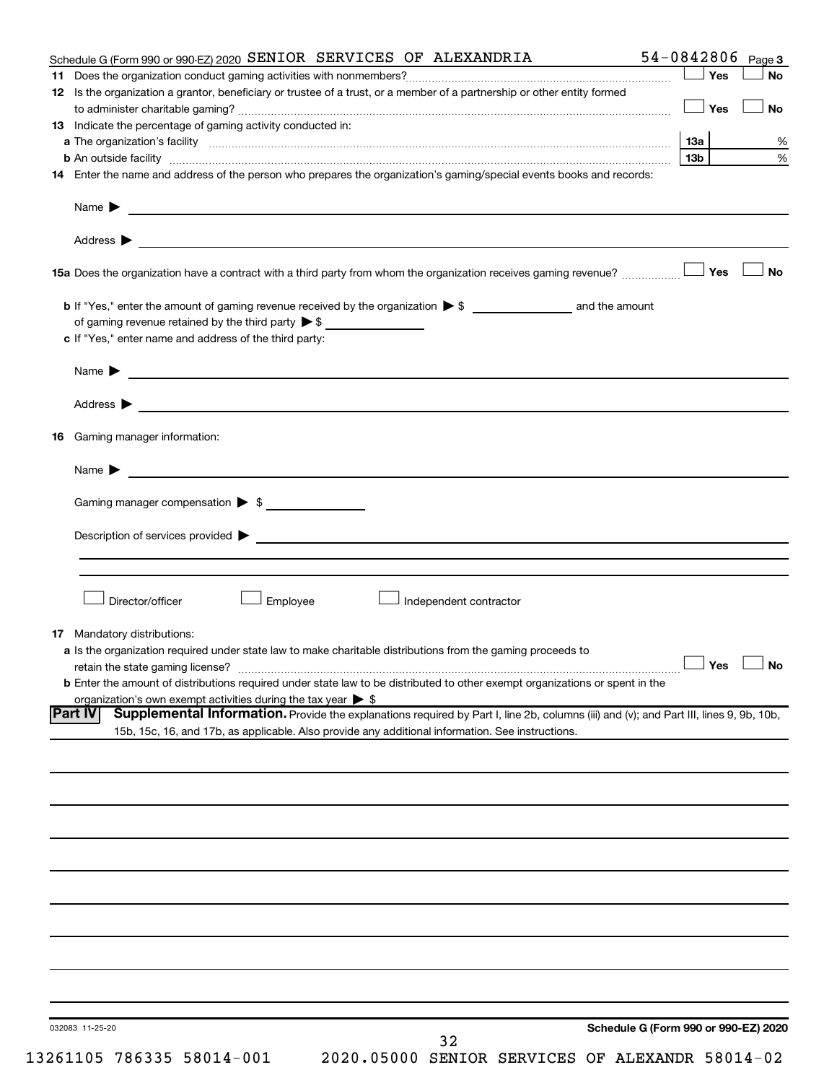| Yes<br>12 Is the organization a grantor, beneficiary or trustee of a trust, or a member of a partnership or other entity formed<br>Yes<br>13 Indicate the percentage of gaming activity conducted in:<br>13а<br>13 <sub>b</sub><br>14 Enter the name and address of the person who prepares the organization's gaming/special events books and records:<br>Address $\blacktriangleright$<br>and the control of the control of the control of the control of the control of the control of the control of the<br><b>No</b><br>Yes<br>c If "Yes," enter name and address of the third party:<br>Name $\blacktriangleright$ $\lrcorner$<br><u> 1989 - Johann Barbara, martin da kasar Amerikaansk politiker (</u><br>Name $\blacktriangleright$<br>Gaming manager compensation > \$<br>Director/officer<br>Employee<br>Independent contractor<br><b>17</b> Mandatory distributions:<br>a Is the organization required under state law to make charitable distributions from the gaming proceeds to<br>$\Box$ Yes $\Box$ No<br><b>b</b> Enter the amount of distributions required under state law to be distributed to other exempt organizations or spent in the<br>organization's own exempt activities during the tax year $\triangleright$ \$<br>Supplemental Information. Provide the explanations required by Part I, line 2b, columns (iii) and (v); and Part III, lines 9, 9b, 10b,<br><b>Part IV</b><br>15b, 15c, 16, and 17b, as applicable. Also provide any additional information. See instructions.<br>Schedule G (Form 990 or 990-EZ) 2020<br>032083 11-25-20 | Schedule G (Form 990 or 990-EZ) 2020 SENIOR SERVICES OF ALEXANDRIA |  | $54 - 0842806$ Page 3 |
|---------------------------------------------------------------------------------------------------------------------------------------------------------------------------------------------------------------------------------------------------------------------------------------------------------------------------------------------------------------------------------------------------------------------------------------------------------------------------------------------------------------------------------------------------------------------------------------------------------------------------------------------------------------------------------------------------------------------------------------------------------------------------------------------------------------------------------------------------------------------------------------------------------------------------------------------------------------------------------------------------------------------------------------------------------------------------------------------------------------------------------------------------------------------------------------------------------------------------------------------------------------------------------------------------------------------------------------------------------------------------------------------------------------------------------------------------------------------------------------------------------------------------------------------------------------------------|--------------------------------------------------------------------|--|-----------------------|
|                                                                                                                                                                                                                                                                                                                                                                                                                                                                                                                                                                                                                                                                                                                                                                                                                                                                                                                                                                                                                                                                                                                                                                                                                                                                                                                                                                                                                                                                                                                                                                           |                                                                    |  | No                    |
|                                                                                                                                                                                                                                                                                                                                                                                                                                                                                                                                                                                                                                                                                                                                                                                                                                                                                                                                                                                                                                                                                                                                                                                                                                                                                                                                                                                                                                                                                                                                                                           |                                                                    |  |                       |
|                                                                                                                                                                                                                                                                                                                                                                                                                                                                                                                                                                                                                                                                                                                                                                                                                                                                                                                                                                                                                                                                                                                                                                                                                                                                                                                                                                                                                                                                                                                                                                           |                                                                    |  | <b>No</b>             |
|                                                                                                                                                                                                                                                                                                                                                                                                                                                                                                                                                                                                                                                                                                                                                                                                                                                                                                                                                                                                                                                                                                                                                                                                                                                                                                                                                                                                                                                                                                                                                                           |                                                                    |  |                       |
|                                                                                                                                                                                                                                                                                                                                                                                                                                                                                                                                                                                                                                                                                                                                                                                                                                                                                                                                                                                                                                                                                                                                                                                                                                                                                                                                                                                                                                                                                                                                                                           |                                                                    |  | %                     |
|                                                                                                                                                                                                                                                                                                                                                                                                                                                                                                                                                                                                                                                                                                                                                                                                                                                                                                                                                                                                                                                                                                                                                                                                                                                                                                                                                                                                                                                                                                                                                                           |                                                                    |  | $\%$                  |
|                                                                                                                                                                                                                                                                                                                                                                                                                                                                                                                                                                                                                                                                                                                                                                                                                                                                                                                                                                                                                                                                                                                                                                                                                                                                                                                                                                                                                                                                                                                                                                           |                                                                    |  |                       |
|                                                                                                                                                                                                                                                                                                                                                                                                                                                                                                                                                                                                                                                                                                                                                                                                                                                                                                                                                                                                                                                                                                                                                                                                                                                                                                                                                                                                                                                                                                                                                                           |                                                                    |  |                       |
|                                                                                                                                                                                                                                                                                                                                                                                                                                                                                                                                                                                                                                                                                                                                                                                                                                                                                                                                                                                                                                                                                                                                                                                                                                                                                                                                                                                                                                                                                                                                                                           |                                                                    |  |                       |
|                                                                                                                                                                                                                                                                                                                                                                                                                                                                                                                                                                                                                                                                                                                                                                                                                                                                                                                                                                                                                                                                                                                                                                                                                                                                                                                                                                                                                                                                                                                                                                           |                                                                    |  |                       |
|                                                                                                                                                                                                                                                                                                                                                                                                                                                                                                                                                                                                                                                                                                                                                                                                                                                                                                                                                                                                                                                                                                                                                                                                                                                                                                                                                                                                                                                                                                                                                                           |                                                                    |  |                       |
|                                                                                                                                                                                                                                                                                                                                                                                                                                                                                                                                                                                                                                                                                                                                                                                                                                                                                                                                                                                                                                                                                                                                                                                                                                                                                                                                                                                                                                                                                                                                                                           |                                                                    |  |                       |
|                                                                                                                                                                                                                                                                                                                                                                                                                                                                                                                                                                                                                                                                                                                                                                                                                                                                                                                                                                                                                                                                                                                                                                                                                                                                                                                                                                                                                                                                                                                                                                           |                                                                    |  |                       |
|                                                                                                                                                                                                                                                                                                                                                                                                                                                                                                                                                                                                                                                                                                                                                                                                                                                                                                                                                                                                                                                                                                                                                                                                                                                                                                                                                                                                                                                                                                                                                                           |                                                                    |  |                       |
|                                                                                                                                                                                                                                                                                                                                                                                                                                                                                                                                                                                                                                                                                                                                                                                                                                                                                                                                                                                                                                                                                                                                                                                                                                                                                                                                                                                                                                                                                                                                                                           |                                                                    |  |                       |
|                                                                                                                                                                                                                                                                                                                                                                                                                                                                                                                                                                                                                                                                                                                                                                                                                                                                                                                                                                                                                                                                                                                                                                                                                                                                                                                                                                                                                                                                                                                                                                           |                                                                    |  |                       |
|                                                                                                                                                                                                                                                                                                                                                                                                                                                                                                                                                                                                                                                                                                                                                                                                                                                                                                                                                                                                                                                                                                                                                                                                                                                                                                                                                                                                                                                                                                                                                                           |                                                                    |  |                       |
|                                                                                                                                                                                                                                                                                                                                                                                                                                                                                                                                                                                                                                                                                                                                                                                                                                                                                                                                                                                                                                                                                                                                                                                                                                                                                                                                                                                                                                                                                                                                                                           |                                                                    |  |                       |
|                                                                                                                                                                                                                                                                                                                                                                                                                                                                                                                                                                                                                                                                                                                                                                                                                                                                                                                                                                                                                                                                                                                                                                                                                                                                                                                                                                                                                                                                                                                                                                           |                                                                    |  |                       |
|                                                                                                                                                                                                                                                                                                                                                                                                                                                                                                                                                                                                                                                                                                                                                                                                                                                                                                                                                                                                                                                                                                                                                                                                                                                                                                                                                                                                                                                                                                                                                                           |                                                                    |  |                       |
|                                                                                                                                                                                                                                                                                                                                                                                                                                                                                                                                                                                                                                                                                                                                                                                                                                                                                                                                                                                                                                                                                                                                                                                                                                                                                                                                                                                                                                                                                                                                                                           |                                                                    |  |                       |
|                                                                                                                                                                                                                                                                                                                                                                                                                                                                                                                                                                                                                                                                                                                                                                                                                                                                                                                                                                                                                                                                                                                                                                                                                                                                                                                                                                                                                                                                                                                                                                           |                                                                    |  |                       |
|                                                                                                                                                                                                                                                                                                                                                                                                                                                                                                                                                                                                                                                                                                                                                                                                                                                                                                                                                                                                                                                                                                                                                                                                                                                                                                                                                                                                                                                                                                                                                                           |                                                                    |  |                       |
|                                                                                                                                                                                                                                                                                                                                                                                                                                                                                                                                                                                                                                                                                                                                                                                                                                                                                                                                                                                                                                                                                                                                                                                                                                                                                                                                                                                                                                                                                                                                                                           | <b>16</b> Gaming manager information:                              |  |                       |
|                                                                                                                                                                                                                                                                                                                                                                                                                                                                                                                                                                                                                                                                                                                                                                                                                                                                                                                                                                                                                                                                                                                                                                                                                                                                                                                                                                                                                                                                                                                                                                           |                                                                    |  |                       |
|                                                                                                                                                                                                                                                                                                                                                                                                                                                                                                                                                                                                                                                                                                                                                                                                                                                                                                                                                                                                                                                                                                                                                                                                                                                                                                                                                                                                                                                                                                                                                                           |                                                                    |  |                       |
|                                                                                                                                                                                                                                                                                                                                                                                                                                                                                                                                                                                                                                                                                                                                                                                                                                                                                                                                                                                                                                                                                                                                                                                                                                                                                                                                                                                                                                                                                                                                                                           |                                                                    |  |                       |
|                                                                                                                                                                                                                                                                                                                                                                                                                                                                                                                                                                                                                                                                                                                                                                                                                                                                                                                                                                                                                                                                                                                                                                                                                                                                                                                                                                                                                                                                                                                                                                           |                                                                    |  |                       |
|                                                                                                                                                                                                                                                                                                                                                                                                                                                                                                                                                                                                                                                                                                                                                                                                                                                                                                                                                                                                                                                                                                                                                                                                                                                                                                                                                                                                                                                                                                                                                                           |                                                                    |  |                       |
|                                                                                                                                                                                                                                                                                                                                                                                                                                                                                                                                                                                                                                                                                                                                                                                                                                                                                                                                                                                                                                                                                                                                                                                                                                                                                                                                                                                                                                                                                                                                                                           |                                                                    |  |                       |
|                                                                                                                                                                                                                                                                                                                                                                                                                                                                                                                                                                                                                                                                                                                                                                                                                                                                                                                                                                                                                                                                                                                                                                                                                                                                                                                                                                                                                                                                                                                                                                           |                                                                    |  |                       |
|                                                                                                                                                                                                                                                                                                                                                                                                                                                                                                                                                                                                                                                                                                                                                                                                                                                                                                                                                                                                                                                                                                                                                                                                                                                                                                                                                                                                                                                                                                                                                                           |                                                                    |  |                       |
|                                                                                                                                                                                                                                                                                                                                                                                                                                                                                                                                                                                                                                                                                                                                                                                                                                                                                                                                                                                                                                                                                                                                                                                                                                                                                                                                                                                                                                                                                                                                                                           |                                                                    |  |                       |
|                                                                                                                                                                                                                                                                                                                                                                                                                                                                                                                                                                                                                                                                                                                                                                                                                                                                                                                                                                                                                                                                                                                                                                                                                                                                                                                                                                                                                                                                                                                                                                           |                                                                    |  |                       |
|                                                                                                                                                                                                                                                                                                                                                                                                                                                                                                                                                                                                                                                                                                                                                                                                                                                                                                                                                                                                                                                                                                                                                                                                                                                                                                                                                                                                                                                                                                                                                                           |                                                                    |  |                       |
|                                                                                                                                                                                                                                                                                                                                                                                                                                                                                                                                                                                                                                                                                                                                                                                                                                                                                                                                                                                                                                                                                                                                                                                                                                                                                                                                                                                                                                                                                                                                                                           |                                                                    |  |                       |
|                                                                                                                                                                                                                                                                                                                                                                                                                                                                                                                                                                                                                                                                                                                                                                                                                                                                                                                                                                                                                                                                                                                                                                                                                                                                                                                                                                                                                                                                                                                                                                           |                                                                    |  |                       |
|                                                                                                                                                                                                                                                                                                                                                                                                                                                                                                                                                                                                                                                                                                                                                                                                                                                                                                                                                                                                                                                                                                                                                                                                                                                                                                                                                                                                                                                                                                                                                                           |                                                                    |  |                       |
|                                                                                                                                                                                                                                                                                                                                                                                                                                                                                                                                                                                                                                                                                                                                                                                                                                                                                                                                                                                                                                                                                                                                                                                                                                                                                                                                                                                                                                                                                                                                                                           |                                                                    |  |                       |
|                                                                                                                                                                                                                                                                                                                                                                                                                                                                                                                                                                                                                                                                                                                                                                                                                                                                                                                                                                                                                                                                                                                                                                                                                                                                                                                                                                                                                                                                                                                                                                           |                                                                    |  |                       |
|                                                                                                                                                                                                                                                                                                                                                                                                                                                                                                                                                                                                                                                                                                                                                                                                                                                                                                                                                                                                                                                                                                                                                                                                                                                                                                                                                                                                                                                                                                                                                                           |                                                                    |  |                       |
|                                                                                                                                                                                                                                                                                                                                                                                                                                                                                                                                                                                                                                                                                                                                                                                                                                                                                                                                                                                                                                                                                                                                                                                                                                                                                                                                                                                                                                                                                                                                                                           |                                                                    |  |                       |
|                                                                                                                                                                                                                                                                                                                                                                                                                                                                                                                                                                                                                                                                                                                                                                                                                                                                                                                                                                                                                                                                                                                                                                                                                                                                                                                                                                                                                                                                                                                                                                           |                                                                    |  |                       |
|                                                                                                                                                                                                                                                                                                                                                                                                                                                                                                                                                                                                                                                                                                                                                                                                                                                                                                                                                                                                                                                                                                                                                                                                                                                                                                                                                                                                                                                                                                                                                                           |                                                                    |  |                       |
|                                                                                                                                                                                                                                                                                                                                                                                                                                                                                                                                                                                                                                                                                                                                                                                                                                                                                                                                                                                                                                                                                                                                                                                                                                                                                                                                                                                                                                                                                                                                                                           |                                                                    |  |                       |
|                                                                                                                                                                                                                                                                                                                                                                                                                                                                                                                                                                                                                                                                                                                                                                                                                                                                                                                                                                                                                                                                                                                                                                                                                                                                                                                                                                                                                                                                                                                                                                           |                                                                    |  |                       |
|                                                                                                                                                                                                                                                                                                                                                                                                                                                                                                                                                                                                                                                                                                                                                                                                                                                                                                                                                                                                                                                                                                                                                                                                                                                                                                                                                                                                                                                                                                                                                                           |                                                                    |  |                       |
|                                                                                                                                                                                                                                                                                                                                                                                                                                                                                                                                                                                                                                                                                                                                                                                                                                                                                                                                                                                                                                                                                                                                                                                                                                                                                                                                                                                                                                                                                                                                                                           |                                                                    |  |                       |
|                                                                                                                                                                                                                                                                                                                                                                                                                                                                                                                                                                                                                                                                                                                                                                                                                                                                                                                                                                                                                                                                                                                                                                                                                                                                                                                                                                                                                                                                                                                                                                           |                                                                    |  |                       |
|                                                                                                                                                                                                                                                                                                                                                                                                                                                                                                                                                                                                                                                                                                                                                                                                                                                                                                                                                                                                                                                                                                                                                                                                                                                                                                                                                                                                                                                                                                                                                                           |                                                                    |  |                       |
|                                                                                                                                                                                                                                                                                                                                                                                                                                                                                                                                                                                                                                                                                                                                                                                                                                                                                                                                                                                                                                                                                                                                                                                                                                                                                                                                                                                                                                                                                                                                                                           |                                                                    |  |                       |
|                                                                                                                                                                                                                                                                                                                                                                                                                                                                                                                                                                                                                                                                                                                                                                                                                                                                                                                                                                                                                                                                                                                                                                                                                                                                                                                                                                                                                                                                                                                                                                           |                                                                    |  |                       |
|                                                                                                                                                                                                                                                                                                                                                                                                                                                                                                                                                                                                                                                                                                                                                                                                                                                                                                                                                                                                                                                                                                                                                                                                                                                                                                                                                                                                                                                                                                                                                                           |                                                                    |  |                       |
|                                                                                                                                                                                                                                                                                                                                                                                                                                                                                                                                                                                                                                                                                                                                                                                                                                                                                                                                                                                                                                                                                                                                                                                                                                                                                                                                                                                                                                                                                                                                                                           |                                                                    |  |                       |
|                                                                                                                                                                                                                                                                                                                                                                                                                                                                                                                                                                                                                                                                                                                                                                                                                                                                                                                                                                                                                                                                                                                                                                                                                                                                                                                                                                                                                                                                                                                                                                           |                                                                    |  |                       |
|                                                                                                                                                                                                                                                                                                                                                                                                                                                                                                                                                                                                                                                                                                                                                                                                                                                                                                                                                                                                                                                                                                                                                                                                                                                                                                                                                                                                                                                                                                                                                                           |                                                                    |  |                       |
|                                                                                                                                                                                                                                                                                                                                                                                                                                                                                                                                                                                                                                                                                                                                                                                                                                                                                                                                                                                                                                                                                                                                                                                                                                                                                                                                                                                                                                                                                                                                                                           |                                                                    |  |                       |
|                                                                                                                                                                                                                                                                                                                                                                                                                                                                                                                                                                                                                                                                                                                                                                                                                                                                                                                                                                                                                                                                                                                                                                                                                                                                                                                                                                                                                                                                                                                                                                           |                                                                    |  |                       |
|                                                                                                                                                                                                                                                                                                                                                                                                                                                                                                                                                                                                                                                                                                                                                                                                                                                                                                                                                                                                                                                                                                                                                                                                                                                                                                                                                                                                                                                                                                                                                                           |                                                                    |  |                       |
|                                                                                                                                                                                                                                                                                                                                                                                                                                                                                                                                                                                                                                                                                                                                                                                                                                                                                                                                                                                                                                                                                                                                                                                                                                                                                                                                                                                                                                                                                                                                                                           |                                                                    |  |                       |
|                                                                                                                                                                                                                                                                                                                                                                                                                                                                                                                                                                                                                                                                                                                                                                                                                                                                                                                                                                                                                                                                                                                                                                                                                                                                                                                                                                                                                                                                                                                                                                           |                                                                    |  |                       |
|                                                                                                                                                                                                                                                                                                                                                                                                                                                                                                                                                                                                                                                                                                                                                                                                                                                                                                                                                                                                                                                                                                                                                                                                                                                                                                                                                                                                                                                                                                                                                                           | 32                                                                 |  |                       |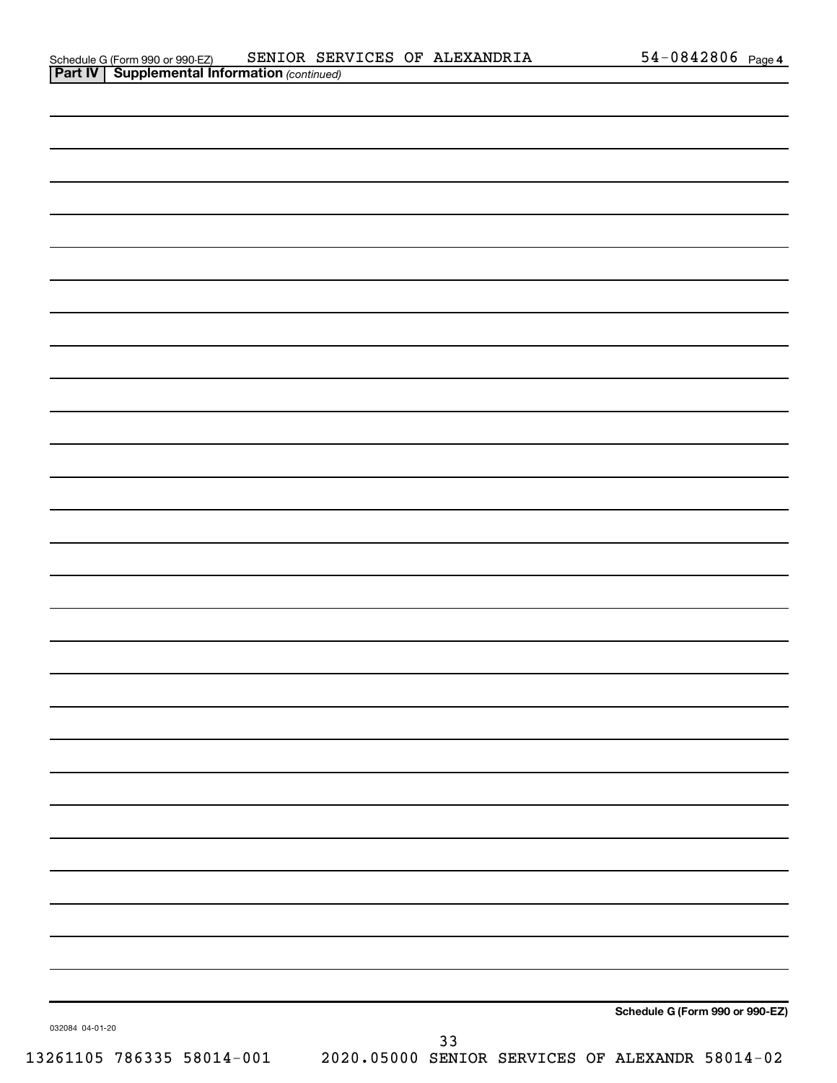|                 |    | Schedule G (Form 990 or 990-EZ) |
|-----------------|----|---------------------------------|
| 032084 04-01-20 | 33 |                                 |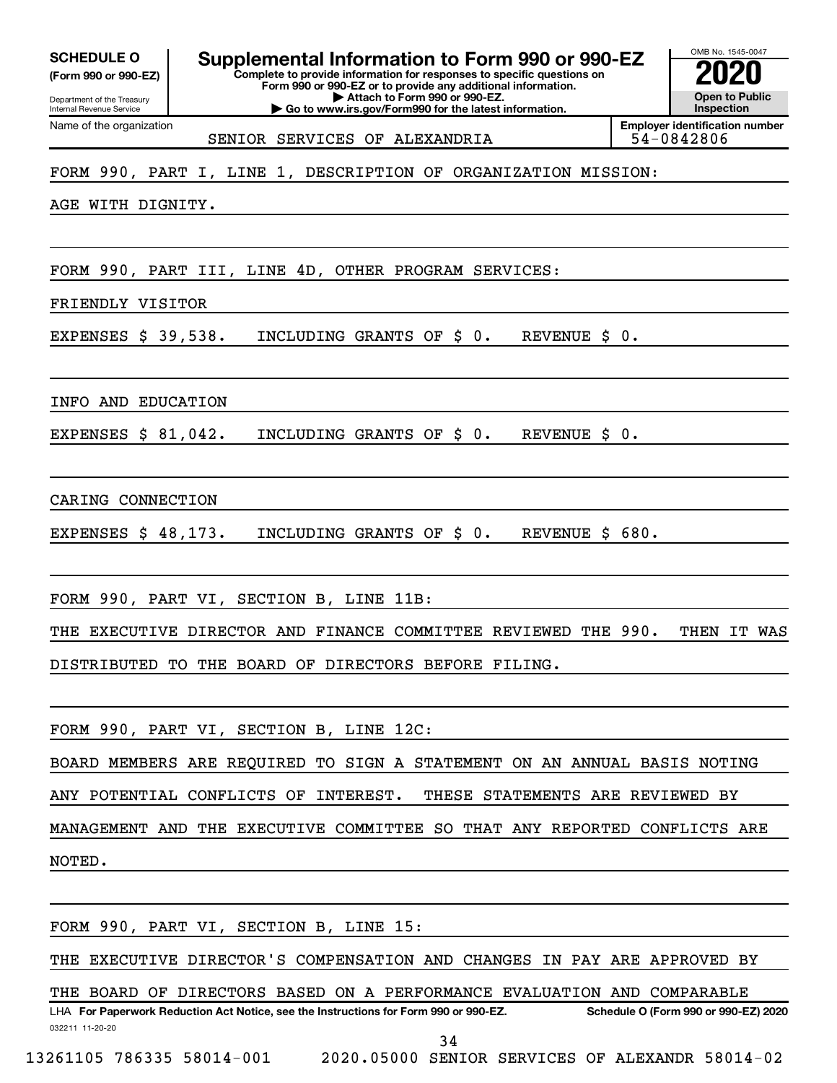Department of the Treasury **(Form 990 or 990-EZ)**

Name of the organization

Internal Revenue Service

**SCHEDULE O Supplemental Information to Form 990 or 990-EZ 2020** 

**Complete to provide information for responses to specific questions on Form 990 or 990-EZ or to provide any additional information. | Attach to Form 990 or 990-EZ.**

**| Go to www.irs.gov/Form990 for the latest information.**

**Open to Public Inspection Employer identification number**

OMB No. 1545-0047

SENIOR SERVICES OF ALEXANDRIA FOR SALL 54-0842806

FORM 990, PART I, LINE 1, DESCRIPTION OF ORGANIZATION MISSION:

AGE WITH DIGNITY.

FORM 990, PART III, LINE 4D, OTHER PROGRAM SERVICES:

FRIENDLY VISITOR

EXPENSES \$ 39,538. INCLUDING GRANTS OF \$ 0. REVENUE \$ 0.

INFO AND EDUCATION

EXPENSES \$ 81,042. INCLUDING GRANTS OF \$ 0. REVENUE \$ 0.

CARING CONNECTION

EXPENSES \$ 48,173. INCLUDING GRANTS OF \$ 0. REVENUE \$ 680.

FORM 990, PART VI, SECTION B, LINE 11B:

THE EXECUTIVE DIRECTOR AND FINANCE COMMITTEE REVIEWED THE 990. THEN IT WAS DISTRIBUTED TO THE BOARD OF DIRECTORS BEFORE FILING.

FORM 990, PART VI, SECTION B, LINE 12C:

BOARD MEMBERS ARE REQUIRED TO SIGN A STATEMENT ON AN ANNUAL BASIS NOTING

ANY POTENTIAL CONFLICTS OF INTEREST. THESE STATEMENTS ARE REVIEWED BY

MANAGEMENT AND THE EXECUTIVE COMMITTEE SO THAT ANY REPORTED CONFLICTS ARE

NOTED.

FORM 990, PART VI, SECTION B, LINE 15:

THE EXECUTIVE DIRECTOR'S COMPENSATION AND CHANGES IN PAY ARE APPROVED BY

THE BOARD OF DIRECTORS BASED ON A PERFORMANCE EVALUATION AND COMPARABLE

032211 11-20-20 **For Paperwork Reduction Act Notice, see the Instructions for Form 990 or 990-EZ. Schedule O (Form 990 or 990-EZ) 2020** LHA 34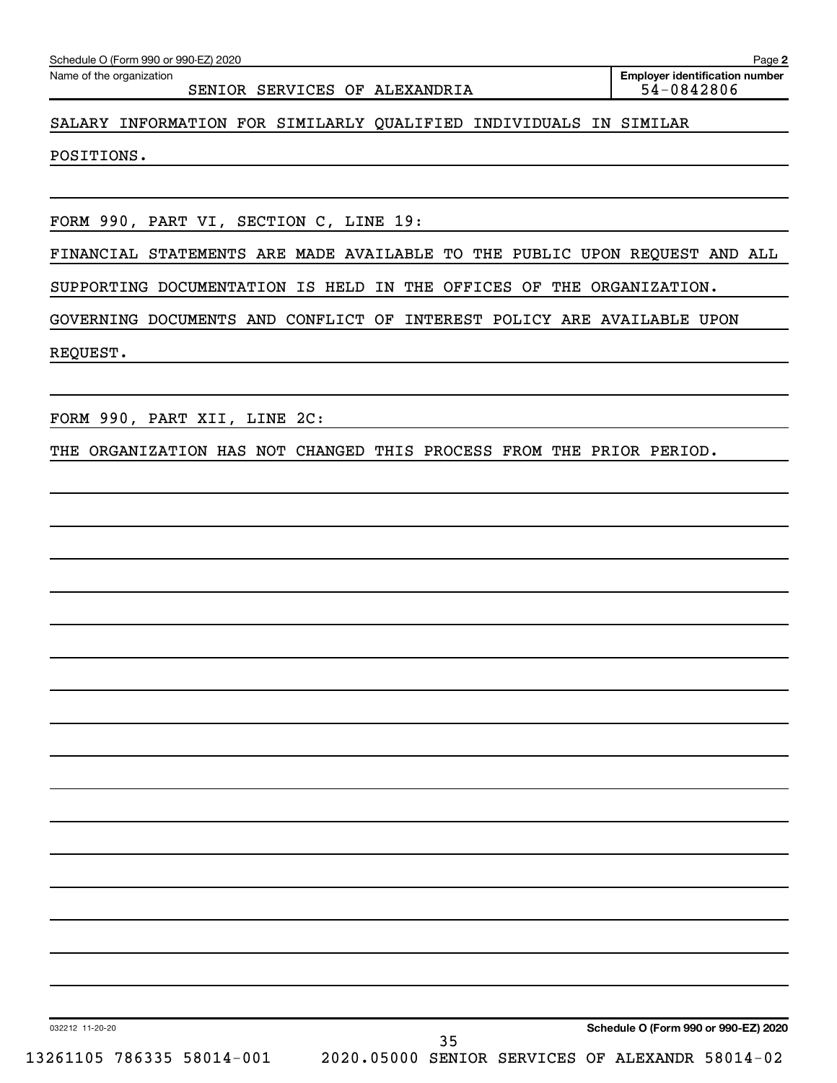Name of the organization

SENIOR SERVICES OF ALEXANDRIA FOR SERVICES OF ALEXANDRIA

**2 Employer identification number**

#### SALARY INFORMATION FOR SIMILARLY QUALIFIED INDIVIDUALS IN SIMILAR

POSITIONS.

FORM 990, PART VI, SECTION C, LINE 19:

FINANCIAL STATEMENTS ARE MADE AVAILABLE TO THE PUBLIC UPON REQUEST AND ALL

SUPPORTING DOCUMENTATION IS HELD IN THE OFFICES OF THE ORGANIZATION.

GOVERNING DOCUMENTS AND CONFLICT OF INTEREST POLICY ARE AVAILABLE UPON

REQUEST.

FORM 990, PART XII, LINE 2C:

THE ORGANIZATION HAS NOT CHANGED THIS PROCESS FROM THE PRIOR PERIOD.

**Schedule O (Form 990 or 990-EZ) 2020**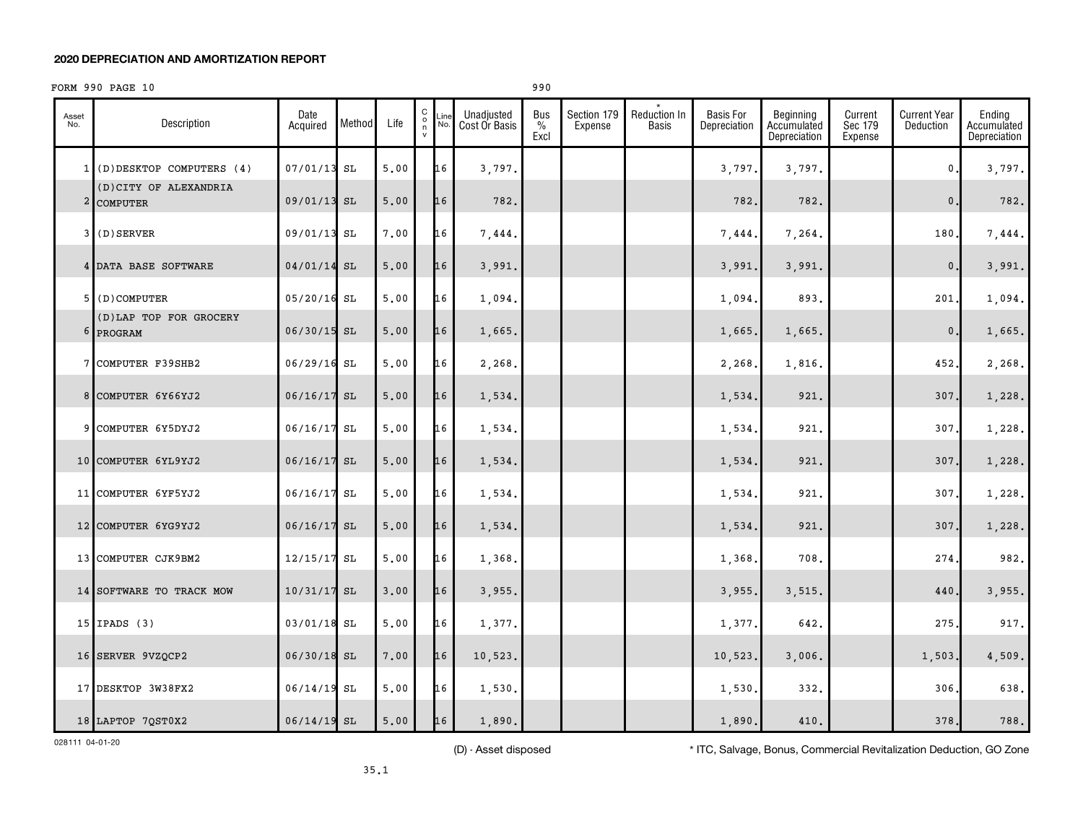#### **2020 DEPRECIATION AND AMORTIZATION REPORT**

### FORM 990 PAGE 10 990

| Asset<br>No. | Description                          | Date<br>Acquired | Method | Life | $\begin{matrix} 0 \\ 0 \\ n \end{matrix}$<br>Line<br>No.<br>$\mathsf{v}$ | Unadjusted<br>Cost Or Basis | Bus<br>$\%$<br>Excl | Section 179<br>Expense | Reduction In<br>Basis | <b>Basis For</b><br>Depreciation | Beginning<br>Accumulated<br>Depreciation | Current<br>Sec 179<br>Expense | <b>Current Year</b><br>Deduction | Ending<br>Accumulated<br>Depreciation |
|--------------|--------------------------------------|------------------|--------|------|--------------------------------------------------------------------------|-----------------------------|---------------------|------------------------|-----------------------|----------------------------------|------------------------------------------|-------------------------------|----------------------------------|---------------------------------------|
|              | 1 (D) DESKTOP COMPUTERS (4)          | $07/01/13$ SL    |        | 5.00 | 16                                                                       | 3,797.                      |                     |                        |                       | 3,797                            | 3,797.                                   |                               | 0                                | 3,797.                                |
|              | (D) CITY OF ALEXANDRIA<br>2 COMPUTER | 09/01/13 SL      |        | 5.00 | 16                                                                       | 782.                        |                     |                        |                       | 782.                             | 782.                                     |                               | $\mathbf{0}$                     | 782.                                  |
|              | 3 (D) SERVER                         | 09/01/13 SL      |        | 7.00 | 16                                                                       | 7,444.                      |                     |                        |                       | 7,444                            | 7,264.                                   |                               | 180,                             | 7,444.                                |
|              | 4 DATA BASE SOFTWARE                 | $04/01/14$ SL    |        | 5.00 | 16                                                                       | 3,991.                      |                     |                        |                       | 3,991                            | 3,991.                                   |                               | $\mathbf{0}$                     | 3,991.                                |
|              | $5$ (D) COMPUTER                     | $05/20/16$ SL    |        | 5,00 | 16                                                                       | 1,094.                      |                     |                        |                       | 1,094                            | 893.                                     |                               | 201                              | 1,094.                                |
|              | (D) LAP TOP FOR GROCERY<br>6 PROGRAM | 06/30/15 SL      |        | 5.00 | 16                                                                       | 1,665.                      |                     |                        |                       | 1,665.                           | 1,665.                                   |                               | $\mathbf{0}$                     | 1,665.                                |
|              | 7 COMPUTER F39SHB2                   | 06/29/16 SL      |        | 5.00 | 16                                                                       | 2,268.                      |                     |                        |                       | 2,268                            | 1,816.                                   |                               | 452.                             | 2,268.                                |
|              | 8 COMPUTER 6Y66YJ2                   | $06/16/17$ SL    |        | 5.00 | 16                                                                       | 1,534.                      |                     |                        |                       | 1,534.                           | 921.                                     |                               | 307                              | 1,228.                                |
|              | 9 COMPUTER 6Y5DYJ2                   | 06/16/17 SL      |        | 5.00 | 16                                                                       | 1,534.                      |                     |                        |                       | 1,534                            | 921.                                     |                               | 307                              | 1,228.                                |
|              | 10 COMPUTER 6YL9YJ2                  | $06/16/17$ SL    |        | 5.00 | 16                                                                       | 1,534.                      |                     |                        |                       | 1,534.                           | 921.                                     |                               | 307.                             | 1,228.                                |
|              | 11 COMPUTER 6YF5YJ2                  | $06/16/17$ SL    |        | 5.00 | 16                                                                       | 1,534.                      |                     |                        |                       | 1,534.                           | 921.                                     |                               | 307                              | 1,228.                                |
|              | 12 COMPUTER 6YG9YJ2                  | $06/16/17$ SL    |        | 5.00 | 16                                                                       | 1,534.                      |                     |                        |                       | 1,534.                           | 921.                                     |                               | 307.                             | 1,228.                                |
|              | 13 COMPUTER CJK9BM2                  | $12/15/17$ SL    |        | 5.00 | 16                                                                       | 1,368.                      |                     |                        |                       | 1,368.                           | 708.                                     |                               | 274                              | 982.                                  |
|              | 14 SOFTWARE TO TRACK MOW             | $10/31/17$ SL    |        | 3.00 | 16                                                                       | 3,955.                      |                     |                        |                       | 3,955.                           | 3,515.                                   |                               | 440                              | 3,955.                                |
|              | $15$ IPADS (3)                       | 03/01/18 SL      |        | 5.00 | 16                                                                       | 1,377.                      |                     |                        |                       | 1,377                            | 642.                                     |                               | 275                              | 917.                                  |
|              | 16 SERVER 9VZQCP2                    | $06/30/18$ SL    |        | 7.00 | 16                                                                       | 10,523.                     |                     |                        |                       | 10,523                           | 3,006.                                   |                               | 1,503.                           | 4,509.                                |
|              | 17 DESKTOP 3W38FX2                   | $06/14/19$ SL    |        | 5,00 | 16                                                                       | 1,530.                      |                     |                        |                       | 1,530                            | 332.                                     |                               | 306                              | 638.                                  |
|              | 18 LAPTOP 7QST0X2                    | $06/14/19$ SL    |        | 5,00 | 16                                                                       | 1,890.                      |                     |                        |                       | 1,890.                           | 410.                                     |                               | 378.                             | 788.                                  |

028111 04-01-20

(D) - Asset disposed \* ITC, Salvage, Bonus, Commercial Revitalization Deduction, GO Zone